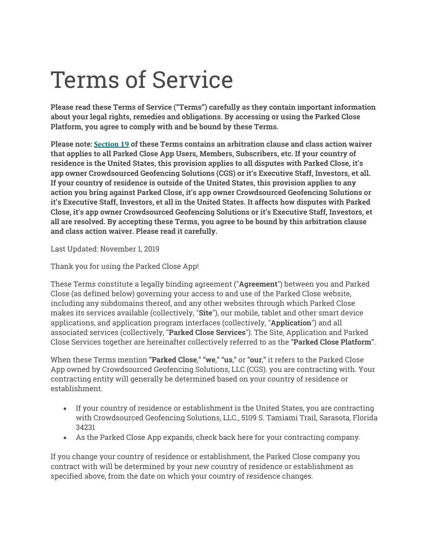# Terms of Service

**Please read these Terms of Service ("Terms") carefully as they contain important information about your legal rights, remedies and obligations. By accessing or using the Parked Close Platform, you agree to comply with and be bound by these Terms.**

**Please note: Section 19 of these Terms contains an arbitration clause and class action waiver that applies to all Parked Close App Users, Members, Subscribers, etc. If your country of residence is the United States, this provision applies to all disputes with Parked Close, it's app owner Crowdsourced Geofencing Solutions (CGS) or it's Executive Staff, Investors, et all. If your country of residence is outside of the United States, this provision applies to any action you bring against Parked Close, it's app owner Crowdsourced Geofencing Solutions or it's Executive Staff, Investors, et all in the United States. It affects how disputes with Parked Close, it's app owner Crowdsourced Geofencing Solutions or it's Executive Staff, Investors, et all are resolved. By accepting these Terms, you agree to be bound by this arbitration clause and class action waiver. Please read it carefully.**

Last Updated: November 1, 2019

Thank you for using the Parked Close App!

These Terms constitute a legally binding agreement ("**Agreement**") between you and Parked Close (as defined below) governing your access to and use of the Parked Close website, including any subdomains thereof, and any other websites through which Parked Close makes its services available (collectively, "**Site**"), our mobile, tablet and other smart device applications, and application program interfaces (collectively, "**Application**") and all associated services (collectively, "**Parked Close Services**"). The Site, Application and Parked Close Services together are hereinafter collectively referred to as the "**Parked Close Platform**".

When these Terms mention "**Parked Close**," "**we**," "**us**," or "**our**," it refers to the Parked Close App owned by Crowdsourced Geofencing Solutions, LLC (CGS). you are contracting with. Your contracting entity will generally be determined based on your country of residence or establishment.

- If your country of residence or establishment is the United States, you are contracting with Crowdsourced Geofencing Solutions, LLC., 5109 S. Tamiami Trail, Sarasota, Florida 34231
- As the Parked Close App expands, check back here for your contracting company.

If you change your country of residence or establishment, the Parked Close company you contract with will be determined by your new country of residence or establishment as specified above, from the date on which your country of residence changes.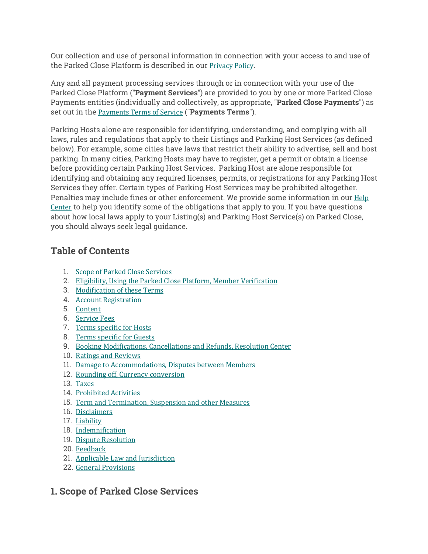Our collection and use of personal information in connection with your access to and use of the Parked Close Platform is described in our Privacy Policy.

Any and all payment processing services through or in connection with your use of the Parked Close Platform ("**Payment Services**") are provided to you by one or more Parked Close Payments entities (individually and collectively, as appropriate, "**Parked Close Payments**") as set out in the **Payments Terms** of Service ("Payments Terms").

Parking Hosts alone are responsible for identifying, understanding, and complying with all laws, rules and regulations that apply to their Listings and Parking Host Services (as defined below). For example, some cities have laws that restrict their ability to advertise, sell and host parking. In many cities, Parking Hosts may have to register, get a permit or obtain a license before providing certain Parking Host Services. Parking Host are alone responsible for identifying and obtaining any required licenses, permits, or registrations for any Parking Host Services they offer. Certain types of Parking Host Services may be prohibited altogether. Penalties may include fines or other enforcement. We provide some information in our Help Center to help you identify some of the obligations that apply to you. If you have questions about how local laws apply to your Listing(s) and Parking Host Service(s) on Parked Close, you should always seek legal guidance.

## **Table of Contents**

- 1. Scope of Parked Close Services
- 2. Eligibility, Using the Parked Close Platform, Member Verification
- 3. Modification of these Terms
- 4. Account Registration
- 5. Content
- 6. Service Fees
- 7. Terms specific for Hosts
- 8. Terms specific for Guests
- 9. Booking Modifications, Cancellations and Refunds, Resolution Center
- 10. Ratings and Reviews
- 11. Damage to Accommodations, Disputes between Members
- 12. Rounding off, Currency conversion
- 13. Taxes
- 14. Prohibited Activities
- 15. Term and Termination, Suspension and other Measures
- 16. Disclaimers
- 17. Liability
- 18. Indemnification
- 19. Dispute Resolution
- 20. Feedback
- 21. Applicable Law and Jurisdiction
- 22. General Provisions

## **1. Scope of Parked Close Services**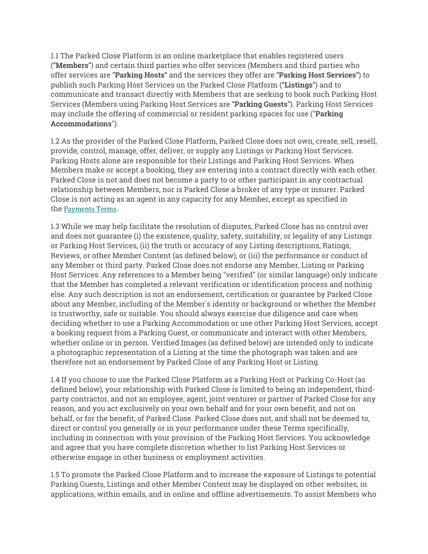1.1 The Parked Close Platform is an online marketplace that enables registered users ("**Members**") and certain third parties who offer services (Members and third parties who offer services are "**Parking Hosts**" and the services they offer are "**Parking Host Services**") to publish such Parking Host Services on the Parked Close Platform ("**Listings**") and to communicate and transact directly with Members that are seeking to book such Parking Host Services (Members using Parking Host Services are "**Parking Guests**"). Parking Host Services may include the offering of commercial or resident parking spaces for use ("**Parking Accommodations**").

1.2 As the provider of the Parked Close Platform, Parked Close does not own, create, sell, resell, provide, control, manage, offer, deliver, or supply any Listings or Parking Host Services. Parking Hosts alone are responsible for their Listings and Parking Host Services. When Members make or accept a booking, they are entering into a contract directly with each other. Parked Close is not and does not become a party to or other participant in any contractual relationship between Members, nor is Parked Close a broker of any type or insurer. Parked Close is not acting as an agent in any capacity for any Member, except as specified in the Payments Terms.

1.3 While we may help facilitate the resolution of disputes, Parked Close has no control over and does not guarantee (i) the existence, quality, safety, suitability, or legality of any Listings or Parking Host Services, (ii) the truth or accuracy of any Listing descriptions, Ratings, Reviews, or other Member Content (as defined below), or (iii) the performance or conduct of any Member or third party. Parked Close does not endorse any Member, Listing or Parking Host Services. Any references to a Member being "verified" (or similar language) only indicate that the Member has completed a relevant verification or identification process and nothing else. Any such description is not an endorsement, certification or guarantee by Parked Close about any Member, including of the Member's identity or background or whether the Member is trustworthy, safe or suitable. You should always exercise due diligence and care when deciding whether to use a Parking Accommodation or use other Parking Host Services, accept a booking request from a Parking Guest, or communicate and interact with other Members, whether online or in person. Verified Images (as defined below) are intended only to indicate a photographic representation of a Listing at the time the photograph was taken and are therefore not an endorsement by Parked Close of any Parking Host or Listing.

1.4 If you choose to use the Parked Close Platform as a Parking Host or Parking Co-Host (as defined below), your relationship with Parked Close is limited to being an independent, thirdparty contractor, and not an employee, agent, joint venturer or partner of Parked Close for any reason, and you act exclusively on your own behalf and for your own benefit, and not on behalf, or for the benefit, of Parked Close. Parked Close does not, and shall not be deemed to, direct or control you generally or in your performance under these Terms specifically, including in connection with your provision of the Parking Host Services. You acknowledge and agree that you have complete discretion whether to list Parking Host Services or otherwise engage in other business or employment activities.

1.5 To promote the Parked Close Platform and to increase the exposure of Listings to potential Parking Guests, Listings and other Member Content may be displayed on other websites, in applications, within emails, and in online and offline advertisements. To assist Members who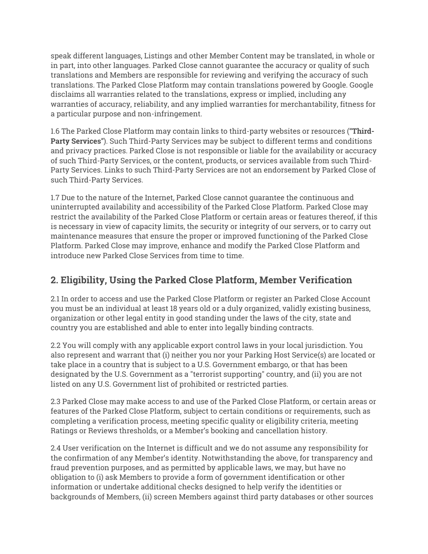speak different languages, Listings and other Member Content may be translated, in whole or in part, into other languages. Parked Close cannot guarantee the accuracy or quality of such translations and Members are responsible for reviewing and verifying the accuracy of such translations. The Parked Close Platform may contain translations powered by Google. Google disclaims all warranties related to the translations, express or implied, including any warranties of accuracy, reliability, and any implied warranties for merchantability, fitness for a particular purpose and non-infringement.

1.6 The Parked Close Platform may contain links to third-party websites or resources ("**Third-Party Services**"). Such Third-Party Services may be subject to different terms and conditions and privacy practices. Parked Close is not responsible or liable for the availability or accuracy of such Third-Party Services, or the content, products, or services available from such Third-Party Services. Links to such Third-Party Services are not an endorsement by Parked Close of such Third-Party Services.

1.7 Due to the nature of the Internet, Parked Close cannot guarantee the continuous and uninterrupted availability and accessibility of the Parked Close Platform. Parked Close may restrict the availability of the Parked Close Platform or certain areas or features thereof, if this is necessary in view of capacity limits, the security or integrity of our servers, or to carry out maintenance measures that ensure the proper or improved functioning of the Parked Close Platform. Parked Close may improve, enhance and modify the Parked Close Platform and introduce new Parked Close Services from time to time.

# **2. Eligibility, Using the Parked Close Platform, Member Verification**

2.1 In order to access and use the Parked Close Platform or register an Parked Close Account you must be an individual at least 18 years old or a duly organized, validly existing business, organization or other legal entity in good standing under the laws of the city, state and country you are established and able to enter into legally binding contracts.

2.2 You will comply with any applicable export control laws in your local jurisdiction. You also represent and warrant that (i) neither you nor your Parking Host Service(s) are located or take place in a country that is subject to a U.S. Government embargo, or that has been designated by the U.S. Government as a "terrorist supporting" country, and (ii) you are not listed on any U.S. Government list of prohibited or restricted parties.

2.3 Parked Close may make access to and use of the Parked Close Platform, or certain areas or features of the Parked Close Platform, subject to certain conditions or requirements, such as completing a verification process, meeting specific quality or eligibility criteria, meeting Ratings or Reviews thresholds, or a Member's booking and cancellation history.

2.4 User verification on the Internet is difficult and we do not assume any responsibility for the confirmation of any Member's identity. Notwithstanding the above, for transparency and fraud prevention purposes, and as permitted by applicable laws, we may, but have no obligation to (i) ask Members to provide a form of government identification or other information or undertake additional checks designed to help verify the identities or backgrounds of Members, (ii) screen Members against third party databases or other sources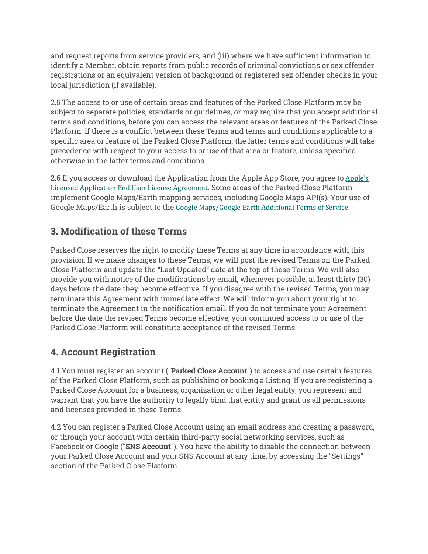and request reports from service providers, and (iii) where we have sufficient information to identify a Member, obtain reports from public records of criminal convictions or sex offender registrations or an equivalent version of background or registered sex offender checks in your local jurisdiction (if available).

2.5 The access to or use of certain areas and features of the Parked Close Platform may be subject to separate policies, standards or guidelines, or may require that you accept additional terms and conditions, before you can access the relevant areas or features of the Parked Close Platform. If there is a conflict between these Terms and terms and conditions applicable to a specific area or feature of the Parked Close Platform, the latter terms and conditions will take precedence with respect to your access to or use of that area or feature, unless specified otherwise in the latter terms and conditions.

2.6 If you access or download the Application from the Apple App Store, you agree to Apple's Licensed Application End User License Agreement. Some areas of the Parked Close Platform implement Google Maps/Earth mapping services, including Google Maps API(s). Your use of Google Maps/Earth is subject to the Google Maps/Google Earth Additional Terms of Service.

# **3. Modification of these Terms**

Parked Close reserves the right to modify these Terms at any time in accordance with this provision. If we make changes to these Terms, we will post the revised Terms on the Parked Close Platform and update the "Last Updated" date at the top of these Terms. We will also provide you with notice of the modifications by email, whenever possible, at least thirty (30) days before the date they become effective. If you disagree with the revised Terms, you may terminate this Agreement with immediate effect. We will inform you about your right to terminate the Agreement in the notification email. If you do not terminate your Agreement before the date the revised Terms become effective, your continued access to or use of the Parked Close Platform will constitute acceptance of the revised Terms.

## **4. Account Registration**

4.1 You must register an account ("**Parked Close Account**") to access and use certain features of the Parked Close Platform, such as publishing or booking a Listing. If you are registering a Parked Close Account for a business, organization or other legal entity, you represent and warrant that you have the authority to legally bind that entity and grant us all permissions and licenses provided in these Terms.

4.2 You can register a Parked Close Account using an email address and creating a password, or through your account with certain third-party social networking services, such as Facebook or Google ("**SNS Account**"). You have the ability to disable the connection between your Parked Close Account and your SNS Account at any time, by accessing the "Settings" section of the Parked Close Platform.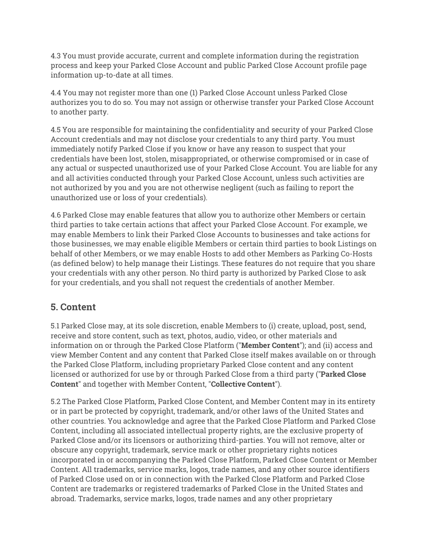4.3 You must provide accurate, current and complete information during the registration process and keep your Parked Close Account and public Parked Close Account profile page information up-to-date at all times.

4.4 You may not register more than one (1) Parked Close Account unless Parked Close authorizes you to do so. You may not assign or otherwise transfer your Parked Close Account to another party.

4.5 You are responsible for maintaining the confidentiality and security of your Parked Close Account credentials and may not disclose your credentials to any third party. You must immediately notify Parked Close if you know or have any reason to suspect that your credentials have been lost, stolen, misappropriated, or otherwise compromised or in case of any actual or suspected unauthorized use of your Parked Close Account. You are liable for any and all activities conducted through your Parked Close Account, unless such activities are not authorized by you and you are not otherwise negligent (such as failing to report the unauthorized use or loss of your credentials).

4.6 Parked Close may enable features that allow you to authorize other Members or certain third parties to take certain actions that affect your Parked Close Account. For example, we may enable Members to link their Parked Close Accounts to businesses and take actions for those businesses, we may enable eligible Members or certain third parties to book Listings on behalf of other Members, or we may enable Hosts to add other Members as Parking Co-Hosts (as defined below) to help manage their Listings. These features do not require that you share your credentials with any other person. No third party is authorized by Parked Close to ask for your credentials, and you shall not request the credentials of another Member.

## **5. Content**

5.1 Parked Close may, at its sole discretion, enable Members to (i) create, upload, post, send, receive and store content, such as text, photos, audio, video, or other materials and information on or through the Parked Close Platform ("**Member Content**"); and (ii) access and view Member Content and any content that Parked Close itself makes available on or through the Parked Close Platform, including proprietary Parked Close content and any content licensed or authorized for use by or through Parked Close from a third party ("**Parked Close Content**" and together with Member Content, "**Collective Content**").

5.2 The Parked Close Platform, Parked Close Content, and Member Content may in its entirety or in part be protected by copyright, trademark, and/or other laws of the United States and other countries. You acknowledge and agree that the Parked Close Platform and Parked Close Content, including all associated intellectual property rights, are the exclusive property of Parked Close and/or its licensors or authorizing third-parties. You will not remove, alter or obscure any copyright, trademark, service mark or other proprietary rights notices incorporated in or accompanying the Parked Close Platform, Parked Close Content or Member Content. All trademarks, service marks, logos, trade names, and any other source identifiers of Parked Close used on or in connection with the Parked Close Platform and Parked Close Content are trademarks or registered trademarks of Parked Close in the United States and abroad. Trademarks, service marks, logos, trade names and any other proprietary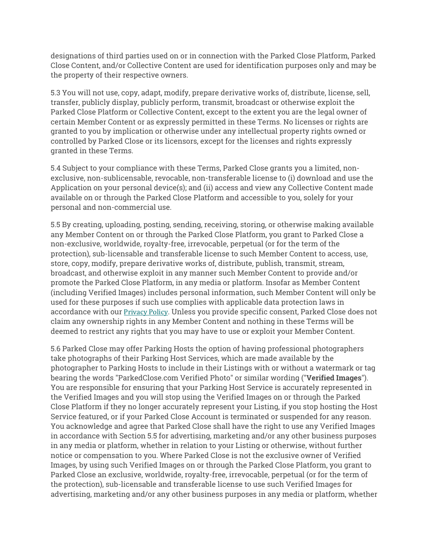designations of third parties used on or in connection with the Parked Close Platform, Parked Close Content, and/or Collective Content are used for identification purposes only and may be the property of their respective owners.

5.3 You will not use, copy, adapt, modify, prepare derivative works of, distribute, license, sell, transfer, publicly display, publicly perform, transmit, broadcast or otherwise exploit the Parked Close Platform or Collective Content, except to the extent you are the legal owner of certain Member Content or as expressly permitted in these Terms. No licenses or rights are granted to you by implication or otherwise under any intellectual property rights owned or controlled by Parked Close or its licensors, except for the licenses and rights expressly granted in these Terms.

5.4 Subject to your compliance with these Terms, Parked Close grants you a limited, nonexclusive, non-sublicensable, revocable, non-transferable license to (i) download and use the Application on your personal device(s); and (ii) access and view any Collective Content made available on or through the Parked Close Platform and accessible to you, solely for your personal and non-commercial use.

5.5 By creating, uploading, posting, sending, receiving, storing, or otherwise making available any Member Content on or through the Parked Close Platform, you grant to Parked Close a non-exclusive, worldwide, royalty-free, irrevocable, perpetual (or for the term of the protection), sub-licensable and transferable license to such Member Content to access, use, store, copy, modify, prepare derivative works of, distribute, publish, transmit, stream, broadcast, and otherwise exploit in any manner such Member Content to provide and/or promote the Parked Close Platform, in any media or platform. Insofar as Member Content (including Verified Images) includes personal information, such Member Content will only be used for these purposes if such use complies with applicable data protection laws in accordance with our **Privacy Policy.** Unless you provide specific consent, Parked Close does not claim any ownership rights in any Member Content and nothing in these Terms will be deemed to restrict any rights that you may have to use or exploit your Member Content.

5.6 Parked Close may offer Parking Hosts the option of having professional photographers take photographs of their Parking Host Services, which are made available by the photographer to Parking Hosts to include in their Listings with or without a watermark or tag bearing the words "ParkedClose.com Verified Photo" or similar wording ("**Verified Images**"). You are responsible for ensuring that your Parking Host Service is accurately represented in the Verified Images and you will stop using the Verified Images on or through the Parked Close Platform if they no longer accurately represent your Listing, if you stop hosting the Host Service featured, or if your Parked Close Account is terminated or suspended for any reason. You acknowledge and agree that Parked Close shall have the right to use any Verified Images in accordance with Section 5.5 for advertising, marketing and/or any other business purposes in any media or platform, whether in relation to your Listing or otherwise, without further notice or compensation to you. Where Parked Close is not the exclusive owner of Verified Images, by using such Verified Images on or through the Parked Close Platform, you grant to Parked Close an exclusive, worldwide, royalty-free, irrevocable, perpetual (or for the term of the protection), sub-licensable and transferable license to use such Verified Images for advertising, marketing and/or any other business purposes in any media or platform, whether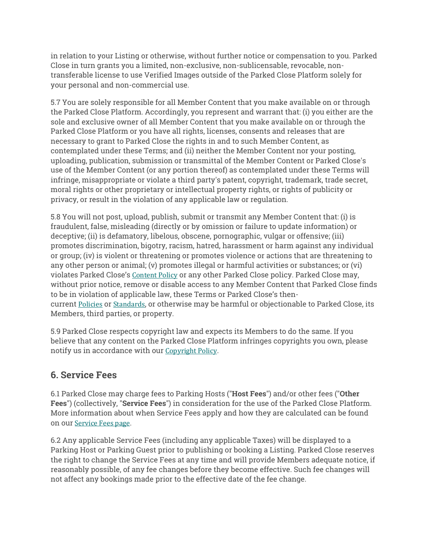in relation to your Listing or otherwise, without further notice or compensation to you. Parked Close in turn grants you a limited, non-exclusive, non-sublicensable, revocable, nontransferable license to use Verified Images outside of the Parked Close Platform solely for your personal and non-commercial use.

5.7 You are solely responsible for all Member Content that you make available on or through the Parked Close Platform. Accordingly, you represent and warrant that: (i) you either are the sole and exclusive owner of all Member Content that you make available on or through the Parked Close Platform or you have all rights, licenses, consents and releases that are necessary to grant to Parked Close the rights in and to such Member Content, as contemplated under these Terms; and (ii) neither the Member Content nor your posting, uploading, publication, submission or transmittal of the Member Content or Parked Close's use of the Member Content (or any portion thereof) as contemplated under these Terms will infringe, misappropriate or violate a third party's patent, copyright, trademark, trade secret, moral rights or other proprietary or intellectual property rights, or rights of publicity or privacy, or result in the violation of any applicable law or regulation.

5.8 You will not post, upload, publish, submit or transmit any Member Content that: (i) is fraudulent, false, misleading (directly or by omission or failure to update information) or deceptive; (ii) is defamatory, libelous, obscene, pornographic, vulgar or offensive; (iii) promotes discrimination, bigotry, racism, hatred, harassment or harm against any individual or group; (iv) is violent or threatening or promotes violence or actions that are threatening to any other person or animal; (v) promotes illegal or harmful activities or substances; or (vi) violates Parked Close's Content Policy or any other Parked Close policy. Parked Close may, without prior notice, remove or disable access to any Member Content that Parked Close finds to be in violation of applicable law, these Terms or Parked Close's thencurrent Policies or Standards, or otherwise may be harmful or objectionable to Parked Close, its Members, third parties, or property.

5.9 Parked Close respects copyright law and expects its Members to do the same. If you believe that any content on the Parked Close Platform infringes copyrights you own, please notify us in accordance with our Copyright Policy.

## **6. Service Fees**

6.1 Parked Close may charge fees to Parking Hosts ("**Host Fees**") and/or other fees ("**Other Fees**") (collectively, "**Service Fees**") in consideration for the use of the Parked Close Platform. More information about when Service Fees apply and how they are calculated can be found on our Service Fees page.

6.2 Any applicable Service Fees (including any applicable Taxes) will be displayed to a Parking Host or Parking Guest prior to publishing or booking a Listing. Parked Close reserves the right to change the Service Fees at any time and will provide Members adequate notice, if reasonably possible, of any fee changes before they become effective. Such fee changes will not affect any bookings made prior to the effective date of the fee change.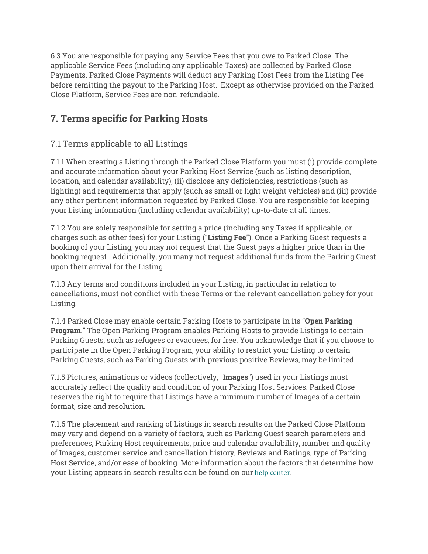6.3 You are responsible for paying any Service Fees that you owe to Parked Close. The applicable Service Fees (including any applicable Taxes) are collected by Parked Close Payments. Parked Close Payments will deduct any Parking Host Fees from the Listing Fee before remitting the payout to the Parking Host. Except as otherwise provided on the Parked Close Platform, Service Fees are non-refundable.

# **7. Terms specific for Parking Hosts**

## 7.1 Terms applicable to all Listings

7.1.1 When creating a Listing through the Parked Close Platform you must (i) provide complete and accurate information about your Parking Host Service (such as listing description, location, and calendar availability), (ii) disclose any deficiencies, restrictions (such as lighting) and requirements that apply (such as small or light weight vehicles) and (iii) provide any other pertinent information requested by Parked Close. You are responsible for keeping your Listing information (including calendar availability) up-to-date at all times.

7.1.2 You are solely responsible for setting a price (including any Taxes if applicable, or charges such as other fees) for your Listing ("**Listing Fee**"). Once a Parking Guest requests a booking of your Listing, you may not request that the Guest pays a higher price than in the booking request. Additionally, you many not request additional funds from the Parking Guest upon their arrival for the Listing.

7.1.3 Any terms and conditions included in your Listing, in particular in relation to cancellations, must not conflict with these Terms or the relevant cancellation policy for your Listing.

7.1.4 Parked Close may enable certain Parking Hosts to participate in its "**Open Parking Program**." The Open Parking Program enables Parking Hosts to provide Listings to certain Parking Guests, such as refugees or evacuees, for free. You acknowledge that if you choose to participate in the Open Parking Program, your ability to restrict your Listing to certain Parking Guests, such as Parking Guests with previous positive Reviews, may be limited.

7.1.5 Pictures, animations or videos (collectively, "**Images**") used in your Listings must accurately reflect the quality and condition of your Parking Host Services. Parked Close reserves the right to require that Listings have a minimum number of Images of a certain format, size and resolution.

7.1.6 The placement and ranking of Listings in search results on the Parked Close Platform may vary and depend on a variety of factors, such as Parking Guest search parameters and preferences, Parking Host requirements, price and calendar availability, number and quality of Images, customer service and cancellation history, Reviews and Ratings, type of Parking Host Service, and/or ease of booking. More information about the factors that determine how your Listing appears in search results can be found on our help center.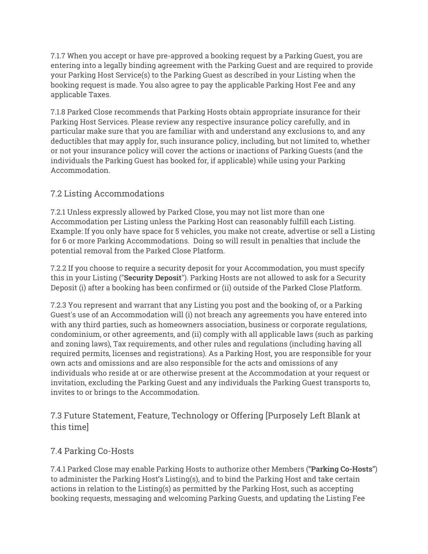7.1.7 When you accept or have pre-approved a booking request by a Parking Guest, you are entering into a legally binding agreement with the Parking Guest and are required to provide your Parking Host Service(s) to the Parking Guest as described in your Listing when the booking request is made. You also agree to pay the applicable Parking Host Fee and any applicable Taxes.

7.1.8 Parked Close recommends that Parking Hosts obtain appropriate insurance for their Parking Host Services. Please review any respective insurance policy carefully, and in particular make sure that you are familiar with and understand any exclusions to, and any deductibles that may apply for, such insurance policy, including, but not limited to, whether or not your insurance policy will cover the actions or inactions of Parking Guests (and the individuals the Parking Guest has booked for, if applicable) while using your Parking Accommodation.

### 7.2 Listing Accommodations

7.2.1 Unless expressly allowed by Parked Close, you may not list more than one Accommodation per Listing unless the Parking Host can reasonably fulfill each Listing. Example: If you only have space for 5 vehicles, you make not create, advertise or sell a Listing for 6 or more Parking Accommodations. Doing so will result in penalties that include the potential removal from the Parked Close Platform.

7.2.2 If you choose to require a security deposit for your Accommodation, you must specify this in your Listing ("**Security Deposit**"). Parking Hosts are not allowed to ask for a Security Deposit (i) after a booking has been confirmed or (ii) outside of the Parked Close Platform.

7.2.3 You represent and warrant that any Listing you post and the booking of, or a Parking Guest's use of an Accommodation will (i) not breach any agreements you have entered into with any third parties, such as homeowners association, business or corporate regulations, condominium, or other agreements, and (ii) comply with all applicable laws (such as parking and zoning laws), Tax requirements, and other rules and regulations (including having all required permits, licenses and registrations). As a Parking Host, you are responsible for your own acts and omissions and are also responsible for the acts and omissions of any individuals who reside at or are otherwise present at the Accommodation at your request or invitation, excluding the Parking Guest and any individuals the Parking Guest transports to, invites to or brings to the Accommodation.

7.3 Future Statement, Feature, Technology or Offering [Purposely Left Blank at this time]

### 7.4 Parking Co-Hosts

7.4.1 Parked Close may enable Parking Hosts to authorize other Members ("**Parking Co-Hosts**") to administer the Parking Host's Listing(s), and to bind the Parking Host and take certain actions in relation to the Listing(s) as permitted by the Parking Host, such as accepting booking requests, messaging and welcoming Parking Guests, and updating the Listing Fee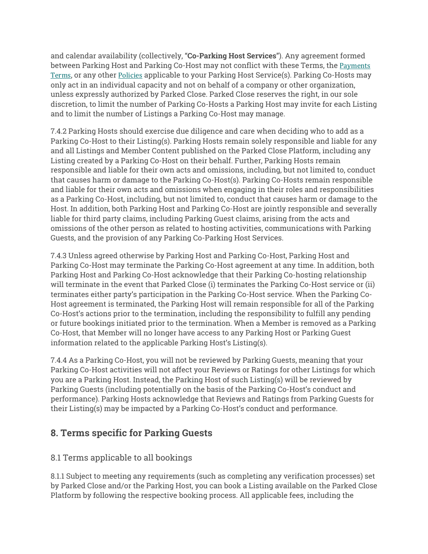and calendar availability (collectively, "**Co-Parking Host Services**"). Any agreement formed between Parking Host and Parking Co-Host may not conflict with these Terms, the Payments Terms, or any other Policies applicable to your Parking Host Service(s). Parking Co-Hosts may only act in an individual capacity and not on behalf of a company or other organization, unless expressly authorized by Parked Close. Parked Close reserves the right, in our sole discretion, to limit the number of Parking Co-Hosts a Parking Host may invite for each Listing and to limit the number of Listings a Parking Co-Host may manage.

7.4.2 Parking Hosts should exercise due diligence and care when deciding who to add as a Parking Co-Host to their Listing(s). Parking Hosts remain solely responsible and liable for any and all Listings and Member Content published on the Parked Close Platform, including any Listing created by a Parking Co-Host on their behalf. Further, Parking Hosts remain responsible and liable for their own acts and omissions, including, but not limited to, conduct that causes harm or damage to the Parking Co-Host(s). Parking Co-Hosts remain responsible and liable for their own acts and omissions when engaging in their roles and responsibilities as a Parking Co-Host, including, but not limited to, conduct that causes harm or damage to the Host. In addition, both Parking Host and Parking Co-Host are jointly responsible and severally liable for third party claims, including Parking Guest claims, arising from the acts and omissions of the other person as related to hosting activities, communications with Parking Guests, and the provision of any Parking Co-Parking Host Services.

7.4.3 Unless agreed otherwise by Parking Host and Parking Co-Host, Parking Host and Parking Co-Host may terminate the Parking Co-Host agreement at any time. In addition, both Parking Host and Parking Co-Host acknowledge that their Parking Co-hosting relationship will terminate in the event that Parked Close (i) terminates the Parking Co-Host service or (ii) terminates either party's participation in the Parking Co-Host service. When the Parking Co-Host agreement is terminated, the Parking Host will remain responsible for all of the Parking Co-Host's actions prior to the termination, including the responsibility to fulfill any pending or future bookings initiated prior to the termination. When a Member is removed as a Parking Co-Host, that Member will no longer have access to any Parking Host or Parking Guest information related to the applicable Parking Host's Listing(s).

7.4.4 As a Parking Co-Host, you will not be reviewed by Parking Guests, meaning that your Parking Co-Host activities will not affect your Reviews or Ratings for other Listings for which you are a Parking Host. Instead, the Parking Host of such Listing(s) will be reviewed by Parking Guests (including potentially on the basis of the Parking Co-Host's conduct and performance). Parking Hosts acknowledge that Reviews and Ratings from Parking Guests for their Listing(s) may be impacted by a Parking Co-Host's conduct and performance.

## **8. Terms specific for Parking Guests**

## 8.1 Terms applicable to all bookings

8.1.1 Subject to meeting any requirements (such as completing any verification processes) set by Parked Close and/or the Parking Host, you can book a Listing available on the Parked Close Platform by following the respective booking process. All applicable fees, including the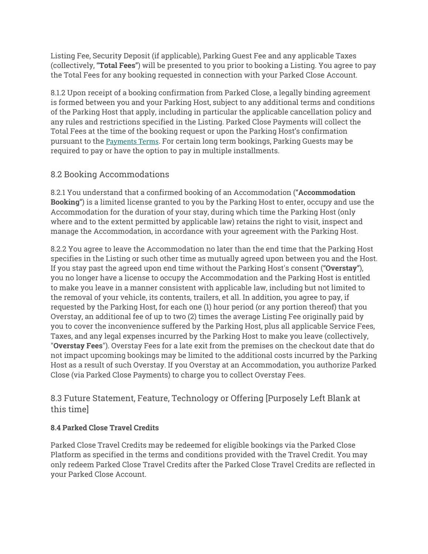Listing Fee, Security Deposit (if applicable), Parking Guest Fee and any applicable Taxes (collectively, "**Total Fees**") will be presented to you prior to booking a Listing. You agree to pay the Total Fees for any booking requested in connection with your Parked Close Account.

8.1.2 Upon receipt of a booking confirmation from Parked Close, a legally binding agreement is formed between you and your Parking Host, subject to any additional terms and conditions of the Parking Host that apply, including in particular the applicable cancellation policy and any rules and restrictions specified in the Listing. Parked Close Payments will collect the Total Fees at the time of the booking request or upon the Parking Host's confirmation pursuant to the Payments Terms. For certain long term bookings, Parking Guests may be required to pay or have the option to pay in multiple installments.

### 8.2 Booking Accommodations

8.2.1 You understand that a confirmed booking of an Accommodation ("**Accommodation Booking**") is a limited license granted to you by the Parking Host to enter, occupy and use the Accommodation for the duration of your stay, during which time the Parking Host (only where and to the extent permitted by applicable law) retains the right to visit, inspect and manage the Accommodation, in accordance with your agreement with the Parking Host.

8.2.2 You agree to leave the Accommodation no later than the end time that the Parking Host specifies in the Listing or such other time as mutually agreed upon between you and the Host. If you stay past the agreed upon end time without the Parking Host's consent ("**Overstay**"), you no longer have a license to occupy the Accommodation and the Parking Host is entitled to make you leave in a manner consistent with applicable law, including but not limited to the removal of your vehicle, its contents, trailers, et all. In addition, you agree to pay, if requested by the Parking Host, for each one (1) hour period (or any portion thereof) that you Overstay, an additional fee of up to two (2) times the average Listing Fee originally paid by you to cover the inconvenience suffered by the Parking Host, plus all applicable Service Fees, Taxes, and any legal expenses incurred by the Parking Host to make you leave (collectively, "**Overstay Fees**"). Overstay Fees for a late exit from the premises on the checkout date that do not impact upcoming bookings may be limited to the additional costs incurred by the Parking Host as a result of such Overstay. If you Overstay at an Accommodation, you authorize Parked Close (via Parked Close Payments) to charge you to collect Overstay Fees.

#### 8.3 Future Statement, Feature, Technology or Offering [Purposely Left Blank at this time]

#### **8.4 Parked Close Travel Credits**

Parked Close Travel Credits may be redeemed for eligible bookings via the Parked Close Platform as specified in the terms and conditions provided with the Travel Credit. You may only redeem Parked Close Travel Credits after the Parked Close Travel Credits are reflected in your Parked Close Account.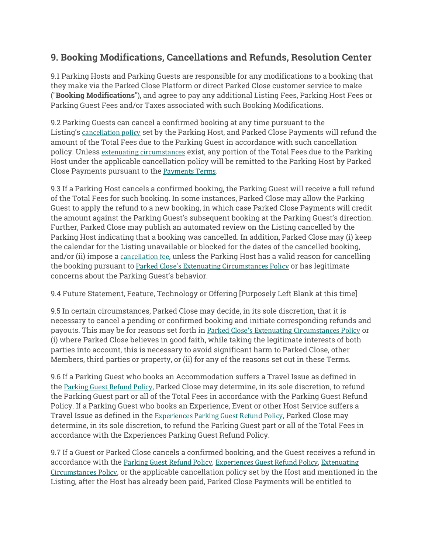# **9. Booking Modifications, Cancellations and Refunds, Resolution Center**

9.1 Parking Hosts and Parking Guests are responsible for any modifications to a booking that they make via the Parked Close Platform or direct Parked Close customer service to make ("**Booking Modifications**"), and agree to pay any additional Listing Fees, Parking Host Fees or Parking Guest Fees and/or Taxes associated with such Booking Modifications.

9.2 Parking Guests can cancel a confirmed booking at any time pursuant to the Listing's cancellation policy set by the Parking Host, and Parked Close Payments will refund the amount of the Total Fees due to the Parking Guest in accordance with such cancellation policy. Unless extenuating circumstances exist, any portion of the Total Fees due to the Parking Host under the applicable cancellation policy will be remitted to the Parking Host by Parked Close Payments pursuant to the Payments Terms.

9.3 If a Parking Host cancels a confirmed booking, the Parking Guest will receive a full refund of the Total Fees for such booking. In some instances, Parked Close may allow the Parking Guest to apply the refund to a new booking, in which case Parked Close Payments will credit the amount against the Parking Guest's subsequent booking at the Parking Guest's direction. Further, Parked Close may publish an automated review on the Listing cancelled by the Parking Host indicating that a booking was cancelled. In addition, Parked Close may (i) keep the calendar for the Listing unavailable or blocked for the dates of the cancelled booking, and/or (ii) impose a cancellation fee, unless the Parking Host has a valid reason for cancelling the booking pursuant to Parked Close's Extenuating Circumstances Policy or has legitimate concerns about the Parking Guest's behavior.

9.4 Future Statement, Feature, Technology or Offering [Purposely Left Blank at this time]

9.5 In certain circumstances, Parked Close may decide, in its sole discretion, that it is necessary to cancel a pending or confirmed booking and initiate corresponding refunds and payouts. This may be for reasons set forth in Parked Close's Extenuating Circumstances Policy or (i) where Parked Close believes in good faith, while taking the legitimate interests of both parties into account, this is necessary to avoid significant harm to Parked Close, other Members, third parties or property, or (ii) for any of the reasons set out in these Terms.

9.6 If a Parking Guest who books an Accommodation suffers a Travel Issue as defined in the Parking Guest Refund Policy, Parked Close may determine, in its sole discretion, to refund the Parking Guest part or all of the Total Fees in accordance with the Parking Guest Refund Policy. If a Parking Guest who books an Experience, Event or other Host Service suffers a Travel Issue as defined in the Experiences Parking Guest Refund Policy, Parked Close may determine, in its sole discretion, to refund the Parking Guest part or all of the Total Fees in accordance with the Experiences Parking Guest Refund Policy.

9.7 If a Guest or Parked Close cancels a confirmed booking, and the Guest receives a refund in accordance with the Parking Guest Refund Policy, Experiences Guest Refund Policy, Extenuating Circumstances Policy, or the applicable cancellation policy set by the Host and mentioned in the Listing, after the Host has already been paid, Parked Close Payments will be entitled to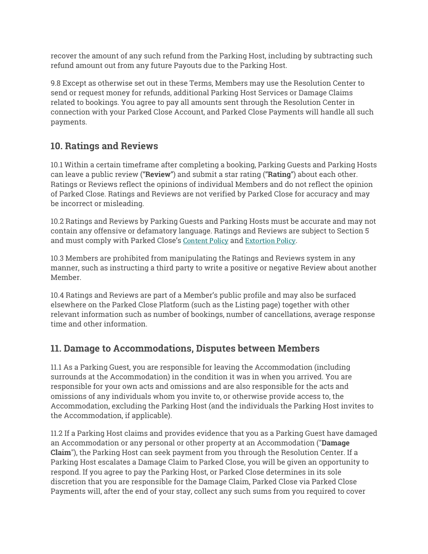recover the amount of any such refund from the Parking Host, including by subtracting such refund amount out from any future Payouts due to the Parking Host.

9.8 Except as otherwise set out in these Terms, Members may use the Resolution Center to send or request money for refunds, additional Parking Host Services or Damage Claims related to bookings. You agree to pay all amounts sent through the Resolution Center in connection with your Parked Close Account, and Parked Close Payments will handle all such payments.

# **10. Ratings and Reviews**

10.1 Within a certain timeframe after completing a booking, Parking Guests and Parking Hosts can leave a public review ("**Review**") and submit a star rating ("**Rating**") about each other. Ratings or Reviews reflect the opinions of individual Members and do not reflect the opinion of Parked Close. Ratings and Reviews are not verified by Parked Close for accuracy and may be incorrect or misleading.

10.2 Ratings and Reviews by Parking Guests and Parking Hosts must be accurate and may not contain any offensive or defamatory language. Ratings and Reviews are subject to Section 5 and must comply with Parked Close's Content Policy and Extortion Policy.

10.3 Members are prohibited from manipulating the Ratings and Reviews system in any manner, such as instructing a third party to write a positive or negative Review about another Member.

10.4 Ratings and Reviews are part of a Member's public profile and may also be surfaced elsewhere on the Parked Close Platform (such as the Listing page) together with other relevant information such as number of bookings, number of cancellations, average response time and other information.

## **11. Damage to Accommodations, Disputes between Members**

11.1 As a Parking Guest, you are responsible for leaving the Accommodation (including surrounds at the Accommodation) in the condition it was in when you arrived. You are responsible for your own acts and omissions and are also responsible for the acts and omissions of any individuals whom you invite to, or otherwise provide access to, the Accommodation, excluding the Parking Host (and the individuals the Parking Host invites to the Accommodation, if applicable).

11.2 If a Parking Host claims and provides evidence that you as a Parking Guest have damaged an Accommodation or any personal or other property at an Accommodation ("**Damage Claim**"), the Parking Host can seek payment from you through the Resolution Center. If a Parking Host escalates a Damage Claim to Parked Close, you will be given an opportunity to respond. If you agree to pay the Parking Host, or Parked Close determines in its sole discretion that you are responsible for the Damage Claim, Parked Close via Parked Close Payments will, after the end of your stay, collect any such sums from you required to cover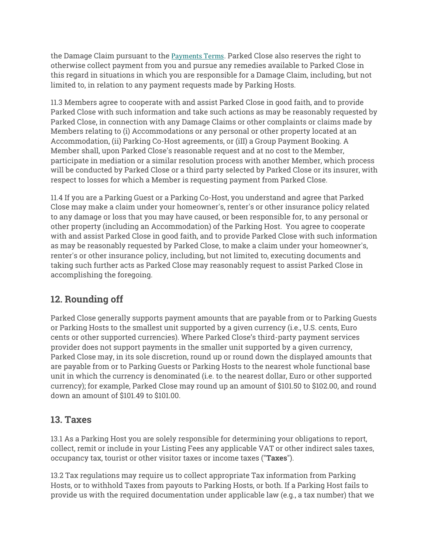the Damage Claim pursuant to the Payments Terms. Parked Close also reserves the right to otherwise collect payment from you and pursue any remedies available to Parked Close in this regard in situations in which you are responsible for a Damage Claim, including, but not limited to, in relation to any payment requests made by Parking Hosts.

11.3 Members agree to cooperate with and assist Parked Close in good faith, and to provide Parked Close with such information and take such actions as may be reasonably requested by Parked Close, in connection with any Damage Claims or other complaints or claims made by Members relating to (i) Accommodations or any personal or other property located at an Accommodation, (ii) Parking Co-Host agreements, or (iII) a Group Payment Booking. A Member shall, upon Parked Close's reasonable request and at no cost to the Member, participate in mediation or a similar resolution process with another Member, which process will be conducted by Parked Close or a third party selected by Parked Close or its insurer, with respect to losses for which a Member is requesting payment from Parked Close.

11.4 If you are a Parking Guest or a Parking Co-Host, you understand and agree that Parked Close may make a claim under your homeowner's, renter's or other insurance policy related to any damage or loss that you may have caused, or been responsible for, to any personal or other property (including an Accommodation) of the Parking Host. You agree to cooperate with and assist Parked Close in good faith, and to provide Parked Close with such information as may be reasonably requested by Parked Close, to make a claim under your homeowner's, renter's or other insurance policy, including, but not limited to, executing documents and taking such further acts as Parked Close may reasonably request to assist Parked Close in accomplishing the foregoing.

# **12. Rounding off**

Parked Close generally supports payment amounts that are payable from or to Parking Guests or Parking Hosts to the smallest unit supported by a given currency (i.e., U.S. cents, Euro cents or other supported currencies). Where Parked Close's third-party payment services provider does not support payments in the smaller unit supported by a given currency, Parked Close may, in its sole discretion, round up or round down the displayed amounts that are payable from or to Parking Guests or Parking Hosts to the nearest whole functional base unit in which the currency is denominated (i.e. to the nearest dollar, Euro or other supported currency); for example, Parked Close may round up an amount of \$101.50 to \$102.00, and round down an amount of \$101.49 to \$101.00.

## **13. Taxes**

13.1 As a Parking Host you are solely responsible for determining your obligations to report, collect, remit or include in your Listing Fees any applicable VAT or other indirect sales taxes, occupancy tax, tourist or other visitor taxes or income taxes ("**Taxes**").

13.2 Tax regulations may require us to collect appropriate Tax information from Parking Hosts, or to withhold Taxes from payouts to Parking Hosts, or both. If a Parking Host fails to provide us with the required documentation under applicable law (e.g., a tax number) that we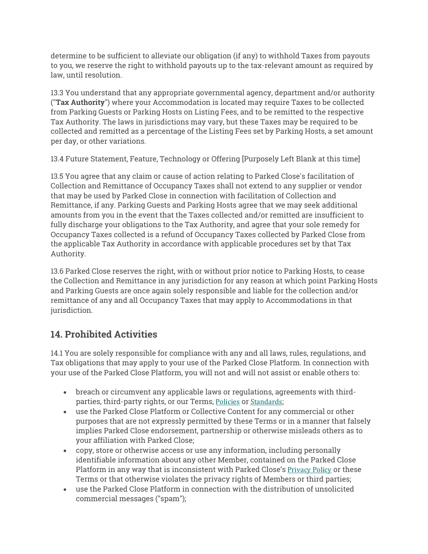determine to be sufficient to alleviate our obligation (if any) to withhold Taxes from payouts to you, we reserve the right to withhold payouts up to the tax-relevant amount as required by law, until resolution.

13.3 You understand that any appropriate governmental agency, department and/or authority ("**Tax Authority**") where your Accommodation is located may require Taxes to be collected from Parking Guests or Parking Hosts on Listing Fees, and to be remitted to the respective Tax Authority. The laws in jurisdictions may vary, but these Taxes may be required to be collected and remitted as a percentage of the Listing Fees set by Parking Hosts, a set amount per day, or other variations.

13.4 Future Statement, Feature, Technology or Offering [Purposely Left Blank at this time]

13.5 You agree that any claim or cause of action relating to Parked Close's facilitation of Collection and Remittance of Occupancy Taxes shall not extend to any supplier or vendor that may be used by Parked Close in connection with facilitation of Collection and Remittance, if any. Parking Guests and Parking Hosts agree that we may seek additional amounts from you in the event that the Taxes collected and/or remitted are insufficient to fully discharge your obligations to the Tax Authority, and agree that your sole remedy for Occupancy Taxes collected is a refund of Occupancy Taxes collected by Parked Close from the applicable Tax Authority in accordance with applicable procedures set by that Tax Authority.

13.6 Parked Close reserves the right, with or without prior notice to Parking Hosts, to cease the Collection and Remittance in any jurisdiction for any reason at which point Parking Hosts and Parking Guests are once again solely responsible and liable for the collection and/or remittance of any and all Occupancy Taxes that may apply to Accommodations in that jurisdiction.

# **14. Prohibited Activities**

14.1 You are solely responsible for compliance with any and all laws, rules, regulations, and Tax obligations that may apply to your use of the Parked Close Platform. In connection with your use of the Parked Close Platform, you will not and will not assist or enable others to:

- breach or circumvent any applicable laws or regulations, agreements with thirdparties, third-party rights, or our Terms, Policies or Standards;
- use the Parked Close Platform or Collective Content for any commercial or other purposes that are not expressly permitted by these Terms or in a manner that falsely implies Parked Close endorsement, partnership or otherwise misleads others as to your affiliation with Parked Close;
- copy, store or otherwise access or use any information, including personally identifiable information about any other Member, contained on the Parked Close Platform in any way that is inconsistent with Parked Close's Privacy Policy or these Terms or that otherwise violates the privacy rights of Members or third parties;
- use the Parked Close Platform in connection with the distribution of unsolicited commercial messages ("spam");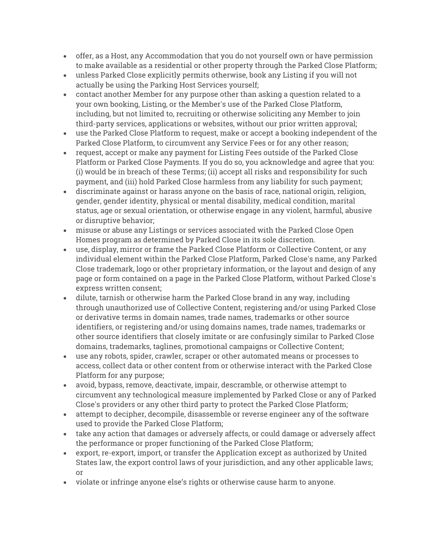- offer, as a Host, any Accommodation that you do not yourself own or have permission to make available as a residential or other property through the Parked Close Platform;
- unless Parked Close explicitly permits otherwise, book any Listing if you will not actually be using the Parking Host Services yourself;
- contact another Member for any purpose other than asking a question related to a your own booking, Listing, or the Member's use of the Parked Close Platform, including, but not limited to, recruiting or otherwise soliciting any Member to join third-party services, applications or websites, without our prior written approval;
- use the Parked Close Platform to request, make or accept a booking independent of the Parked Close Platform, to circumvent any Service Fees or for any other reason;
- request, accept or make any payment for Listing Fees outside of the Parked Close Platform or Parked Close Payments. If you do so, you acknowledge and agree that you: (i) would be in breach of these Terms; (ii) accept all risks and responsibility for such payment, and (iii) hold Parked Close harmless from any liability for such payment;
- discriminate against or harass anyone on the basis of race, national origin, religion, gender, gender identity, physical or mental disability, medical condition, marital status, age or sexual orientation, or otherwise engage in any violent, harmful, abusive or disruptive behavior;
- misuse or abuse any Listings or services associated with the Parked Close Open Homes program as determined by Parked Close in its sole discretion.
- use, display, mirror or frame the Parked Close Platform or Collective Content, or any individual element within the Parked Close Platform, Parked Close's name, any Parked Close trademark, logo or other proprietary information, or the layout and design of any page or form contained on a page in the Parked Close Platform, without Parked Close's express written consent;
- dilute, tarnish or otherwise harm the Parked Close brand in any way, including through unauthorized use of Collective Content, registering and/or using Parked Close or derivative terms in domain names, trade names, trademarks or other source identifiers, or registering and/or using domains names, trade names, trademarks or other source identifiers that closely imitate or are confusingly similar to Parked Close domains, trademarks, taglines, promotional campaigns or Collective Content;
- use any robots, spider, crawler, scraper or other automated means or processes to access, collect data or other content from or otherwise interact with the Parked Close Platform for any purpose;
- avoid, bypass, remove, deactivate, impair, descramble, or otherwise attempt to circumvent any technological measure implemented by Parked Close or any of Parked Close's providers or any other third party to protect the Parked Close Platform;
- attempt to decipher, decompile, disassemble or reverse engineer any of the software used to provide the Parked Close Platform;
- take any action that damages or adversely affects, or could damage or adversely affect the performance or proper functioning of the Parked Close Platform;
- export, re-export, import, or transfer the Application except as authorized by United States law, the export control laws of your jurisdiction, and any other applicable laws; or
- violate or infringe anyone else's rights or otherwise cause harm to anyone.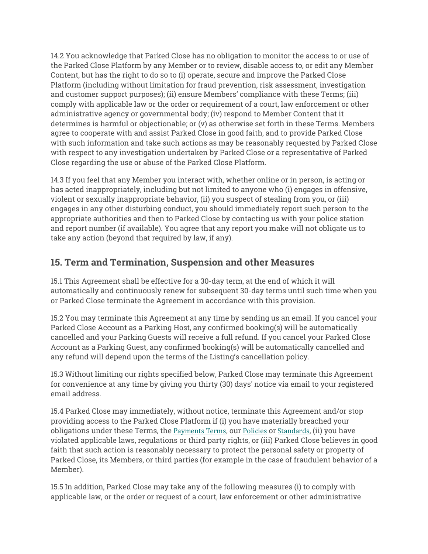14.2 You acknowledge that Parked Close has no obligation to monitor the access to or use of the Parked Close Platform by any Member or to review, disable access to, or edit any Member Content, but has the right to do so to (i) operate, secure and improve the Parked Close Platform (including without limitation for fraud prevention, risk assessment, investigation and customer support purposes); (ii) ensure Members' compliance with these Terms; (iii) comply with applicable law or the order or requirement of a court, law enforcement or other administrative agency or governmental body; (iv) respond to Member Content that it determines is harmful or objectionable; or (v) as otherwise set forth in these Terms. Members agree to cooperate with and assist Parked Close in good faith, and to provide Parked Close with such information and take such actions as may be reasonably requested by Parked Close with respect to any investigation undertaken by Parked Close or a representative of Parked Close regarding the use or abuse of the Parked Close Platform.

14.3 If you feel that any Member you interact with, whether online or in person, is acting or has acted inappropriately, including but not limited to anyone who (i) engages in offensive, violent or sexually inappropriate behavior, (ii) you suspect of stealing from you, or (iii) engages in any other disturbing conduct, you should immediately report such person to the appropriate authorities and then to Parked Close by contacting us with your police station and report number (if available). You agree that any report you make will not obligate us to take any action (beyond that required by law, if any).

## **15. Term and Termination, Suspension and other Measures**

15.1 This Agreement shall be effective for a 30-day term, at the end of which it will automatically and continuously renew for subsequent 30-day terms until such time when you or Parked Close terminate the Agreement in accordance with this provision.

15.2 You may terminate this Agreement at any time by sending us an email. If you cancel your Parked Close Account as a Parking Host, any confirmed booking(s) will be automatically cancelled and your Parking Guests will receive a full refund. If you cancel your Parked Close Account as a Parking Guest, any confirmed booking(s) will be automatically cancelled and any refund will depend upon the terms of the Listing's cancellation policy.

15.3 Without limiting our rights specified below, Parked Close may terminate this Agreement for convenience at any time by giving you thirty (30) days' notice via email to your registered email address.

15.4 Parked Close may immediately, without notice, terminate this Agreement and/or stop providing access to the Parked Close Platform if (i) you have materially breached your obligations under these Terms, the Payments Terms, our Policies or Standards, (ii) you have violated applicable laws, regulations or third party rights, or (iii) Parked Close believes in good faith that such action is reasonably necessary to protect the personal safety or property of Parked Close, its Members, or third parties (for example in the case of fraudulent behavior of a Member).

15.5 In addition, Parked Close may take any of the following measures (i) to comply with applicable law, or the order or request of a court, law enforcement or other administrative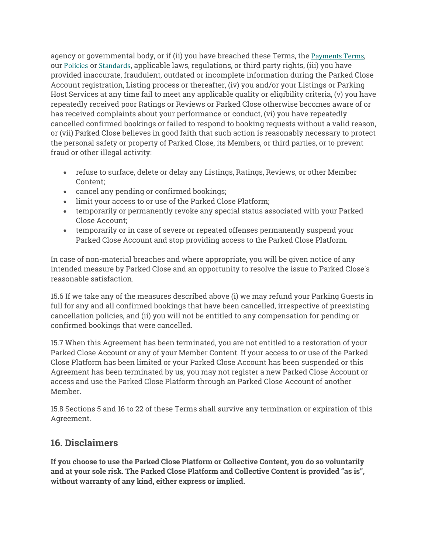agency or governmental body, or if (ii) you have breached these Terms, the Payments Terms, our Policies or Standards, applicable laws, regulations, or third party rights, (iii) you have provided inaccurate, fraudulent, outdated or incomplete information during the Parked Close Account registration, Listing process or thereafter, (iv) you and/or your Listings or Parking Host Services at any time fail to meet any applicable quality or eligibility criteria, (v) you have repeatedly received poor Ratings or Reviews or Parked Close otherwise becomes aware of or has received complaints about your performance or conduct, (vi) you have repeatedly cancelled confirmed bookings or failed to respond to booking requests without a valid reason, or (vii) Parked Close believes in good faith that such action is reasonably necessary to protect the personal safety or property of Parked Close, its Members, or third parties, or to prevent fraud or other illegal activity:

- refuse to surface, delete or delay any Listings, Ratings, Reviews, or other Member Content;
- cancel any pending or confirmed bookings;
- limit your access to or use of the Parked Close Platform;
- temporarily or permanently revoke any special status associated with your Parked Close Account;
- temporarily or in case of severe or repeated offenses permanently suspend your Parked Close Account and stop providing access to the Parked Close Platform.

In case of non-material breaches and where appropriate, you will be given notice of any intended measure by Parked Close and an opportunity to resolve the issue to Parked Close's reasonable satisfaction.

15.6 If we take any of the measures described above (i) we may refund your Parking Guests in full for any and all confirmed bookings that have been cancelled, irrespective of preexisting cancellation policies, and (ii) you will not be entitled to any compensation for pending or confirmed bookings that were cancelled.

15.7 When this Agreement has been terminated, you are not entitled to a restoration of your Parked Close Account or any of your Member Content. If your access to or use of the Parked Close Platform has been limited or your Parked Close Account has been suspended or this Agreement has been terminated by us, you may not register a new Parked Close Account or access and use the Parked Close Platform through an Parked Close Account of another Member.

15.8 Sections 5 and 16 to 22 of these Terms shall survive any termination or expiration of this Agreement.

## **16. Disclaimers**

**If you choose to use the Parked Close Platform or Collective Content, you do so voluntarily and at your sole risk. The Parked Close Platform and Collective Content is provided "as is", without warranty of any kind, either express or implied.**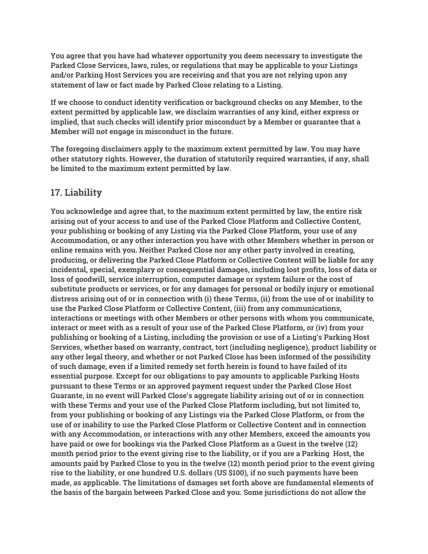**You agree that you have had whatever opportunity you deem necessary to investigate the Parked Close Services, laws, rules, or regulations that may be applicable to your Listings and/or Parking Host Services you are receiving and that you are not relying upon any statement of law or fact made by Parked Close relating to a Listing.**

**If we choose to conduct identity verification or background checks on any Member, to the extent permitted by applicable law, we disclaim warranties of any kind, either express or implied, that such checks will identify prior misconduct by a Member or guarantee that a Member will not engage in misconduct in the future.**

**The foregoing disclaimers apply to the maximum extent permitted by law. You may have other statutory rights. However, the duration of statutorily required warranties, if any, shall be limited to the maximum extent permitted by law.**

## **17. Liability**

**You acknowledge and agree that, to the maximum extent permitted by law, the entire risk arising out of your access to and use of the Parked Close Platform and Collective Content, your publishing or booking of any Listing via the Parked Close Platform, your use of any Accommodation, or any other interaction you have with other Members whether in person or online remains with you. Neither Parked Close nor any other party involved in creating, producing, or delivering the Parked Close Platform or Collective Content will be liable for any incidental, special, exemplary or consequential damages, including lost profits, loss of data or loss of goodwill, service interruption, computer damage or system failure or the cost of substitute products or services, or for any damages for personal or bodily injury or emotional distress arising out of or in connection with (i) these Terms, (ii) from the use of or inability to use the Parked Close Platform or Collective Content, (iii) from any communications, interactions or meetings with other Members or other persons with whom you communicate, interact or meet with as a result of your use of the Parked Close Platform, or (iv) from your publishing or booking of a Listing, including the provision or use of a Listing's Parking Host Services, whether based on warranty, contract, tort (including negligence), product liability or any other legal theory, and whether or not Parked Close has been informed of the possibility of such damage, even if a limited remedy set forth herein is found to have failed of its essential purpose. Except for our obligations to pay amounts to applicable Parking Hosts pursuant to these Terms or an approved payment request under the Parked Close Host Guarante, in no event will Parked Close's aggregate liability arising out of or in connection with these Terms and your use of the Parked Close Platform including, but not limited to, from your publishing or booking of any Listings via the Parked Close Platform, or from the use of or inability to use the Parked Close Platform or Collective Content and in connection with any Accommodation, or interactions with any other Members, exceed the amounts you have paid or owe for bookings via the Parked Close Platform as a Guest in the twelve (12) month period prior to the event giving rise to the liability, or if you are a Parking Host, the amounts paid by Parked Close to you in the twelve (12) month period prior to the event giving rise to the liability, or one hundred U.S. dollars (US \$100), if no such payments have been made, as applicable. The limitations of damages set forth above are fundamental elements of the basis of the bargain between Parked Close and you. Some jurisdictions do not allow the**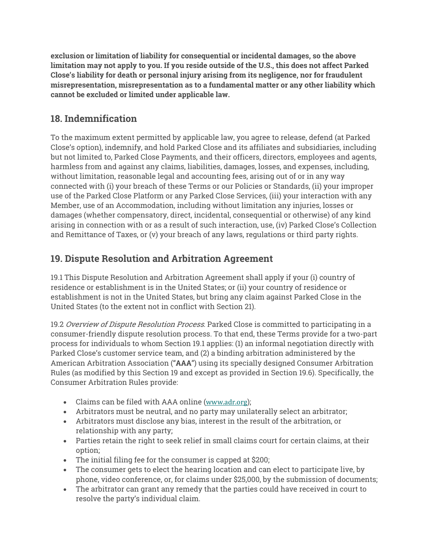**exclusion or limitation of liability for consequential or incidental damages, so the above limitation may not apply to you. If you reside outside of the U.S., this does not affect Parked Close's liability for death or personal injury arising from its negligence, nor for fraudulent misrepresentation, misrepresentation as to a fundamental matter or any other liability which cannot be excluded or limited under applicable law.**

# **18. Indemnification**

To the maximum extent permitted by applicable law, you agree to release, defend (at Parked Close's option), indemnify, and hold Parked Close and its affiliates and subsidiaries, including but not limited to, Parked Close Payments, and their officers, directors, employees and agents, harmless from and against any claims, liabilities, damages, losses, and expenses, including, without limitation, reasonable legal and accounting fees, arising out of or in any way connected with (i) your breach of these Terms or our Policies or Standards, (ii) your improper use of the Parked Close Platform or any Parked Close Services, (iii) your interaction with any Member, use of an Accommodation, including without limitation any injuries, losses or damages (whether compensatory, direct, incidental, consequential or otherwise) of any kind arising in connection with or as a result of such interaction, use, (iv) Parked Close's Collection and Remittance of Taxes, or (v) your breach of any laws, regulations or third party rights.

# **19. Dispute Resolution and Arbitration Agreement**

19.1 This Dispute Resolution and Arbitration Agreement shall apply if your (i) country of residence or establishment is in the United States; or (ii) your country of residence or establishment is not in the United States, but bring any claim against Parked Close in the United States (to the extent not in conflict with Section 21).

19.2 Overview of Dispute Resolution Process. Parked Close is committed to participating in a consumer-friendly dispute resolution process. To that end, these Terms provide for a two-part process for individuals to whom Section 19.1 applies: (1) an informal negotiation directly with Parked Close's customer service team, and (2) a binding arbitration administered by the American Arbitration Association ("**AAA**") using its specially designed Consumer Arbitration Rules (as modified by this Section 19 and except as provided in Section 19.6). Specifically, the Consumer Arbitration Rules provide:

- Claims can be filed with AAA online (www.adr.org);
- Arbitrators must be neutral, and no party may unilaterally select an arbitrator;
- Arbitrators must disclose any bias, interest in the result of the arbitration, or relationship with any party;
- Parties retain the right to seek relief in small claims court for certain claims, at their option;
- The initial filing fee for the consumer is capped at \$200;
- The consumer gets to elect the hearing location and can elect to participate live, by phone, video conference, or, for claims under \$25,000, by the submission of documents;
- The arbitrator can grant any remedy that the parties could have received in court to resolve the party's individual claim.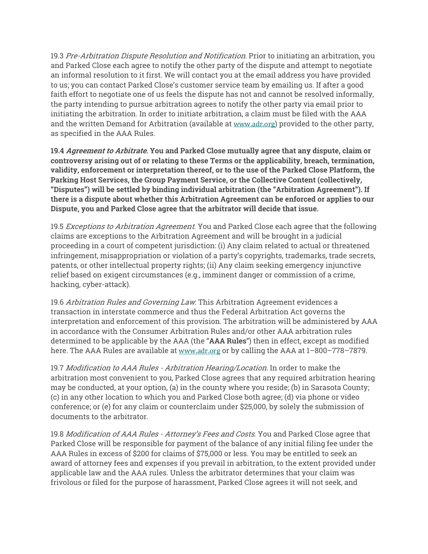19.3 Pre-Arbitration Dispute Resolution and Notification. Prior to initiating an arbitration, you and Parked Close each agree to notify the other party of the dispute and attempt to negotiate an informal resolution to it first. We will contact you at the email address you have provided to us; you can contact Parked Close's customer service team by emailing us. If after a good faith effort to negotiate one of us feels the dispute has not and cannot be resolved informally, the party intending to pursue arbitration agrees to notify the other party via email prior to initiating the arbitration. In order to initiate arbitration, a claim must be filed with the AAA and the written Demand for Arbitration (available at www.adr.org) provided to the other party, as specified in the AAA Rules.

**19.4 Agreement to Arbitrate. You and Parked Close mutually agree that any dispute, claim or controversy arising out of or relating to these Terms or the applicability, breach, termination, validity, enforcement or interpretation thereof, or to the use of the Parked Close Platform, the Parking Host Services, the Group Payment Service, or the Collective Content (collectively, "Disputes") will be settled by binding individual arbitration (the "Arbitration Agreement"). If there is a dispute about whether this Arbitration Agreement can be enforced or applies to our Dispute, you and Parked Close agree that the arbitrator will decide that issue.**

19.5 Exceptions to Arbitration Agreement. You and Parked Close each agree that the following claims are exceptions to the Arbitration Agreement and will be brought in a judicial proceeding in a court of competent jurisdiction: (i) Any claim related to actual or threatened infringement, misappropriation or violation of a party's copyrights, trademarks, trade secrets, patents, or other intellectual property rights; (ii) Any claim seeking emergency injunctive relief based on exigent circumstances (e.g., imminent danger or commission of a crime, hacking, cyber-attack).

19.6 Arbitration Rules and Governing Law. This Arbitration Agreement evidences a transaction in interstate commerce and thus the Federal Arbitration Act governs the interpretation and enforcement of this provision. The arbitration will be administered by AAA in accordance with the Consumer Arbitration Rules and/or other AAA arbitration rules determined to be applicable by the AAA (the "**AAA Rules**") then in effect, except as modified here. The AAA Rules are available at www.adr.org or by calling the AAA at 1–800–778–7879.

19.7 Modification to AAA Rules - Arbitration Hearing/Location. In order to make the arbitration most convenient to you, Parked Close agrees that any required arbitration hearing may be conducted, at your option, (a) in the county where you reside; (b) in Sarasota County; (c) in any other location to which you and Parked Close both agree; (d) via phone or video conference; or (e) for any claim or counterclaim under \$25,000, by solely the submission of documents to the arbitrator.

19.8 Modification of AAA Rules - Attorney's Fees and Costs. You and Parked Close agree that Parked Close will be responsible for payment of the balance of any initial filing fee under the AAA Rules in excess of \$200 for claims of \$75,000 or less. You may be entitled to seek an award of attorney fees and expenses if you prevail in arbitration, to the extent provided under applicable law and the AAA rules. Unless the arbitrator determines that your claim was frivolous or filed for the purpose of harassment, Parked Close agrees it will not seek, and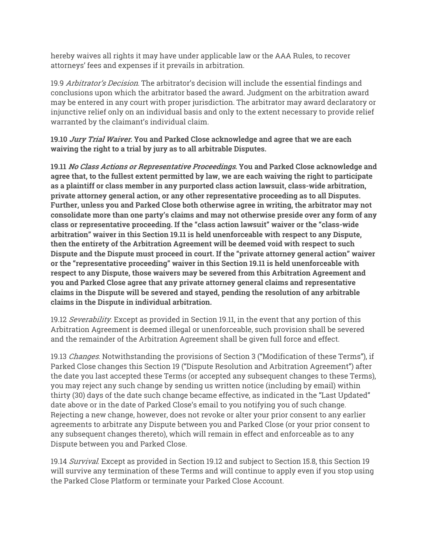hereby waives all rights it may have under applicable law or the AAA Rules, to recover attorneys' fees and expenses if it prevails in arbitration.

19.9 Arbitrator's Decision. The arbitrator's decision will include the essential findings and conclusions upon which the arbitrator based the award. Judgment on the arbitration award may be entered in any court with proper jurisdiction. The arbitrator may award declaratory or injunctive relief only on an individual basis and only to the extent necessary to provide relief warranted by the claimant's individual claim.

**19.10 Jury Trial Waiver. You and Parked Close acknowledge and agree that we are each waiving the right to a trial by jury as to all arbitrable Disputes.**

**19.11 No Class Actions or Representative Proceedings. You and Parked Close acknowledge and agree that, to the fullest extent permitted by law, we are each waiving the right to participate as a plaintiff or class member in any purported class action lawsuit, class-wide arbitration, private attorney general action, or any other representative proceeding as to all Disputes. Further, unless you and Parked Close both otherwise agree in writing, the arbitrator may not consolidate more than one party's claims and may not otherwise preside over any form of any class or representative proceeding. If the "class action lawsuit" waiver or the "class-wide arbitration" waiver in this Section 19.11 is held unenforceable with respect to any Dispute, then the entirety of the Arbitration Agreement will be deemed void with respect to such Dispute and the Dispute must proceed in court. If the "private attorney general action" waiver or the "representative proceeding" waiver in this Section 19.11 is held unenforceable with respect to any Dispute, those waivers may be severed from this Arbitration Agreement and you and Parked Close agree that any private attorney general claims and representative claims in the Dispute will be severed and stayed, pending the resolution of any arbitrable claims in the Dispute in individual arbitration.**

19.12 Severability. Except as provided in Section 19.11, in the event that any portion of this Arbitration Agreement is deemed illegal or unenforceable, such provision shall be severed and the remainder of the Arbitration Agreement shall be given full force and effect.

19.13 *Changes*. Notwithstanding the provisions of Section 3 ("Modification of these Terms"), if Parked Close changes this Section 19 ("Dispute Resolution and Arbitration Agreement") after the date you last accepted these Terms (or accepted any subsequent changes to these Terms), you may reject any such change by sending us written notice (including by email) within thirty (30) days of the date such change became effective, as indicated in the "Last Updated" date above or in the date of Parked Close's email to you notifying you of such change. Rejecting a new change, however, does not revoke or alter your prior consent to any earlier agreements to arbitrate any Dispute between you and Parked Close (or your prior consent to any subsequent changes thereto), which will remain in effect and enforceable as to any Dispute between you and Parked Close.

19.14 Survival. Except as provided in Section 19.12 and subject to Section 15.8, this Section 19 will survive any termination of these Terms and will continue to apply even if you stop using the Parked Close Platform or terminate your Parked Close Account.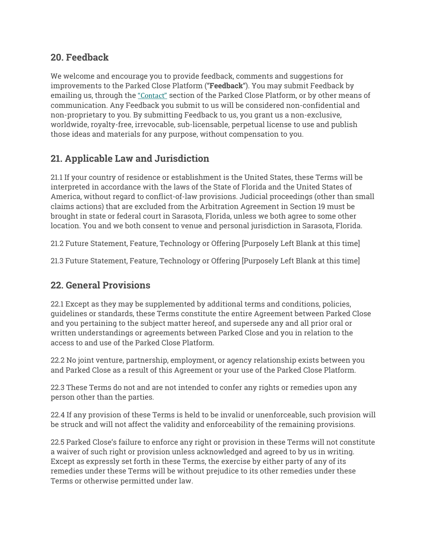## **20. Feedback**

We welcome and encourage you to provide feedback, comments and suggestions for improvements to the Parked Close Platform ("**Feedback**"). You may submit Feedback by emailing us, through the "Contact" section of the Parked Close Platform, or by other means of communication. Any Feedback you submit to us will be considered non-confidential and non-proprietary to you. By submitting Feedback to us, you grant us a non-exclusive, worldwide, royalty-free, irrevocable, sub-licensable, perpetual license to use and publish those ideas and materials for any purpose, without compensation to you.

# **21. Applicable Law and Jurisdiction**

21.1 If your country of residence or establishment is the United States, these Terms will be interpreted in accordance with the laws of the State of Florida and the United States of America, without regard to conflict-of-law provisions. Judicial proceedings (other than small claims actions) that are excluded from the Arbitration Agreement in Section 19 must be brought in state or federal court in Sarasota, Florida, unless we both agree to some other location. You and we both consent to venue and personal jurisdiction in Sarasota, Florida.

21.2 Future Statement, Feature, Technology or Offering [Purposely Left Blank at this time]

21.3 Future Statement, Feature, Technology or Offering [Purposely Left Blank at this time]

## **22. General Provisions**

22.1 Except as they may be supplemented by additional terms and conditions, policies, guidelines or standards, these Terms constitute the entire Agreement between Parked Close and you pertaining to the subject matter hereof, and supersede any and all prior oral or written understandings or agreements between Parked Close and you in relation to the access to and use of the Parked Close Platform.

22.2 No joint venture, partnership, employment, or agency relationship exists between you and Parked Close as a result of this Agreement or your use of the Parked Close Platform.

22.3 These Terms do not and are not intended to confer any rights or remedies upon any person other than the parties.

22.4 If any provision of these Terms is held to be invalid or unenforceable, such provision will be struck and will not affect the validity and enforceability of the remaining provisions.

22.5 Parked Close's failure to enforce any right or provision in these Terms will not constitute a waiver of such right or provision unless acknowledged and agreed to by us in writing. Except as expressly set forth in these Terms, the exercise by either party of any of its remedies under these Terms will be without prejudice to its other remedies under these Terms or otherwise permitted under law.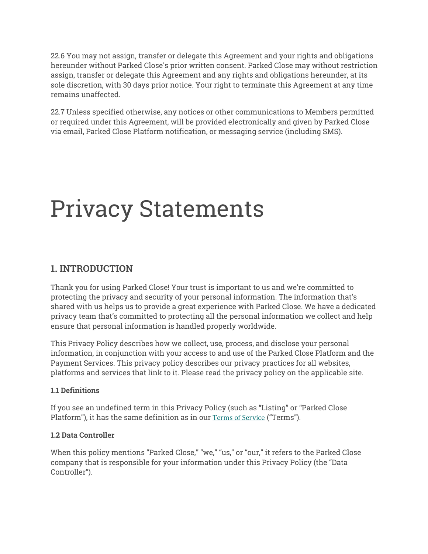22.6 You may not assign, transfer or delegate this Agreement and your rights and obligations hereunder without Parked Close's prior written consent. Parked Close may without restriction assign, transfer or delegate this Agreement and any rights and obligations hereunder, at its sole discretion, with 30 days prior notice. Your right to terminate this Agreement at any time remains unaffected.

22.7 Unless specified otherwise, any notices or other communications to Members permitted or required under this Agreement, will be provided electronically and given by Parked Close via email, Parked Close Platform notification, or messaging service (including SMS).

# Privacy Statements

## **1. INTRODUCTION**

Thank you for using Parked Close! Your trust is important to us and we're committed to protecting the privacy and security of your personal information. The information that's shared with us helps us to provide a great experience with Parked Close. We have a dedicated privacy team that's committed to protecting all the personal information we collect and help ensure that personal information is handled properly worldwide.

This Privacy Policy describes how we collect, use, process, and disclose your personal information, in conjunction with your access to and use of the Parked Close Platform and the Payment Services. This privacy policy describes our privacy practices for all websites, platforms and services that link to it. Please read the privacy policy on the applicable site.

#### **1.1 Definitions**

If you see an undefined term in this Privacy Policy (such as "Listing" or "Parked Close Platform"), it has the same definition as in our Terms of Service ("Terms").

#### **1.2 Data Controller**

When this policy mentions "Parked Close," "we," "us," or "our," it refers to the Parked Close company that is responsible for your information under this Privacy Policy (the "Data Controller").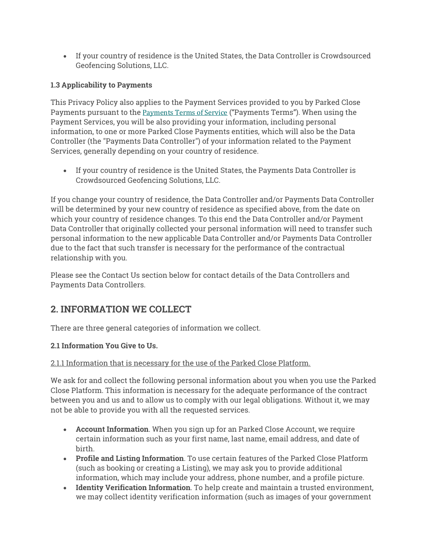• If your country of residence is the United States, the Data Controller is Crowdsourced Geofencing Solutions, LLC.

#### **1.3 Applicability to Payments**

This Privacy Policy also applies to the Payment Services provided to you by Parked Close Payments pursuant to the Payments Terms of Service ("Payments Terms"). When using the Payment Services, you will be also providing your information, including personal information, to one or more Parked Close Payments entities, which will also be the Data Controller (the "Payments Data Controller") of your information related to the Payment Services, generally depending on your country of residence.

• If your country of residence is the United States, the Payments Data Controller is Crowdsourced Geofencing Solutions, LLC.

If you change your country of residence, the Data Controller and/or Payments Data Controller will be determined by your new country of residence as specified above, from the date on which your country of residence changes. To this end the Data Controller and/or Payment Data Controller that originally collected your personal information will need to transfer such personal information to the new applicable Data Controller and/or Payments Data Controller due to the fact that such transfer is necessary for the performance of the contractual relationship with you.

Please see the Contact Us section below for contact details of the Data Controllers and Payments Data Controllers.

## **2. INFORMATION WE COLLECT**

There are three general categories of information we collect.

#### **2.1 Information You Give to Us.**

#### 2.1.1 Information that is necessary for the use of the Parked Close Platform.

We ask for and collect the following personal information about you when you use the Parked Close Platform. This information is necessary for the adequate performance of the contract between you and us and to allow us to comply with our legal obligations. Without it, we may not be able to provide you with all the requested services.

- **Account Information**. When you sign up for an Parked Close Account, we require certain information such as your first name, last name, email address, and date of birth.
- **Profile and Listing Information**. To use certain features of the Parked Close Platform (such as booking or creating a Listing), we may ask you to provide additional information, which may include your address, phone number, and a profile picture.
- **Identity Verification Information**. To help create and maintain a trusted environment, we may collect identity verification information (such as images of your government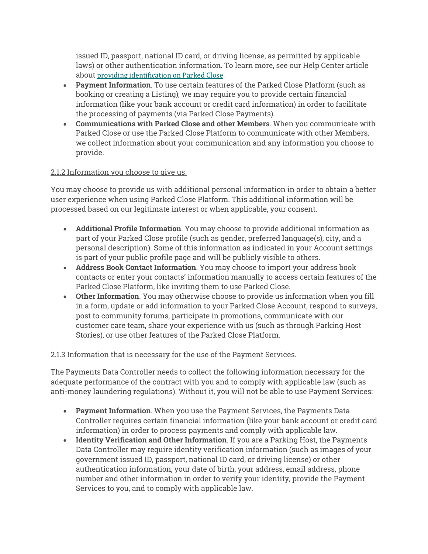issued ID, passport, national ID card, or driving license, as permitted by applicable laws) or other authentication information. To learn more, see our Help Center article about providing identification on Parked Close.

- **Payment Information**. To use certain features of the Parked Close Platform (such as booking or creating a Listing), we may require you to provide certain financial information (like your bank account or credit card information) in order to facilitate the processing of payments (via Parked Close Payments).
- **Communications with Parked Close and other Members**. When you communicate with Parked Close or use the Parked Close Platform to communicate with other Members, we collect information about your communication and any information you choose to provide.

#### 2.1.2 Information you choose to give us.

You may choose to provide us with additional personal information in order to obtain a better user experience when using Parked Close Platform. This additional information will be processed based on our legitimate interest or when applicable, your consent.

- **Additional Profile Information**. You may choose to provide additional information as part of your Parked Close profile (such as gender, preferred language(s), city, and a personal description). Some of this information as indicated in your Account settings is part of your public profile page and will be publicly visible to others.
- **Address Book Contact Information**. You may choose to import your address book contacts or enter your contacts' information manually to access certain features of the Parked Close Platform, like inviting them to use Parked Close.
- **Other Information**. You may otherwise choose to provide us information when you fill in a form, update or add information to your Parked Close Account, respond to surveys, post to community forums, participate in promotions, communicate with our customer care team, share your experience with us (such as through Parking Host Stories), or use other features of the Parked Close Platform.

#### 2.1.3 Information that is necessary for the use of the Payment Services.

The Payments Data Controller needs to collect the following information necessary for the adequate performance of the contract with you and to comply with applicable law (such as anti-money laundering regulations). Without it, you will not be able to use Payment Services:

- **Payment Information**. When you use the Payment Services, the Payments Data Controller requires certain financial information (like your bank account or credit card information) in order to process payments and comply with applicable law.
- **Identity Verification and Other Information**. If you are a Parking Host, the Payments Data Controller may require identity verification information (such as images of your government issued ID, passport, national ID card, or driving license) or other authentication information, your date of birth, your address, email address, phone number and other information in order to verify your identity, provide the Payment Services to you, and to comply with applicable law.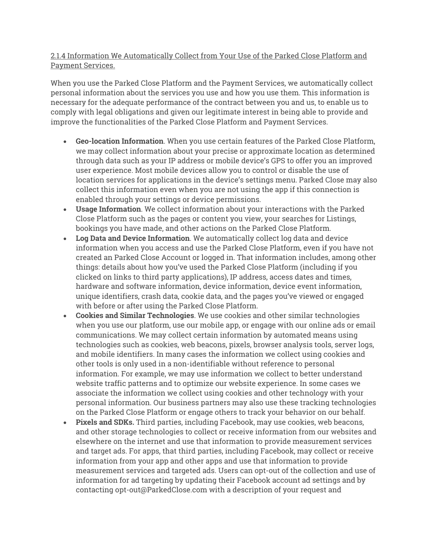#### 2.1.4 Information We Automatically Collect from Your Use of the Parked Close Platform and Payment Services.

When you use the Parked Close Platform and the Payment Services, we automatically collect personal information about the services you use and how you use them. This information is necessary for the adequate performance of the contract between you and us, to enable us to comply with legal obligations and given our legitimate interest in being able to provide and improve the functionalities of the Parked Close Platform and Payment Services.

- **Geo-location Information**. When you use certain features of the Parked Close Platform, we may collect information about your precise or approximate location as determined through data such as your IP address or mobile device's GPS to offer you an improved user experience. Most mobile devices allow you to control or disable the use of location services for applications in the device's settings menu. Parked Close may also collect this information even when you are not using the app if this connection is enabled through your settings or device permissions.
- **Usage Information**. We collect information about your interactions with the Parked Close Platform such as the pages or content you view, your searches for Listings, bookings you have made, and other actions on the Parked Close Platform.
- **Log Data and Device Information**. We automatically collect log data and device information when you access and use the Parked Close Platform, even if you have not created an Parked Close Account or logged in. That information includes, among other things: details about how you've used the Parked Close Platform (including if you clicked on links to third party applications), IP address, access dates and times, hardware and software information, device information, device event information, unique identifiers, crash data, cookie data, and the pages you've viewed or engaged with before or after using the Parked Close Platform.
- **Cookies and Similar Technologies**. We use cookies and other similar technologies when you use our platform, use our mobile app, or engage with our online ads or email communications. We may collect certain information by automated means using technologies such as cookies, web beacons, pixels, browser analysis tools, server logs, and mobile identifiers. In many cases the information we collect using cookies and other tools is only used in a non-identifiable without reference to personal information. For example, we may use information we collect to better understand website traffic patterns and to optimize our website experience. In some cases we associate the information we collect using cookies and other technology with your personal information. Our business partners may also use these tracking technologies on the Parked Close Platform or engage others to track your behavior on our behalf.
- **Pixels and SDKs.** Third parties, including Facebook, may use cookies, web beacons, and other storage technologies to collect or receive information from our websites and elsewhere on the internet and use that information to provide measurement services and target ads. For apps, that third parties, including Facebook, may collect or receive information from your app and other apps and use that information to provide measurement services and targeted ads. Users can opt-out of the collection and use of information for ad targeting by updating their Facebook account ad settings and by contacting opt-out@ParkedClose.com with a description of your request and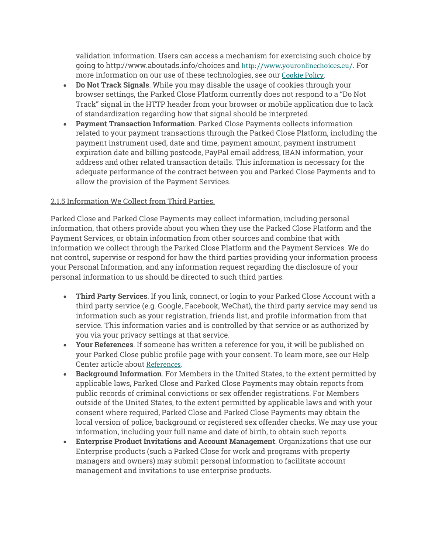validation information. Users can access a mechanism for exercising such choice by going to http://www.aboutads.info/choices and http://www.youronlinechoices.eu/. For more information on our use of these technologies, see our Cookie Policy.

- **Do Not Track Signals**. While you may disable the usage of cookies through your browser settings, the Parked Close Platform currently does not respond to a "Do Not Track" signal in the HTTP header from your browser or mobile application due to lack of standardization regarding how that signal should be interpreted.
- **Payment Transaction Information**. Parked Close Payments collects information related to your payment transactions through the Parked Close Platform, including the payment instrument used, date and time, payment amount, payment instrument expiration date and billing postcode, PayPal email address, IBAN information, your address and other related transaction details. This information is necessary for the adequate performance of the contract between you and Parked Close Payments and to allow the provision of the Payment Services.

#### 2.1.5 Information We Collect from Third Parties.

Parked Close and Parked Close Payments may collect information, including personal information, that others provide about you when they use the Parked Close Platform and the Payment Services, or obtain information from other sources and combine that with information we collect through the Parked Close Platform and the Payment Services. We do not control, supervise or respond for how the third parties providing your information process your Personal Information, and any information request regarding the disclosure of your personal information to us should be directed to such third parties.

- **Third Party Services**. If you link, connect, or login to your Parked Close Account with a third party service (e.g. Google, Facebook, WeChat), the third party service may send us information such as your registration, friends list, and profile information from that service. This information varies and is controlled by that service or as authorized by you via your privacy settings at that service.
- **Your References**. If someone has written a reference for you, it will be published on your Parked Close public profile page with your consent. To learn more, see our Help Center article about References.
- **Background Information**. For Members in the United States, to the extent permitted by applicable laws, Parked Close and Parked Close Payments may obtain reports from public records of criminal convictions or sex offender registrations. For Members outside of the United States, to the extent permitted by applicable laws and with your consent where required, Parked Close and Parked Close Payments may obtain the local version of police, background or registered sex offender checks. We may use your information, including your full name and date of birth, to obtain such reports.
- **Enterprise Product Invitations and Account Management**. Organizations that use our Enterprise products (such a Parked Close for work and programs with property managers and owners) may submit personal information to facilitate account management and invitations to use enterprise products.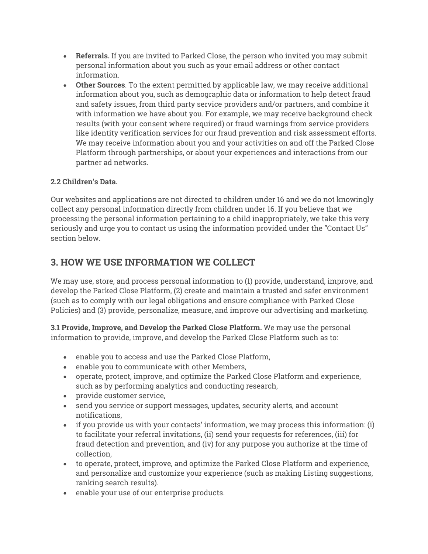- **Referrals.** If you are invited to Parked Close, the person who invited you may submit personal information about you such as your email address or other contact information.
- **Other Sources**. To the extent permitted by applicable law, we may receive additional information about you, such as demographic data or information to help detect fraud and safety issues, from third party service providers and/or partners, and combine it with information we have about you. For example, we may receive background check results (with your consent where required) or fraud warnings from service providers like identity verification services for our fraud prevention and risk assessment efforts. We may receive information about you and your activities on and off the Parked Close Platform through partnerships, or about your experiences and interactions from our partner ad networks.

#### **2.2 Children's Data.**

Our websites and applications are not directed to children under 16 and we do not knowingly collect any personal information directly from children under 16. If you believe that we processing the personal information pertaining to a child inappropriately, we take this very seriously and urge you to contact us using the information provided under the "Contact Us" section below.

## **3. HOW WE USE INFORMATION WE COLLECT**

We may use, store, and process personal information to (1) provide, understand, improve, and develop the Parked Close Platform, (2) create and maintain a trusted and safer environment (such as to comply with our legal obligations and ensure compliance with Parked Close Policies) and (3) provide, personalize, measure, and improve our advertising and marketing.

**3.1 Provide, Improve, and Develop the Parked Close Platform.** We may use the personal information to provide, improve, and develop the Parked Close Platform such as to:

- enable you to access and use the Parked Close Platform,
- enable you to communicate with other Members,
- operate, protect, improve, and optimize the Parked Close Platform and experience, such as by performing analytics and conducting research,
- provide customer service,
- send you service or support messages, updates, security alerts, and account notifications,
- if you provide us with your contacts' information, we may process this information: (i) to facilitate your referral invitations, (ii) send your requests for references, (iii) for fraud detection and prevention, and (iv) for any purpose you authorize at the time of collection,
- to operate, protect, improve, and optimize the Parked Close Platform and experience, and personalize and customize your experience (such as making Listing suggestions, ranking search results).
- enable your use of our enterprise products.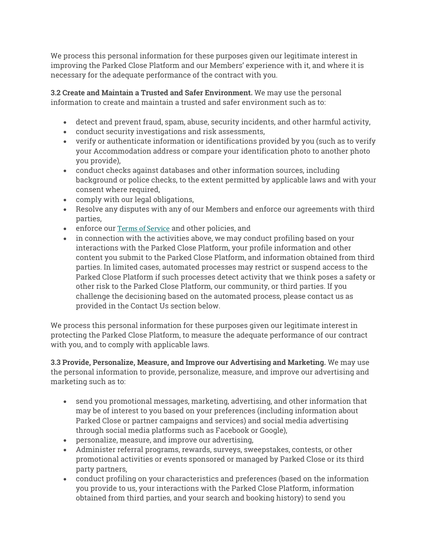We process this personal information for these purposes given our legitimate interest in improving the Parked Close Platform and our Members' experience with it, and where it is necessary for the adequate performance of the contract with you.

**3.2 Create and Maintain a Trusted and Safer Environment.** We may use the personal information to create and maintain a trusted and safer environment such as to:

- detect and prevent fraud, spam, abuse, security incidents, and other harmful activity,
- conduct security investigations and risk assessments,
- verify or authenticate information or identifications provided by you (such as to verify your Accommodation address or compare your identification photo to another photo you provide),
- conduct checks against databases and other information sources, including background or police checks, to the extent permitted by applicable laws and with your consent where required,
- comply with our legal obligations,
- Resolve any disputes with any of our Members and enforce our agreements with third parties,
- enforce our Terms of Service and other policies, and
- in connection with the activities above, we may conduct profiling based on your interactions with the Parked Close Platform, your profile information and other content you submit to the Parked Close Platform, and information obtained from third parties. In limited cases, automated processes may restrict or suspend access to the Parked Close Platform if such processes detect activity that we think poses a safety or other risk to the Parked Close Platform, our community, or third parties. If you challenge the decisioning based on the automated process, please contact us as provided in the Contact Us section below.

We process this personal information for these purposes given our legitimate interest in protecting the Parked Close Platform, to measure the adequate performance of our contract with you, and to comply with applicable laws.

**3.3 Provide, Personalize, Measure, and Improve our Advertising and Marketing.** We may use the personal information to provide, personalize, measure, and improve our advertising and marketing such as to:

- send you promotional messages, marketing, advertising, and other information that may be of interest to you based on your preferences (including information about Parked Close or partner campaigns and services) and social media advertising through social media platforms such as Facebook or Google),
- personalize, measure, and improve our advertising,
- Administer referral programs, rewards, surveys, sweepstakes, contests, or other promotional activities or events sponsored or managed by Parked Close or its third party partners,
- conduct profiling on your characteristics and preferences (based on the information you provide to us, your interactions with the Parked Close Platform, information obtained from third parties, and your search and booking history) to send you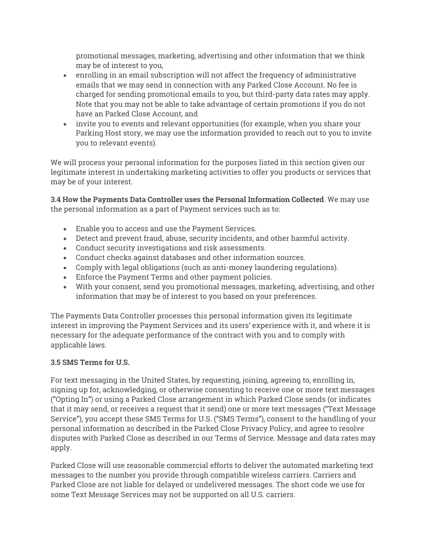promotional messages, marketing, advertising and other information that we think may be of interest to you,

- enrolling in an email subscription will not affect the frequency of administrative emails that we may send in connection with any Parked Close Account. No fee is charged for sending promotional emails to you, but third-party data rates may apply. Note that you may not be able to take advantage of certain promotions if you do not have an Parked Close Account, and
- invite you to events and relevant opportunities (for example, when you share your Parking Host story, we may use the information provided to reach out to you to invite you to relevant events).

We will process your personal information for the purposes listed in this section given our legitimate interest in undertaking marketing activities to offer you products or services that may be of your interest.

**3.4 How the Payments Data Controller uses the Personal Information Collected**. We may use the personal information as a part of Payment services such as to:

- Enable you to access and use the Payment Services.
- Detect and prevent fraud, abuse, security incidents, and other harmful activity.
- Conduct security investigations and risk assessments.
- Conduct checks against databases and other information sources.
- Comply with legal obligations (such as anti-money laundering regulations).
- Enforce the Payment Terms and other payment policies.
- With your consent, send you promotional messages, marketing, advertising, and other information that may be of interest to you based on your preferences.

The Payments Data Controller processes this personal information given its legitimate interest in improving the Payment Services and its users' experience with it, and where it is necessary for the adequate performance of the contract with you and to comply with applicable laws.

#### **3.5 SMS Terms for U.S.**

For text messaging in the United States, by requesting, joining, agreeing to, enrolling in, signing up for, acknowledging, or otherwise consenting to receive one or more text messages ("Opting In") or using a Parked Close arrangement in which Parked Close sends (or indicates that it may send, or receives a request that it send) one or more text messages ("Text Message Service"), you accept these SMS Terms for U.S. ("SMS Terms"), consent to the handling of your personal information as described in the Parked Close Privacy Policy, and agree to resolve disputes with Parked Close as described in our Terms of Service. Message and data rates may apply.

Parked Close will use reasonable commercial efforts to deliver the automated marketing text messages to the number you provide through compatible wireless carriers. Carriers and Parked Close are not liable for delayed or undelivered messages. The short code we use for some Text Message Services may not be supported on all U.S. carriers.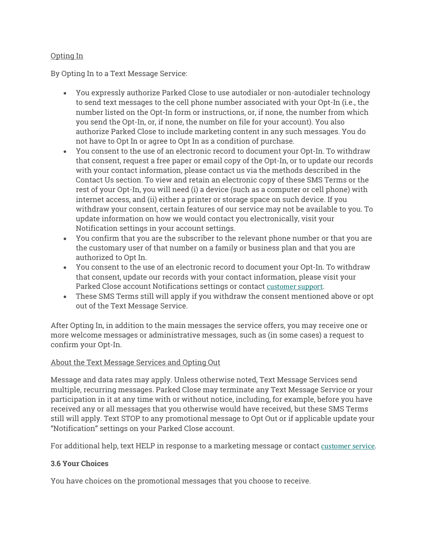#### Opting In

By Opting In to a Text Message Service:

- You expressly authorize Parked Close to use autodialer or non-autodialer technology to send text messages to the cell phone number associated with your Opt-In (i.e., the number listed on the Opt-In form or instructions, or, if none, the number from which you send the Opt-In, or, if none, the number on file for your account). You also authorize Parked Close to include marketing content in any such messages. You do not have to Opt In or agree to Opt In as a condition of purchase.
- You consent to the use of an electronic record to document your Opt-In. To withdraw that consent, request a free paper or email copy of the Opt-In, or to update our records with your contact information, please contact us via the methods described in the Contact Us section. To view and retain an electronic copy of these SMS Terms or the rest of your Opt-In, you will need (i) a device (such as a computer or cell phone) with internet access, and (ii) either a printer or storage space on such device. If you withdraw your consent, certain features of our service may not be available to you. To update information on how we would contact you electronically, visit your Notification settings in your account settings.
- You confirm that you are the subscriber to the relevant phone number or that you are the customary user of that number on a family or business plan and that you are authorized to Opt In.
- You consent to the use of an electronic record to document your Opt-In. To withdraw that consent, update our records with your contact information, please visit your Parked Close account Notifications settings or contact customer support.
- These SMS Terms still will apply if you withdraw the consent mentioned above or opt out of the Text Message Service.

After Opting In, in addition to the main messages the service offers, you may receive one or more welcome messages or administrative messages, such as (in some cases) a request to confirm your Opt-In.

#### About the Text Message Services and Opting Out

Message and data rates may apply. Unless otherwise noted, Text Message Services send multiple, recurring messages. Parked Close may terminate any Text Message Service or your participation in it at any time with or without notice, including, for example, before you have received any or all messages that you otherwise would have received, but these SMS Terms still will apply. Text STOP to any promotional message to Opt Out or if applicable update your "Notification" settings on your Parked Close account.

For additional help, text HELP in response to a marketing message or contact customer service.

#### **3.6 Your Choices**

You have choices on the promotional messages that you choose to receive.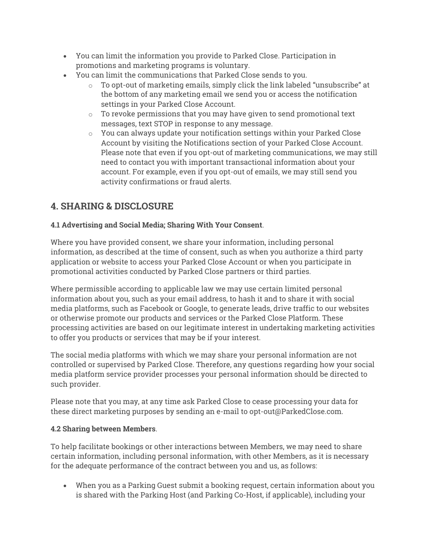- You can limit the information you provide to Parked Close. Participation in promotions and marketing programs is voluntary.
- You can limit the communications that Parked Close sends to you.
	- o To opt-out of marketing emails, simply click the link labeled "unsubscribe" at the bottom of any marketing email we send you or access the notification settings in your Parked Close Account.
	- $\circ$  To revoke permissions that you may have given to send promotional text messages, text STOP in response to any message.
	- $\circ$  You can always update your notification settings within your Parked Close Account by visiting the Notifications section of your Parked Close Account. Please note that even if you opt-out of marketing communications, we may still need to contact you with important transactional information about your account. For example, even if you opt-out of emails, we may still send you activity confirmations or fraud alerts.

## **4. SHARING & DISCLOSURE**

#### **4.1 Advertising and Social Media; Sharing With Your Consent**.

Where you have provided consent, we share your information, including personal information, as described at the time of consent, such as when you authorize a third party application or website to access your Parked Close Account or when you participate in promotional activities conducted by Parked Close partners or third parties.

Where permissible according to applicable law we may use certain limited personal information about you, such as your email address, to hash it and to share it with social media platforms, such as Facebook or Google, to generate leads, drive traffic to our websites or otherwise promote our products and services or the Parked Close Platform. These processing activities are based on our legitimate interest in undertaking marketing activities to offer you products or services that may be if your interest.

The social media platforms with which we may share your personal information are not controlled or supervised by Parked Close. Therefore, any questions regarding how your social media platform service provider processes your personal information should be directed to such provider.

Please note that you may, at any time ask Parked Close to cease processing your data for these direct marketing purposes by sending an e-mail to opt-out@ParkedClose.com.

#### **4.2 Sharing between Members**.

To help facilitate bookings or other interactions between Members, we may need to share certain information, including personal information, with other Members, as it is necessary for the adequate performance of the contract between you and us, as follows:

• When you as a Parking Guest submit a booking request, certain information about you is shared with the Parking Host (and Parking Co-Host, if applicable), including your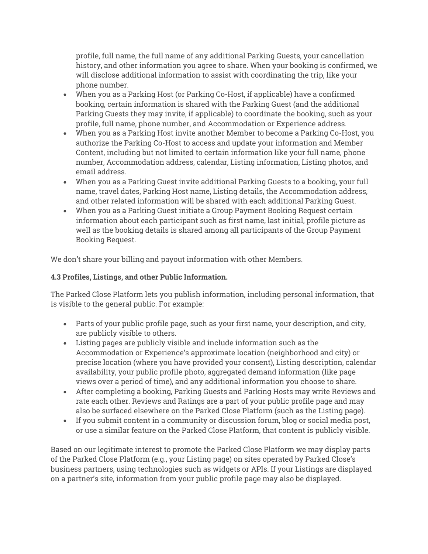profile, full name, the full name of any additional Parking Guests, your cancellation history, and other information you agree to share. When your booking is confirmed, we will disclose additional information to assist with coordinating the trip, like your phone number.

- When you as a Parking Host (or Parking Co-Host, if applicable) have a confirmed booking, certain information is shared with the Parking Guest (and the additional Parking Guests they may invite, if applicable) to coordinate the booking, such as your profile, full name, phone number, and Accommodation or Experience address.
- When you as a Parking Host invite another Member to become a Parking Co-Host, you authorize the Parking Co-Host to access and update your information and Member Content, including but not limited to certain information like your full name, phone number, Accommodation address, calendar, Listing information, Listing photos, and email address.
- When you as a Parking Guest invite additional Parking Guests to a booking, your full name, travel dates, Parking Host name, Listing details, the Accommodation address, and other related information will be shared with each additional Parking Guest.
- When you as a Parking Guest initiate a Group Payment Booking Request certain information about each participant such as first name, last initial, profile picture as well as the booking details is shared among all participants of the Group Payment Booking Request.

We don't share your billing and payout information with other Members.

#### **4.3 Profiles, Listings, and other Public Information.**

The Parked Close Platform lets you publish information, including personal information, that is visible to the general public. For example:

- Parts of your public profile page, such as your first name, your description, and city, are publicly visible to others.
- Listing pages are publicly visible and include information such as the Accommodation or Experience's approximate location (neighborhood and city) or precise location (where you have provided your consent), Listing description, calendar availability, your public profile photo, aggregated demand information (like page views over a period of time), and any additional information you choose to share.
- After completing a booking, Parking Guests and Parking Hosts may write Reviews and rate each other. Reviews and Ratings are a part of your public profile page and may also be surfaced elsewhere on the Parked Close Platform (such as the Listing page).
- If you submit content in a community or discussion forum, blog or social media post, or use a similar feature on the Parked Close Platform, that content is publicly visible.

Based on our legitimate interest to promote the Parked Close Platform we may display parts of the Parked Close Platform (e.g., your Listing page) on sites operated by Parked Close's business partners, using technologies such as widgets or APIs. If your Listings are displayed on a partner's site, information from your public profile page may also be displayed.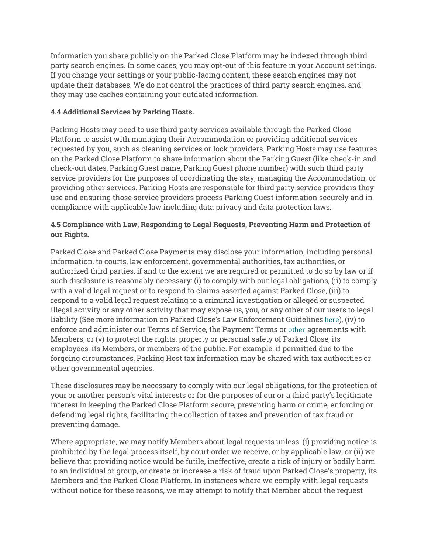Information you share publicly on the Parked Close Platform may be indexed through third party search engines. In some cases, you may opt-out of this feature in your Account settings. If you change your settings or your public-facing content, these search engines may not update their databases. We do not control the practices of third party search engines, and they may use caches containing your outdated information.

#### **4.4 Additional Services by Parking Hosts.**

Parking Hosts may need to use third party services available through the Parked Close Platform to assist with managing their Accommodation or providing additional services requested by you, such as cleaning services or lock providers. Parking Hosts may use features on the Parked Close Platform to share information about the Parking Guest (like check-in and check-out dates, Parking Guest name, Parking Guest phone number) with such third party service providers for the purposes of coordinating the stay, managing the Accommodation, or providing other services. Parking Hosts are responsible for third party service providers they use and ensuring those service providers process Parking Guest information securely and in compliance with applicable law including data privacy and data protection laws.

#### **4.5 Compliance with Law, Responding to Legal Requests, Preventing Harm and Protection of our Rights.**

Parked Close and Parked Close Payments may disclose your information, including personal information, to courts, law enforcement, governmental authorities, tax authorities, or authorized third parties, if and to the extent we are required or permitted to do so by law or if such disclosure is reasonably necessary: (i) to comply with our legal obligations, (ii) to comply with a valid legal request or to respond to claims asserted against Parked Close, (iii) to respond to a valid legal request relating to a criminal investigation or alleged or suspected illegal activity or any other activity that may expose us, you, or any other of our users to legal liability (See more information on Parked Close's Law Enforcement Guidelines here), (iv) to enforce and administer our Terms of Service, the Payment Terms or other agreements with Members, or (v) to protect the rights, property or personal safety of Parked Close, its employees, its Members, or members of the public. For example, if permitted due to the forgoing circumstances, Parking Host tax information may be shared with tax authorities or other governmental agencies.

These disclosures may be necessary to comply with our legal obligations, for the protection of your or another person's vital interests or for the purposes of our or a third party's legitimate interest in keeping the Parked Close Platform secure, preventing harm or crime, enforcing or defending legal rights, facilitating the collection of taxes and prevention of tax fraud or preventing damage.

Where appropriate, we may notify Members about legal requests unless: (i) providing notice is prohibited by the legal process itself, by court order we receive, or by applicable law, or (ii) we believe that providing notice would be futile, ineffective, create a risk of injury or bodily harm to an individual or group, or create or increase a risk of fraud upon Parked Close's property, its Members and the Parked Close Platform. In instances where we comply with legal requests without notice for these reasons, we may attempt to notify that Member about the request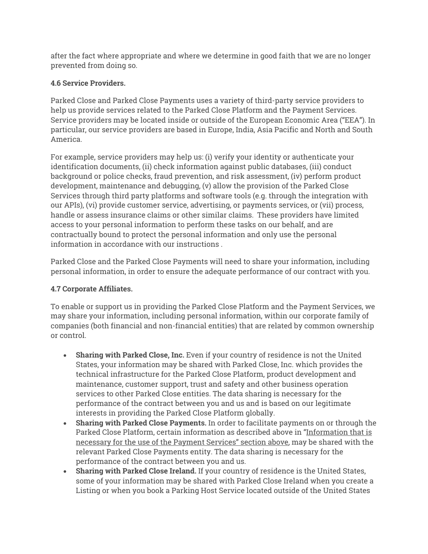after the fact where appropriate and where we determine in good faith that we are no longer prevented from doing so.

#### **4.6 Service Providers.**

Parked Close and Parked Close Payments uses a variety of third-party service providers to help us provide services related to the Parked Close Platform and the Payment Services. Service providers may be located inside or outside of the European Economic Area ("EEA"). In particular, our service providers are based in Europe, India, Asia Pacific and North and South America.

For example, service providers may help us: (i) verify your identity or authenticate your identification documents, (ii) check information against public databases, (iii) conduct background or police checks, fraud prevention, and risk assessment, (iv) perform product development, maintenance and debugging, (v) allow the provision of the Parked Close Services through third party platforms and software tools (e.g. through the integration with our APIs), (vi) provide customer service, advertising, or payments services, or (vii) process, handle or assess insurance claims or other similar claims. These providers have limited access to your personal information to perform these tasks on our behalf, and are contractually bound to protect the personal information and only use the personal information in accordance with our instructions .

Parked Close and the Parked Close Payments will need to share your information, including personal information, in order to ensure the adequate performance of our contract with you.

#### **4.7 Corporate Affiliates.**

To enable or support us in providing the Parked Close Platform and the Payment Services, we may share your information, including personal information, within our corporate family of companies (both financial and non-financial entities) that are related by common ownership or control.

- **Sharing with Parked Close, Inc.** Even if your country of residence is not the United States, your information may be shared with Parked Close, Inc. which provides the technical infrastructure for the Parked Close Platform, product development and maintenance, customer support, trust and safety and other business operation services to other Parked Close entities. The data sharing is necessary for the performance of the contract between you and us and is based on our legitimate interests in providing the Parked Close Platform globally.
- **Sharing with Parked Close Payments.** In order to facilitate payments on or through the Parked Close Platform, certain information as described above in "Information that is necessary for the use of the Payment Services" section above, may be shared with the relevant Parked Close Payments entity. The data sharing is necessary for the performance of the contract between you and us.
- **Sharing with Parked Close Ireland.** If your country of residence is the United States, some of your information may be shared with Parked Close Ireland when you create a Listing or when you book a Parking Host Service located outside of the United States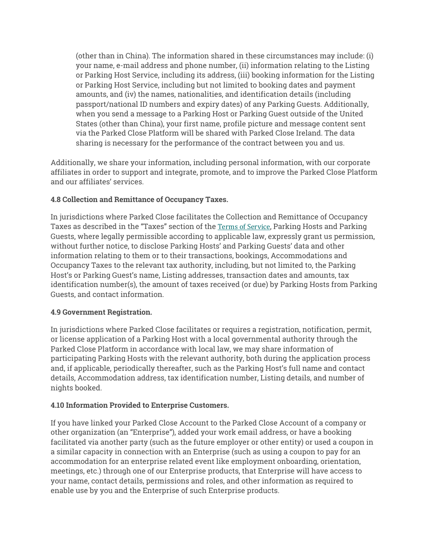(other than in China). The information shared in these circumstances may include: (i) your name, e-mail address and phone number, (ii) information relating to the Listing or Parking Host Service, including its address, (iii) booking information for the Listing or Parking Host Service, including but not limited to booking dates and payment amounts, and (iv) the names, nationalities, and identification details (including passport/national ID numbers and expiry dates) of any Parking Guests. Additionally, when you send a message to a Parking Host or Parking Guest outside of the United States (other than China), your first name, profile picture and message content sent via the Parked Close Platform will be shared with Parked Close Ireland. The data sharing is necessary for the performance of the contract between you and us.

Additionally, we share your information, including personal information, with our corporate affiliates in order to support and integrate, promote, and to improve the Parked Close Platform and our affiliates' services.

#### **4.8 Collection and Remittance of Occupancy Taxes.**

In jurisdictions where Parked Close facilitates the Collection and Remittance of Occupancy Taxes as described in the "Taxes" section of the Terms of Service, Parking Hosts and Parking Guests, where legally permissible according to applicable law, expressly grant us permission, without further notice, to disclose Parking Hosts' and Parking Guests' data and other information relating to them or to their transactions, bookings, Accommodations and Occupancy Taxes to the relevant tax authority, including, but not limited to, the Parking Host's or Parking Guest's name, Listing addresses, transaction dates and amounts, tax identification number(s), the amount of taxes received (or due) by Parking Hosts from Parking Guests, and contact information.

#### **4.9 Government Registration.**

In jurisdictions where Parked Close facilitates or requires a registration, notification, permit, or license application of a Parking Host with a local governmental authority through the Parked Close Platform in accordance with local law, we may share information of participating Parking Hosts with the relevant authority, both during the application process and, if applicable, periodically thereafter, such as the Parking Host's full name and contact details, Accommodation address, tax identification number, Listing details, and number of nights booked.

#### **4.10 Information Provided to Enterprise Customers.**

If you have linked your Parked Close Account to the Parked Close Account of a company or other organization (an "Enterprise"), added your work email address, or have a booking facilitated via another party (such as the future employer or other entity) or used a coupon in a similar capacity in connection with an Enterprise (such as using a coupon to pay for an accommodation for an enterprise related event like employment onboarding, orientation, meetings, etc.) through one of our Enterprise products, that Enterprise will have access to your name, contact details, permissions and roles, and other information as required to enable use by you and the Enterprise of such Enterprise products.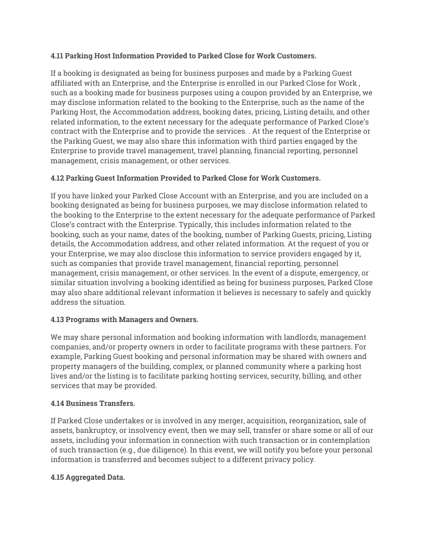#### **4.11 Parking Host Information Provided to Parked Close for Work Customers.**

If a booking is designated as being for business purposes and made by a Parking Guest affiliated with an Enterprise, and the Enterprise is enrolled in our Parked Close for Work , such as a booking made for business purposes using a coupon provided by an Enterprise, we may disclose information related to the booking to the Enterprise, such as the name of the Parking Host, the Accommodation address, booking dates, pricing, Listing details, and other related information, to the extent necessary for the adequate performance of Parked Close's contract with the Enterprise and to provide the services. . At the request of the Enterprise or the Parking Guest, we may also share this information with third parties engaged by the Enterprise to provide travel management, travel planning, financial reporting, personnel management, crisis management, or other services.

#### **4.12 Parking Guest Information Provided to Parked Close for Work Customers.**

If you have linked your Parked Close Account with an Enterprise, and you are included on a booking designated as being for business purposes, we may disclose information related to the booking to the Enterprise to the extent necessary for the adequate performance of Parked Close's contract with the Enterprise. Typically, this includes information related to the booking, such as your name, dates of the booking, number of Parking Guests, pricing, Listing details, the Accommodation address, and other related information. At the request of you or your Enterprise, we may also disclose this information to service providers engaged by it, such as companies that provide travel management, financial reporting, personnel management, crisis management, or other services. In the event of a dispute, emergency, or similar situation involving a booking identified as being for business purposes, Parked Close may also share additional relevant information it believes is necessary to safely and quickly address the situation.

#### **4.13 Programs with Managers and Owners.**

We may share personal information and booking information with landlords, management companies, and/or property owners in order to facilitate programs with these partners. For example, Parking Guest booking and personal information may be shared with owners and property managers of the building, complex, or planned community where a parking host lives and/or the listing is to facilitate parking hosting services, security, billing, and other services that may be provided.

#### **4.14 Business Transfers.**

If Parked Close undertakes or is involved in any merger, acquisition, reorganization, sale of assets, bankruptcy, or insolvency event, then we may sell, transfer or share some or all of our assets, including your information in connection with such transaction or in contemplation of such transaction (e.g., due diligence). In this event, we will notify you before your personal information is transferred and becomes subject to a different privacy policy.

#### **4.15 Aggregated Data.**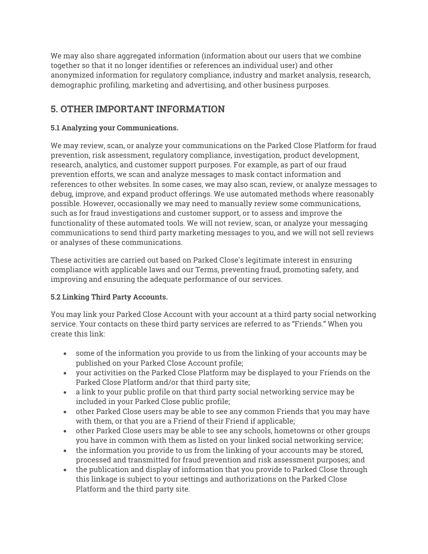We may also share aggregated information (information about our users that we combine together so that it no longer identifies or references an individual user) and other anonymized information for regulatory compliance, industry and market analysis, research, demographic profiling, marketing and advertising, and other business purposes.

## **5. OTHER IMPORTANT INFORMATION**

#### **5.1 Analyzing your Communications.**

We may review, scan, or analyze your communications on the Parked Close Platform for fraud prevention, risk assessment, regulatory compliance, investigation, product development, research, analytics, and customer support purposes. For example, as part of our fraud prevention efforts, we scan and analyze messages to mask contact information and references to other websites. In some cases, we may also scan, review, or analyze messages to debug, improve, and expand product offerings. We use automated methods where reasonably possible. However, occasionally we may need to manually review some communications, such as for fraud investigations and customer support, or to assess and improve the functionality of these automated tools. We will not review, scan, or analyze your messaging communications to send third party marketing messages to you, and we will not sell reviews or analyses of these communications.

These activities are carried out based on Parked Close's legitimate interest in ensuring compliance with applicable laws and our Terms, preventing fraud, promoting safety, and improving and ensuring the adequate performance of our services.

#### **5.2 Linking Third Party Accounts.**

You may link your Parked Close Account with your account at a third party social networking service. Your contacts on these third party services are referred to as "Friends." When you create this link:

- some of the information you provide to us from the linking of your accounts may be published on your Parked Close Account profile;
- your activities on the Parked Close Platform may be displayed to your Friends on the Parked Close Platform and/or that third party site;
- a link to your public profile on that third party social networking service may be included in your Parked Close public profile;
- other Parked Close users may be able to see any common Friends that you may have with them, or that you are a Friend of their Friend if applicable;
- other Parked Close users may be able to see any schools, hometowns or other groups you have in common with them as listed on your linked social networking service;
- the information you provide to us from the linking of your accounts may be stored, processed and transmitted for fraud prevention and risk assessment purposes; and
- the publication and display of information that you provide to Parked Close through this linkage is subject to your settings and authorizations on the Parked Close Platform and the third party site.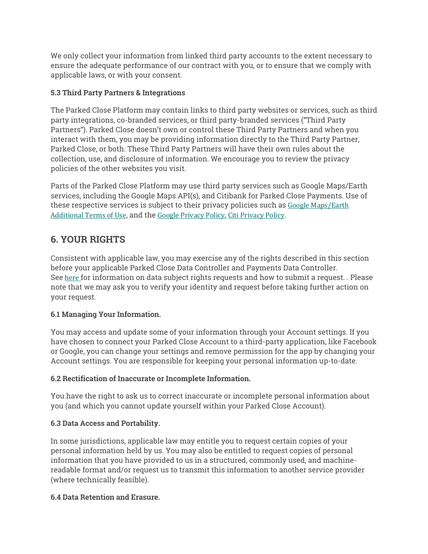We only collect your information from linked third party accounts to the extent necessary to ensure the adequate performance of our contract with you, or to ensure that we comply with applicable laws, or with your consent.

#### **5.3 Third Party Partners & Integrations**

The Parked Close Platform may contain links to third party websites or services, such as third party integrations, co-branded services, or third party-branded services ("Third Party Partners"). Parked Close doesn't own or control these Third Party Partners and when you interact with them, you may be providing information directly to the Third Party Partner, Parked Close, or both. These Third Party Partners will have their own rules about the collection, use, and disclosure of information. We encourage you to review the privacy policies of the other websites you visit.

Parts of the Parked Close Platform may use third party services such as Google Maps/Earth services, including the Google Maps API(s), and Citibank for Parked Close Payments. Use of these respective services is subject to their privacy policies such as Google Maps/Earth Additional Terms of Use, and the Google Privacy Policy, Citi Privacy Policy.

## **6. YOUR RIGHTS**

Consistent with applicable law, you may exercise any of the rights described in this section before your applicable Parked Close Data Controller and Payments Data Controller. See here for information on data subject rights requests and how to submit a request. . Please note that we may ask you to verify your identity and request before taking further action on your request.

#### **6.1 Managing Your Information.**

You may access and update some of your information through your Account settings. If you have chosen to connect your Parked Close Account to a third-party application, like Facebook or Google, you can change your settings and remove permission for the app by changing your Account settings. You are responsible for keeping your personal information up-to-date.

#### **6.2 Rectification of Inaccurate or Incomplete Information.**

You have the right to ask us to correct inaccurate or incomplete personal information about you (and which you cannot update yourself within your Parked Close Account).

#### **6.3 Data Access and Portability.**

In some jurisdictions, applicable law may entitle you to request certain copies of your personal information held by us. You may also be entitled to request copies of personal information that you have provided to us in a structured, commonly used, and machinereadable format and/or request us to transmit this information to another service provider (where technically feasible).

#### **6.4 Data Retention and Erasure.**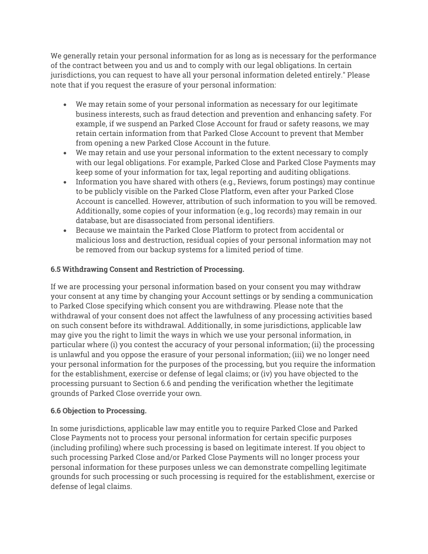We generally retain your personal information for as long as is necessary for the performance of the contract between you and us and to comply with our legal obligations. In certain jurisdictions, you can request to have all your personal information deleted entirely." Please note that if you request the erasure of your personal information:

- We may retain some of your personal information as necessary for our legitimate business interests, such as fraud detection and prevention and enhancing safety. For example, if we suspend an Parked Close Account for fraud or safety reasons, we may retain certain information from that Parked Close Account to prevent that Member from opening a new Parked Close Account in the future.
- We may retain and use your personal information to the extent necessary to comply with our legal obligations. For example, Parked Close and Parked Close Payments may keep some of your information for tax, legal reporting and auditing obligations.
- Information you have shared with others (e.g., Reviews, forum postings) may continue to be publicly visible on the Parked Close Platform, even after your Parked Close Account is cancelled. However, attribution of such information to you will be removed. Additionally, some copies of your information (e.g., log records) may remain in our database, but are disassociated from personal identifiers.
- Because we maintain the Parked Close Platform to protect from accidental or malicious loss and destruction, residual copies of your personal information may not be removed from our backup systems for a limited period of time.

#### **6.5 Withdrawing Consent and Restriction of Processing.**

If we are processing your personal information based on your consent you may withdraw your consent at any time by changing your Account settings or by sending a communication to Parked Close specifying which consent you are withdrawing. Please note that the withdrawal of your consent does not affect the lawfulness of any processing activities based on such consent before its withdrawal. Additionally, in some jurisdictions, applicable law may give you the right to limit the ways in which we use your personal information, in particular where (i) you contest the accuracy of your personal information; (ii) the processing is unlawful and you oppose the erasure of your personal information; (iii) we no longer need your personal information for the purposes of the processing, but you require the information for the establishment, exercise or defense of legal claims; or (iv) you have objected to the processing pursuant to Section 6.6 and pending the verification whether the legitimate grounds of Parked Close override your own.

#### **6.6 Objection to Processing.**

In some jurisdictions, applicable law may entitle you to require Parked Close and Parked Close Payments not to process your personal information for certain specific purposes (including profiling) where such processing is based on legitimate interest. If you object to such processing Parked Close and/or Parked Close Payments will no longer process your personal information for these purposes unless we can demonstrate compelling legitimate grounds for such processing or such processing is required for the establishment, exercise or defense of legal claims.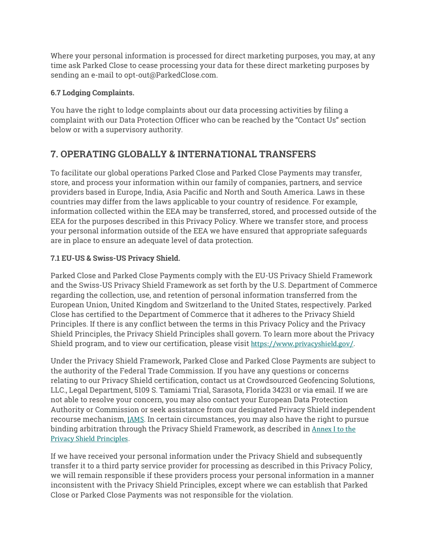Where your personal information is processed for direct marketing purposes, you may, at any time ask Parked Close to cease processing your data for these direct marketing purposes by sending an e-mail to opt-out@ParkedClose.com.

#### **6.7 Lodging Complaints.**

You have the right to lodge complaints about our data processing activities by filing a complaint with our Data Protection Officer who can be reached by the "Contact Us" section below or with a supervisory authority.

## **7. OPERATING GLOBALLY & INTERNATIONAL TRANSFERS**

To facilitate our global operations Parked Close and Parked Close Payments may transfer, store, and process your information within our family of companies, partners, and service providers based in Europe, India, Asia Pacific and North and South America. Laws in these countries may differ from the laws applicable to your country of residence. For example, information collected within the EEA may be transferred, stored, and processed outside of the EEA for the purposes described in this Privacy Policy. Where we transfer store, and process your personal information outside of the EEA we have ensured that appropriate safeguards are in place to ensure an adequate level of data protection.

#### **7.1 EU-US & Swiss-US Privacy Shield.**

Parked Close and Parked Close Payments comply with the EU-US Privacy Shield Framework and the Swiss-US Privacy Shield Framework as set forth by the U.S. Department of Commerce regarding the collection, use, and retention of personal information transferred from the European Union, United Kingdom and Switzerland to the United States, respectively. Parked Close has certified to the Department of Commerce that it adheres to the Privacy Shield Principles. If there is any conflict between the terms in this Privacy Policy and the Privacy Shield Principles, the Privacy Shield Principles shall govern. To learn more about the Privacy Shield program, and to view our certification, please visit https://www.privacyshield.gov/.

Under the Privacy Shield Framework, Parked Close and Parked Close Payments are subject to the authority of the Federal Trade Commission. If you have any questions or concerns relating to our Privacy Shield certification, contact us at Crowdsourced Geofencing Solutions, LLC., Legal Department, 5109 S. Tamiami Trial, Sarasota, Florida 34231 or via email. If we are not able to resolve your concern, you may also contact your European Data Protection Authority or Commission or seek assistance from our designated Privacy Shield independent recourse mechanism, JAMS. In certain circumstances, you may also have the right to pursue binding arbitration through the Privacy Shield Framework, as described in Annex I to the Privacy Shield Principles.

If we have received your personal information under the Privacy Shield and subsequently transfer it to a third party service provider for processing as described in this Privacy Policy, we will remain responsible if these providers process your personal information in a manner inconsistent with the Privacy Shield Principles, except where we can establish that Parked Close or Parked Close Payments was not responsible for the violation.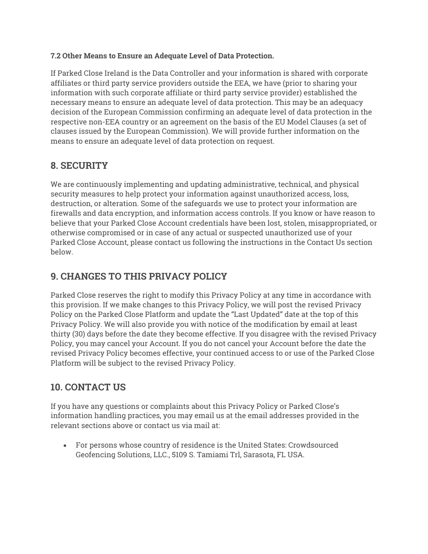#### **7.2 Other Means to Ensure an Adequate Level of Data Protection.**

If Parked Close Ireland is the Data Controller and your information is shared with corporate affiliates or third party service providers outside the EEA, we have (prior to sharing your information with such corporate affiliate or third party service provider) established the necessary means to ensure an adequate level of data protection. This may be an adequacy decision of the European Commission confirming an adequate level of data protection in the respective non-EEA country or an agreement on the basis of the EU Model Clauses (a set of clauses issued by the European Commission). We will provide further information on the means to ensure an adequate level of data protection on request.

## **8. SECURITY**

We are continuously implementing and updating administrative, technical, and physical security measures to help protect your information against unauthorized access, loss, destruction, or alteration. Some of the safeguards we use to protect your information are firewalls and data encryption, and information access controls. If you know or have reason to believe that your Parked Close Account credentials have been lost, stolen, misappropriated, or otherwise compromised or in case of any actual or suspected unauthorized use of your Parked Close Account, please contact us following the instructions in the Contact Us section below.

## **9. CHANGES TO THIS PRIVACY POLICY**

Parked Close reserves the right to modify this Privacy Policy at any time in accordance with this provision. If we make changes to this Privacy Policy, we will post the revised Privacy Policy on the Parked Close Platform and update the "Last Updated" date at the top of this Privacy Policy. We will also provide you with notice of the modification by email at least thirty (30) days before the date they become effective. If you disagree with the revised Privacy Policy, you may cancel your Account. If you do not cancel your Account before the date the revised Privacy Policy becomes effective, your continued access to or use of the Parked Close Platform will be subject to the revised Privacy Policy.

## **10. CONTACT US**

If you have any questions or complaints about this Privacy Policy or Parked Close's information handling practices, you may email us at the email addresses provided in the relevant sections above or contact us via mail at:

• For persons whose country of residence is the United States: Crowdsourced Geofencing Solutions, LLC., 5109 S. Tamiami Trl, Sarasota, FL USA.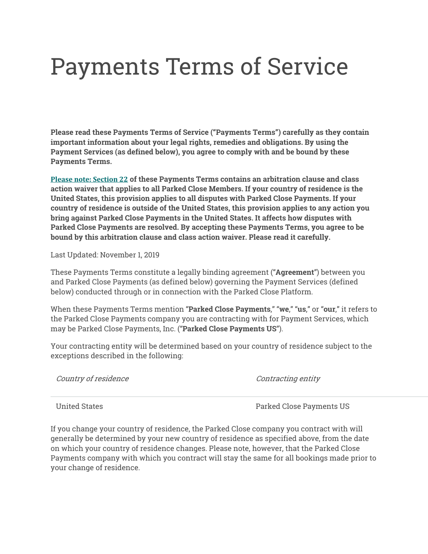## Payments Terms of Service

**Please read these Payments Terms of Service ("Payments Terms") carefully as they contain important information about your legal rights, remedies and obligations. By using the Payment Services (as defined below), you agree to comply with and be bound by these Payments Terms.**

**Please note: Section 22 of these Payments Terms contains an arbitration clause and class action waiver that applies to all Parked Close Members. If your country of residence is the United States, this provision applies to all disputes with Parked Close Payments. If your country of residence is outside of the United States, this provision applies to any action you bring against Parked Close Payments in the United States. It affects how disputes with Parked Close Payments are resolved. By accepting these Payments Terms, you agree to be bound by this arbitration clause and class action waiver. Please read it carefully.**

Last Updated: November 1, 2019

These Payments Terms constitute a legally binding agreement ("**Agreement**") between you and Parked Close Payments (as defined below) governing the Payment Services (defined below) conducted through or in connection with the Parked Close Platform.

When these Payments Terms mention "**Parked Close Payments**," "**we**," "**us**," or "**our**," it refers to the Parked Close Payments company you are contracting with for Payment Services, which may be Parked Close Payments, Inc. ("**Parked Close Payments US**").

Your contracting entity will be determined based on your country of residence subject to the exceptions described in the following:

| Country of residence | Contracting entity |
|----------------------|--------------------|
|                      |                    |

United States Parked Close Payments US

If you change your country of residence, the Parked Close company you contract with will generally be determined by your new country of residence as specified above, from the date on which your country of residence changes. Please note, however, that the Parked Close Payments company with which you contract will stay the same for all bookings made prior to your change of residence.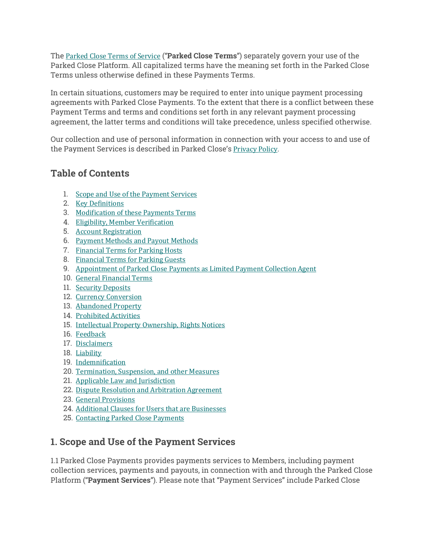The Parked Close Terms of Service ("**Parked Close Terms**") separately govern your use of the Parked Close Platform. All capitalized terms have the meaning set forth in the Parked Close Terms unless otherwise defined in these Payments Terms.

In certain situations, customers may be required to enter into unique payment processing agreements with Parked Close Payments. To the extent that there is a conflict between these Payment Terms and terms and conditions set forth in any relevant payment processing agreement, the latter terms and conditions will take precedence, unless specified otherwise.

Our collection and use of personal information in connection with your access to and use of the Payment Services is described in Parked Close's Privacy Policy.

## **Table of Contents**

- 1. Scope and Use of the Payment Services
- 2. Key Definitions
- 3. Modification of these Payments Terms
- 4. Eligibility, Member Verification
- 5. Account Registration
- 6. Payment Methods and Payout Methods
- 7. Financial Terms for Parking Hosts
- 8. Financial Terms for Parking Guests
- 9. Appointment of Parked Close Payments as Limited Payment Collection Agent
- 10. General Financial Terms
- 11. Security Deposits
- 12. Currency Conversion
- 13. Abandoned Property
- 14. Prohibited Activities
- 15. Intellectual Property Ownership, Rights Notices
- 16. Feedback
- 17. Disclaimers
- 18. Liability
- 19. Indemnification
- 20. Termination, Suspension, and other Measures
- 21. Applicable Law and Jurisdiction
- 22. Dispute Resolution and Arbitration Agreement
- 23. General Provisions
- 24. Additional Clauses for Users that are Businesses
- 25. Contacting Parked Close Payments

## **1. Scope and Use of the Payment Services**

1.1 Parked Close Payments provides payments services to Members, including payment collection services, payments and payouts, in connection with and through the Parked Close Platform ("**Payment Services**"). Please note that "Payment Services" include Parked Close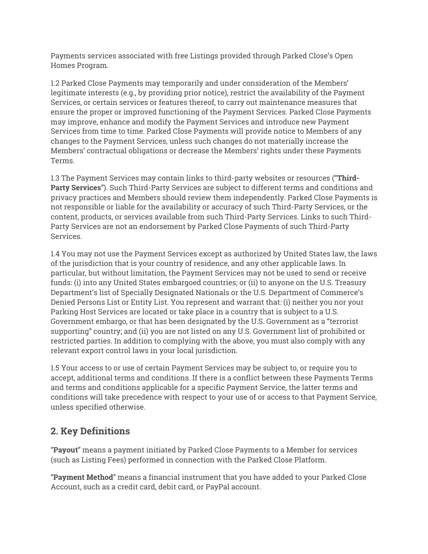Payments services associated with free Listings provided through Parked Close's Open Homes Program.

1.2 Parked Close Payments may temporarily and under consideration of the Members' legitimate interests (e.g., by providing prior notice), restrict the availability of the Payment Services, or certain services or features thereof, to carry out maintenance measures that ensure the proper or improved functioning of the Payment Services. Parked Close Payments may improve, enhance and modify the Payment Services and introduce new Payment Services from time to time. Parked Close Payments will provide notice to Members of any changes to the Payment Services, unless such changes do not materially increase the Members' contractual obligations or decrease the Members' rights under these Payments Terms.

1.3 The Payment Services may contain links to third-party websites or resources ("**Third-Party Services**"). Such Third-Party Services are subject to different terms and conditions and privacy practices and Members should review them independently. Parked Close Payments is not responsible or liable for the availability or accuracy of such Third-Party Services, or the content, products, or services available from such Third-Party Services. Links to such Third-Party Services are not an endorsement by Parked Close Payments of such Third-Party Services.

1.4 You may not use the Payment Services except as authorized by United States law, the laws of the jurisdiction that is your country of residence, and any other applicable laws. In particular, but without limitation, the Payment Services may not be used to send or receive funds: (i) into any United States embargoed countries; or (ii) to anyone on the U.S. Treasury Department's list of Specially Designated Nationals or the U.S. Department of Commerce's Denied Persons List or Entity List. You represent and warrant that: (i) neither you nor your Parking Host Services are located or take place in a country that is subject to a U.S. Government embargo, or that has been designated by the U.S. Government as a "terrorist supporting" country; and (ii) you are not listed on any U.S. Government list of prohibited or restricted parties. In addition to complying with the above, you must also comply with any relevant export control laws in your local jurisdiction.

1.5 Your access to or use of certain Payment Services may be subject to, or require you to accept, additional terms and conditions. If there is a conflict between these Payments Terms and terms and conditions applicable for a specific Payment Service, the latter terms and conditions will take precedence with respect to your use of or access to that Payment Service, unless specified otherwise.

## **2. Key Definitions**

"**Payout**" means a payment initiated by Parked Close Payments to a Member for services (such as Listing Fees) performed in connection with the Parked Close Platform.

"**Payment Method**" means a financial instrument that you have added to your Parked Close Account, such as a credit card, debit card, or PayPal account.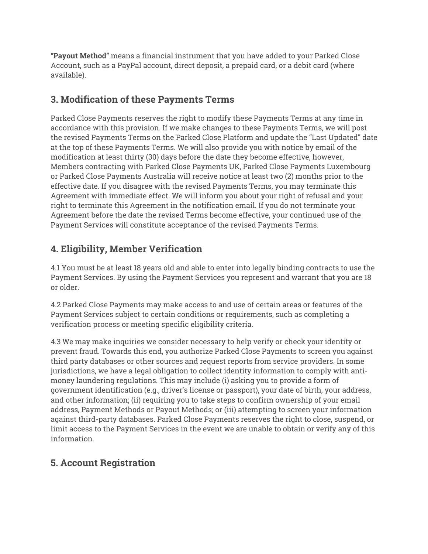"**Payout Method**" means a financial instrument that you have added to your Parked Close Account, such as a PayPal account, direct deposit, a prepaid card, or a debit card (where available).

## **3. Modification of these Payments Terms**

Parked Close Payments reserves the right to modify these Payments Terms at any time in accordance with this provision. If we make changes to these Payments Terms, we will post the revised Payments Terms on the Parked Close Platform and update the "Last Updated" date at the top of these Payments Terms. We will also provide you with notice by email of the modification at least thirty (30) days before the date they become effective, however, Members contracting with Parked Close Payments UK, Parked Close Payments Luxembourg or Parked Close Payments Australia will receive notice at least two (2) months prior to the effective date. If you disagree with the revised Payments Terms, you may terminate this Agreement with immediate effect. We will inform you about your right of refusal and your right to terminate this Agreement in the notification email. If you do not terminate your Agreement before the date the revised Terms become effective, your continued use of the Payment Services will constitute acceptance of the revised Payments Terms.

## **4. Eligibility, Member Verification**

4.1 You must be at least 18 years old and able to enter into legally binding contracts to use the Payment Services. By using the Payment Services you represent and warrant that you are 18 or older.

4.2 Parked Close Payments may make access to and use of certain areas or features of the Payment Services subject to certain conditions or requirements, such as completing a verification process or meeting specific eligibility criteria.

4.3 We may make inquiries we consider necessary to help verify or check your identity or prevent fraud. Towards this end, you authorize Parked Close Payments to screen you against third party databases or other sources and request reports from service providers. In some jurisdictions, we have a legal obligation to collect identity information to comply with antimoney laundering regulations. This may include (i) asking you to provide a form of government identification (e.g., driver's license or passport), your date of birth, your address, and other information; (ii) requiring you to take steps to confirm ownership of your email address, Payment Methods or Payout Methods; or (iii) attempting to screen your information against third-party databases. Parked Close Payments reserves the right to close, suspend, or limit access to the Payment Services in the event we are unable to obtain or verify any of this information.

## **5. Account Registration**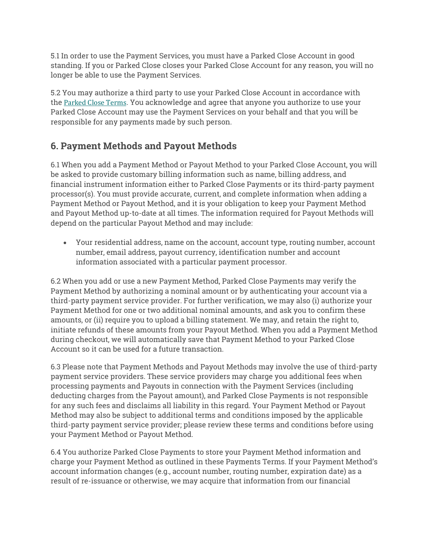5.1 In order to use the Payment Services, you must have a Parked Close Account in good standing. If you or Parked Close closes your Parked Close Account for any reason, you will no longer be able to use the Payment Services.

5.2 You may authorize a third party to use your Parked Close Account in accordance with the Parked Close Terms. You acknowledge and agree that anyone you authorize to use your Parked Close Account may use the Payment Services on your behalf and that you will be responsible for any payments made by such person.

## **6. Payment Methods and Payout Methods**

6.1 When you add a Payment Method or Payout Method to your Parked Close Account, you will be asked to provide customary billing information such as name, billing address, and financial instrument information either to Parked Close Payments or its third-party payment processor(s). You must provide accurate, current, and complete information when adding a Payment Method or Payout Method, and it is your obligation to keep your Payment Method and Payout Method up-to-date at all times. The information required for Payout Methods will depend on the particular Payout Method and may include:

• Your residential address, name on the account, account type, routing number, account number, email address, payout currency, identification number and account information associated with a particular payment processor.

6.2 When you add or use a new Payment Method, Parked Close Payments may verify the Payment Method by authorizing a nominal amount or by authenticating your account via a third-party payment service provider. For further verification, we may also (i) authorize your Payment Method for one or two additional nominal amounts, and ask you to confirm these amounts, or (ii) require you to upload a billing statement. We may, and retain the right to, initiate refunds of these amounts from your Payout Method. When you add a Payment Method during checkout, we will automatically save that Payment Method to your Parked Close Account so it can be used for a future transaction.

6.3 Please note that Payment Methods and Payout Methods may involve the use of third-party payment service providers. These service providers may charge you additional fees when processing payments and Payouts in connection with the Payment Services (including deducting charges from the Payout amount), and Parked Close Payments is not responsible for any such fees and disclaims all liability in this regard. Your Payment Method or Payout Method may also be subject to additional terms and conditions imposed by the applicable third-party payment service provider; please review these terms and conditions before using your Payment Method or Payout Method.

6.4 You authorize Parked Close Payments to store your Payment Method information and charge your Payment Method as outlined in these Payments Terms. If your Payment Method's account information changes (e.g., account number, routing number, expiration date) as a result of re-issuance or otherwise, we may acquire that information from our financial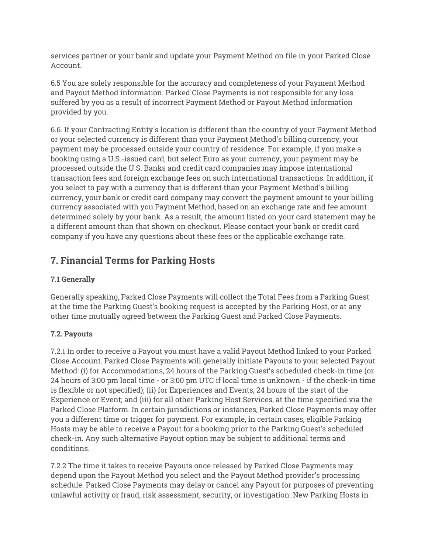services partner or your bank and update your Payment Method on file in your Parked Close Account.

6.5 You are solely responsible for the accuracy and completeness of your Payment Method and Payout Method information. Parked Close Payments is not responsible for any loss suffered by you as a result of incorrect Payment Method or Payout Method information provided by you.

6.6. If your Contracting Entity's location is different than the country of your Payment Method or your selected currency is different than your Payment Method's billing currency, your payment may be processed outside your country of residence. For example, if you make a booking using a U.S.-issued card, but select Euro as your currency, your payment may be processed outside the U.S. Banks and credit card companies may impose international transaction fees and foreign exchange fees on such international transactions. In addition, if you select to pay with a currency that is different than your Payment Method's billing currency, your bank or credit card company may convert the payment amount to your billing currency associated with you Payment Method, based on an exchange rate and fee amount determined solely by your bank. As a result, the amount listed on your card statement may be a different amount than that shown on checkout. Please contact your bank or credit card company if you have any questions about these fees or the applicable exchange rate.

## **7. Financial Terms for Parking Hosts**

#### **7.1 Generally**

Generally speaking, Parked Close Payments will collect the Total Fees from a Parking Guest at the time the Parking Guest's booking request is accepted by the Parking Host, or at any other time mutually agreed between the Parking Guest and Parked Close Payments.

#### **7.2. Payouts**

7.2.1 In order to receive a Payout you must have a valid Payout Method linked to your Parked Close Account. Parked Close Payments will generally initiate Payouts to your selected Payout Method: (i) for Accommodations, 24 hours of the Parking Guest's scheduled check-in time (or 24 hours of 3:00 pm local time - or 3:00 pm UTC if local time is unknown - if the check-in time is flexible or not specified); (ii) for Experiences and Events, 24 hours of the start of the Experience or Event; and (iii) for all other Parking Host Services, at the time specified via the Parked Close Platform. In certain jurisdictions or instances, Parked Close Payments may offer you a different time or trigger for payment. For example, in certain cases, eligible Parking Hosts may be able to receive a Payout for a booking prior to the Parking Guest's scheduled check-in. Any such alternative Payout option may be subject to additional terms and conditions.

7.2.2 The time it takes to receive Payouts once released by Parked Close Payments may depend upon the Payout Method you select and the Payout Method provider's processing schedule. Parked Close Payments may delay or cancel any Payout for purposes of preventing unlawful activity or fraud, risk assessment, security, or investigation. New Parking Hosts in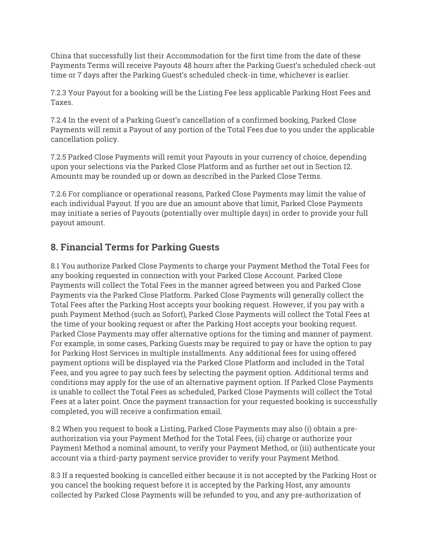China that successfully list their Accommodation for the first time from the date of these Payments Terms will receive Payouts 48 hours after the Parking Guest's scheduled check-out time or 7 days after the Parking Guest's scheduled check-in time, whichever is earlier.

7.2.3 Your Payout for a booking will be the Listing Fee less applicable Parking Host Fees and Taxes.

7.2.4 In the event of a Parking Guest's cancellation of a confirmed booking, Parked Close Payments will remit a Payout of any portion of the Total Fees due to you under the applicable cancellation policy.

7.2.5 Parked Close Payments will remit your Payouts in your currency of choice, depending upon your selections via the Parked Close Platform and as further set out in Section 12. Amounts may be rounded up or down as described in the Parked Close Terms.

7.2.6 For compliance or operational reasons, Parked Close Payments may limit the value of each individual Payout. If you are due an amount above that limit, Parked Close Payments may initiate a series of Payouts (potentially over multiple days) in order to provide your full payout amount.

## **8. Financial Terms for Parking Guests**

8.1 You authorize Parked Close Payments to charge your Payment Method the Total Fees for any booking requested in connection with your Parked Close Account. Parked Close Payments will collect the Total Fees in the manner agreed between you and Parked Close Payments via the Parked Close Platform. Parked Close Payments will generally collect the Total Fees after the Parking Host accepts your booking request. However, if you pay with a push Payment Method (such as Sofort), Parked Close Payments will collect the Total Fees at the time of your booking request or after the Parking Host accepts your booking request. Parked Close Payments may offer alternative options for the timing and manner of payment. For example, in some cases, Parking Guests may be required to pay or have the option to pay for Parking Host Services in multiple installments. Any additional fees for using offered payment options will be displayed via the Parked Close Platform and included in the Total Fees, and you agree to pay such fees by selecting the payment option. Additional terms and conditions may apply for the use of an alternative payment option. If Parked Close Payments is unable to collect the Total Fees as scheduled, Parked Close Payments will collect the Total Fees at a later point. Once the payment transaction for your requested booking is successfully completed, you will receive a confirmation email.

8.2 When you request to book a Listing, Parked Close Payments may also (i) obtain a preauthorization via your Payment Method for the Total Fees, (ii) charge or authorize your Payment Method a nominal amount, to verify your Payment Method, or (iii) authenticate your account via a third-party payment service provider to verify your Payment Method.

8.3 If a requested booking is cancelled either because it is not accepted by the Parking Host or you cancel the booking request before it is accepted by the Parking Host, any amounts collected by Parked Close Payments will be refunded to you, and any pre-authorization of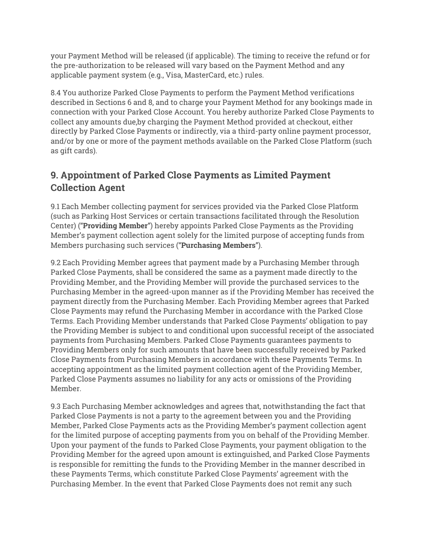your Payment Method will be released (if applicable). The timing to receive the refund or for the pre-authorization to be released will vary based on the Payment Method and any applicable payment system (e.g., Visa, MasterCard, etc.) rules.

8.4 You authorize Parked Close Payments to perform the Payment Method verifications described in Sections 6 and 8, and to charge your Payment Method for any bookings made in connection with your Parked Close Account. You hereby authorize Parked Close Payments to collect any amounts due,by charging the Payment Method provided at checkout, either directly by Parked Close Payments or indirectly, via a third-party online payment processor, and/or by one or more of the payment methods available on the Parked Close Platform (such as gift cards).

## **9. Appointment of Parked Close Payments as Limited Payment Collection Agent**

9.1 Each Member collecting payment for services provided via the Parked Close Platform (such as Parking Host Services or certain transactions facilitated through the Resolution Center) ("**Providing Member**") hereby appoints Parked Close Payments as the Providing Member's payment collection agent solely for the limited purpose of accepting funds from Members purchasing such services ("**Purchasing Members**").

9.2 Each Providing Member agrees that payment made by a Purchasing Member through Parked Close Payments, shall be considered the same as a payment made directly to the Providing Member, and the Providing Member will provide the purchased services to the Purchasing Member in the agreed-upon manner as if the Providing Member has received the payment directly from the Purchasing Member. Each Providing Member agrees that Parked Close Payments may refund the Purchasing Member in accordance with the Parked Close Terms. Each Providing Member understands that Parked Close Payments' obligation to pay the Providing Member is subject to and conditional upon successful receipt of the associated payments from Purchasing Members. Parked Close Payments guarantees payments to Providing Members only for such amounts that have been successfully received by Parked Close Payments from Purchasing Members in accordance with these Payments Terms. In accepting appointment as the limited payment collection agent of the Providing Member, Parked Close Payments assumes no liability for any acts or omissions of the Providing Member.

9.3 Each Purchasing Member acknowledges and agrees that, notwithstanding the fact that Parked Close Payments is not a party to the agreement between you and the Providing Member, Parked Close Payments acts as the Providing Member's payment collection agent for the limited purpose of accepting payments from you on behalf of the Providing Member. Upon your payment of the funds to Parked Close Payments, your payment obligation to the Providing Member for the agreed upon amount is extinguished, and Parked Close Payments is responsible for remitting the funds to the Providing Member in the manner described in these Payments Terms, which constitute Parked Close Payments' agreement with the Purchasing Member. In the event that Parked Close Payments does not remit any such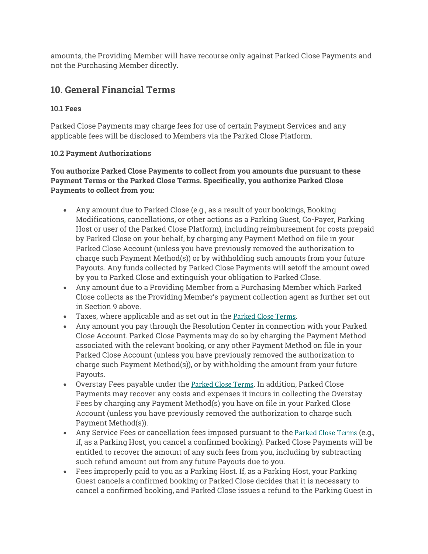amounts, the Providing Member will have recourse only against Parked Close Payments and not the Purchasing Member directly.

## **10. General Financial Terms**

#### **10.1 Fees**

Parked Close Payments may charge fees for use of certain Payment Services and any applicable fees will be disclosed to Members via the Parked Close Platform.

#### **10.2 Payment Authorizations**

**You authorize Parked Close Payments to collect from you amounts due pursuant to these Payment Terms or the Parked Close Terms. Specifically, you authorize Parked Close Payments to collect from you:**

- Any amount due to Parked Close (e.g., as a result of your bookings, Booking Modifications, cancellations, or other actions as a Parking Guest, Co-Payer, Parking Host or user of the Parked Close Platform), including reimbursement for costs prepaid by Parked Close on your behalf, by charging any Payment Method on file in your Parked Close Account (unless you have previously removed the authorization to charge such Payment Method(s)) or by withholding such amounts from your future Payouts. Any funds collected by Parked Close Payments will setoff the amount owed by you to Parked Close and extinguish your obligation to Parked Close.
- Any amount due to a Providing Member from a Purchasing Member which Parked Close collects as the Providing Member's payment collection agent as further set out in Section 9 above.
- Taxes, where applicable and as set out in the Parked Close Terms.
- Any amount you pay through the Resolution Center in connection with your Parked Close Account. Parked Close Payments may do so by charging the Payment Method associated with the relevant booking, or any other Payment Method on file in your Parked Close Account (unless you have previously removed the authorization to charge such Payment Method(s)), or by withholding the amount from your future Payouts.
- Overstay Fees payable under the Parked Close Terms. In addition, Parked Close Payments may recover any costs and expenses it incurs in collecting the Overstay Fees by charging any Payment Method(s) you have on file in your Parked Close Account (unless you have previously removed the authorization to charge such Payment Method(s)).
- Any Service Fees or cancellation fees imposed pursuant to the Parked Close Terms (e.g., if, as a Parking Host, you cancel a confirmed booking). Parked Close Payments will be entitled to recover the amount of any such fees from you, including by subtracting such refund amount out from any future Payouts due to you.
- Fees improperly paid to you as a Parking Host. If, as a Parking Host, your Parking Guest cancels a confirmed booking or Parked Close decides that it is necessary to cancel a confirmed booking, and Parked Close issues a refund to the Parking Guest in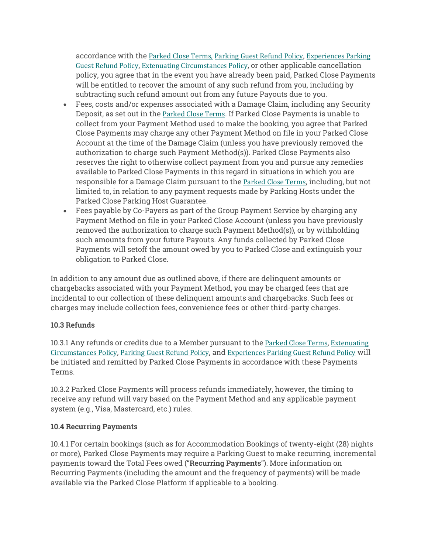accordance with the Parked Close Terms, Parking Guest Refund Policy, Experiences Parking Guest Refund Policy, Extenuating Circumstances Policy, or other applicable cancellation policy, you agree that in the event you have already been paid, Parked Close Payments will be entitled to recover the amount of any such refund from you, including by subtracting such refund amount out from any future Payouts due to you.

- Fees, costs and/or expenses associated with a Damage Claim, including any Security Deposit, as set out in the Parked Close Terms. If Parked Close Payments is unable to collect from your Payment Method used to make the booking, you agree that Parked Close Payments may charge any other Payment Method on file in your Parked Close Account at the time of the Damage Claim (unless you have previously removed the authorization to charge such Payment Method(s)). Parked Close Payments also reserves the right to otherwise collect payment from you and pursue any remedies available to Parked Close Payments in this regard in situations in which you are responsible for a Damage Claim pursuant to the Parked Close Terms, including, but not limited to, in relation to any payment requests made by Parking Hosts under the Parked Close Parking Host Guarantee.
- Fees payable by Co-Payers as part of the Group Payment Service by charging any Payment Method on file in your Parked Close Account (unless you have previously removed the authorization to charge such Payment Method(s)), or by withholding such amounts from your future Payouts. Any funds collected by Parked Close Payments will setoff the amount owed by you to Parked Close and extinguish your obligation to Parked Close.

In addition to any amount due as outlined above, if there are delinquent amounts or chargebacks associated with your Payment Method, you may be charged fees that are incidental to our collection of these delinquent amounts and chargebacks. Such fees or charges may include collection fees, convenience fees or other third-party charges.

#### **10.3 Refunds**

10.3.1 Any refunds or credits due to a Member pursuant to the Parked Close Terms, Extenuating Circumstances Policy, Parking Guest Refund Policy, and Experiences Parking Guest Refund Policy will be initiated and remitted by Parked Close Payments in accordance with these Payments Terms.

10.3.2 Parked Close Payments will process refunds immediately, however, the timing to receive any refund will vary based on the Payment Method and any applicable payment system (e.g., Visa, Mastercard, etc.) rules.

#### **10.4 Recurring Payments**

10.4.1 For certain bookings (such as for Accommodation Bookings of twenty-eight (28) nights or more), Parked Close Payments may require a Parking Guest to make recurring, incremental payments toward the Total Fees owed ("**Recurring Payments**"). More information on Recurring Payments (including the amount and the frequency of payments) will be made available via the Parked Close Platform if applicable to a booking.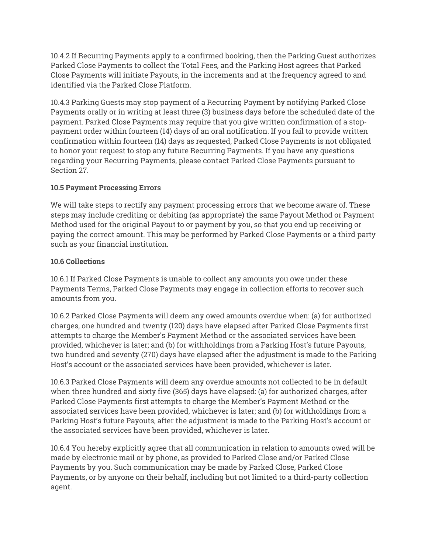10.4.2 If Recurring Payments apply to a confirmed booking, then the Parking Guest authorizes Parked Close Payments to collect the Total Fees, and the Parking Host agrees that Parked Close Payments will initiate Payouts, in the increments and at the frequency agreed to and identified via the Parked Close Platform.

10.4.3 Parking Guests may stop payment of a Recurring Payment by notifying Parked Close Payments orally or in writing at least three (3) business days before the scheduled date of the payment. Parked Close Payments may require that you give written confirmation of a stoppayment order within fourteen (14) days of an oral notification. If you fail to provide written confirmation within fourteen (14) days as requested, Parked Close Payments is not obligated to honor your request to stop any future Recurring Payments. If you have any questions regarding your Recurring Payments, please contact Parked Close Payments pursuant to Section 27.

#### **10.5 Payment Processing Errors**

We will take steps to rectify any payment processing errors that we become aware of. These steps may include crediting or debiting (as appropriate) the same Payout Method or Payment Method used for the original Payout to or payment by you, so that you end up receiving or paying the correct amount. This may be performed by Parked Close Payments or a third party such as your financial institution.

#### **10.6 Collections**

10.6.1 If Parked Close Payments is unable to collect any amounts you owe under these Payments Terms, Parked Close Payments may engage in collection efforts to recover such amounts from you.

10.6.2 Parked Close Payments will deem any owed amounts overdue when: (a) for authorized charges, one hundred and twenty (120) days have elapsed after Parked Close Payments first attempts to charge the Member's Payment Method or the associated services have been provided, whichever is later; and (b) for withholdings from a Parking Host's future Payouts, two hundred and seventy (270) days have elapsed after the adjustment is made to the Parking Host's account or the associated services have been provided, whichever is later.

10.6.3 Parked Close Payments will deem any overdue amounts not collected to be in default when three hundred and sixty five (365) days have elapsed: (a) for authorized charges, after Parked Close Payments first attempts to charge the Member's Payment Method or the associated services have been provided, whichever is later; and (b) for withholdings from a Parking Host's future Payouts, after the adjustment is made to the Parking Host's account or the associated services have been provided, whichever is later.

10.6.4 You hereby explicitly agree that all communication in relation to amounts owed will be made by electronic mail or by phone, as provided to Parked Close and/or Parked Close Payments by you. Such communication may be made by Parked Close, Parked Close Payments, or by anyone on their behalf, including but not limited to a third-party collection agent.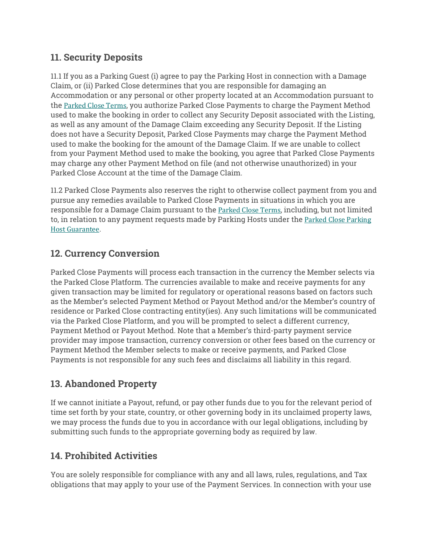## **11. Security Deposits**

11.1 If you as a Parking Guest (i) agree to pay the Parking Host in connection with a Damage Claim, or (ii) Parked Close determines that you are responsible for damaging an Accommodation or any personal or other property located at an Accommodation pursuant to the Parked Close Terms, you authorize Parked Close Payments to charge the Payment Method used to make the booking in order to collect any Security Deposit associated with the Listing, as well as any amount of the Damage Claim exceeding any Security Deposit. If the Listing does not have a Security Deposit, Parked Close Payments may charge the Payment Method used to make the booking for the amount of the Damage Claim. If we are unable to collect from your Payment Method used to make the booking, you agree that Parked Close Payments may charge any other Payment Method on file (and not otherwise unauthorized) in your Parked Close Account at the time of the Damage Claim.

11.2 Parked Close Payments also reserves the right to otherwise collect payment from you and pursue any remedies available to Parked Close Payments in situations in which you are responsible for a Damage Claim pursuant to the Parked Close Terms, including, but not limited to, in relation to any payment requests made by Parking Hosts under the Parked Close Parking Host Guarantee.

## **12. Currency Conversion**

Parked Close Payments will process each transaction in the currency the Member selects via the Parked Close Platform. The currencies available to make and receive payments for any given transaction may be limited for regulatory or operational reasons based on factors such as the Member's selected Payment Method or Payout Method and/or the Member's country of residence or Parked Close contracting entity(ies). Any such limitations will be communicated via the Parked Close Platform, and you will be prompted to select a different currency, Payment Method or Payout Method. Note that a Member's third-party payment service provider may impose transaction, currency conversion or other fees based on the currency or Payment Method the Member selects to make or receive payments, and Parked Close Payments is not responsible for any such fees and disclaims all liability in this regard.

## **13. Abandoned Property**

If we cannot initiate a Payout, refund, or pay other funds due to you for the relevant period of time set forth by your state, country, or other governing body in its unclaimed property laws, we may process the funds due to you in accordance with our legal obligations, including by submitting such funds to the appropriate governing body as required by law.

## **14. Prohibited Activities**

You are solely responsible for compliance with any and all laws, rules, regulations, and Tax obligations that may apply to your use of the Payment Services. In connection with your use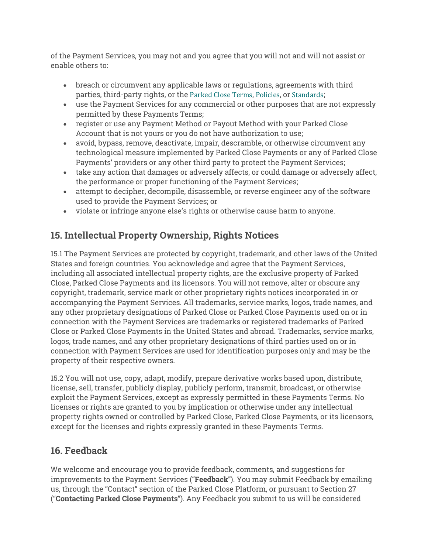of the Payment Services, you may not and you agree that you will not and will not assist or enable others to:

- breach or circumvent any applicable laws or regulations, agreements with third parties, third-party rights, or the Parked Close Terms, Policies, or Standards;
- use the Payment Services for any commercial or other purposes that are not expressly permitted by these Payments Terms;
- register or use any Payment Method or Payout Method with your Parked Close Account that is not yours or you do not have authorization to use;
- avoid, bypass, remove, deactivate, impair, descramble, or otherwise circumvent any technological measure implemented by Parked Close Payments or any of Parked Close Payments' providers or any other third party to protect the Payment Services;
- take any action that damages or adversely affects, or could damage or adversely affect, the performance or proper functioning of the Payment Services;
- attempt to decipher, decompile, disassemble, or reverse engineer any of the software used to provide the Payment Services; or
- violate or infringe anyone else's rights or otherwise cause harm to anyone.

## **15. Intellectual Property Ownership, Rights Notices**

15.1 The Payment Services are protected by copyright, trademark, and other laws of the United States and foreign countries. You acknowledge and agree that the Payment Services, including all associated intellectual property rights, are the exclusive property of Parked Close, Parked Close Payments and its licensors. You will not remove, alter or obscure any copyright, trademark, service mark or other proprietary rights notices incorporated in or accompanying the Payment Services. All trademarks, service marks, logos, trade names, and any other proprietary designations of Parked Close or Parked Close Payments used on or in connection with the Payment Services are trademarks or registered trademarks of Parked Close or Parked Close Payments in the United States and abroad. Trademarks, service marks, logos, trade names, and any other proprietary designations of third parties used on or in connection with Payment Services are used for identification purposes only and may be the property of their respective owners.

15.2 You will not use, copy, adapt, modify, prepare derivative works based upon, distribute, license, sell, transfer, publicly display, publicly perform, transmit, broadcast, or otherwise exploit the Payment Services, except as expressly permitted in these Payments Terms. No licenses or rights are granted to you by implication or otherwise under any intellectual property rights owned or controlled by Parked Close, Parked Close Payments, or its licensors, except for the licenses and rights expressly granted in these Payments Terms.

## **16. Feedback**

We welcome and encourage you to provide feedback, comments, and suggestions for improvements to the Payment Services ("**Feedback**"). You may submit Feedback by emailing us, through the "Contact" section of the Parked Close Platform, or pursuant to Section 27 ("**Contacting Parked Close Payments**"). Any Feedback you submit to us will be considered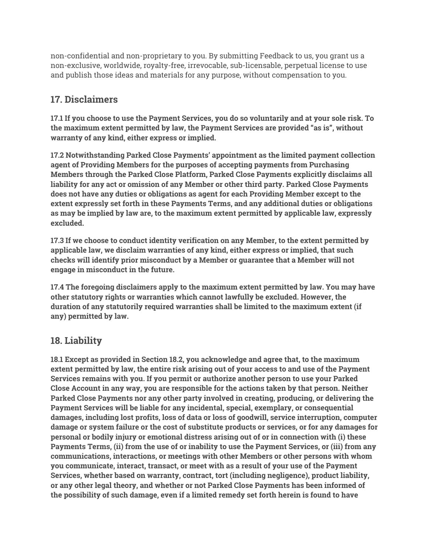non-confidential and non-proprietary to you. By submitting Feedback to us, you grant us a non-exclusive, worldwide, royalty-free, irrevocable, sub-licensable, perpetual license to use and publish those ideas and materials for any purpose, without compensation to you.

## **17. Disclaimers**

**17.1 If you choose to use the Payment Services, you do so voluntarily and at your sole risk. To the maximum extent permitted by law, the Payment Services are provided "as is", without warranty of any kind, either express or implied.**

**17.2 Notwithstanding Parked Close Payments' appointment as the limited payment collection agent of Providing Members for the purposes of accepting payments from Purchasing Members through the Parked Close Platform, Parked Close Payments explicitly disclaims all liability for any act or omission of any Member or other third party. Parked Close Payments does not have any duties or obligations as agent for each Providing Member except to the extent expressly set forth in these Payments Terms, and any additional duties or obligations as may be implied by law are, to the maximum extent permitted by applicable law, expressly excluded.**

**17.3 If we choose to conduct identity verification on any Member, to the extent permitted by applicable law, we disclaim warranties of any kind, either express or implied, that such checks will identify prior misconduct by a Member or guarantee that a Member will not engage in misconduct in the future.**

**17.4 The foregoing disclaimers apply to the maximum extent permitted by law. You may have other statutory rights or warranties which cannot lawfully be excluded. However, the duration of any statutorily required warranties shall be limited to the maximum extent (if any) permitted by law.**

## **18. Liability**

**18.1 Except as provided in Section 18.2, you acknowledge and agree that, to the maximum extent permitted by law, the entire risk arising out of your access to and use of the Payment Services remains with you. If you permit or authorize another person to use your Parked Close Account in any way, you are responsible for the actions taken by that person. Neither Parked Close Payments nor any other party involved in creating, producing, or delivering the Payment Services will be liable for any incidental, special, exemplary, or consequential damages, including lost profits, loss of data or loss of goodwill, service interruption, computer damage or system failure or the cost of substitute products or services, or for any damages for personal or bodily injury or emotional distress arising out of or in connection with (i) these Payments Terms, (ii) from the use of or inability to use the Payment Services, or (iii) from any communications, interactions, or meetings with other Members or other persons with whom you communicate, interact, transact, or meet with as a result of your use of the Payment Services, whether based on warranty, contract, tort (including negligence), product liability, or any other legal theory, and whether or not Parked Close Payments has been informed of the possibility of such damage, even if a limited remedy set forth herein is found to have**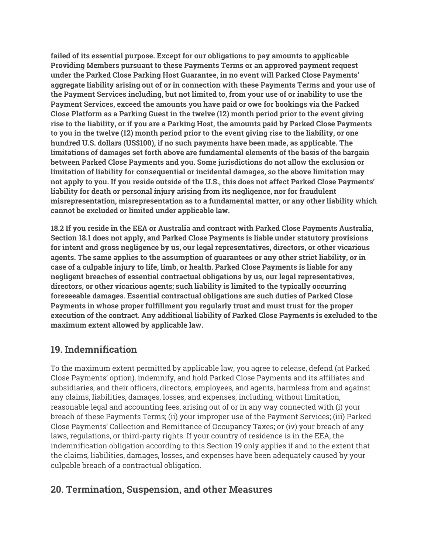**failed of its essential purpose. Except for our obligations to pay amounts to applicable Providing Members pursuant to these Payments Terms or an approved payment request under the Parked Close Parking Host Guarantee, in no event will Parked Close Payments' aggregate liability arising out of or in connection with these Payments Terms and your use of the Payment Services including, but not limited to, from your use of or inability to use the Payment Services, exceed the amounts you have paid or owe for bookings via the Parked Close Platform as a Parking Guest in the twelve (12) month period prior to the event giving rise to the liability, or if you are a Parking Host, the amounts paid by Parked Close Payments to you in the twelve (12) month period prior to the event giving rise to the liability, or one hundred U.S. dollars (US\$100), if no such payments have been made, as applicable. The limitations of damages set forth above are fundamental elements of the basis of the bargain between Parked Close Payments and you. Some jurisdictions do not allow the exclusion or limitation of liability for consequential or incidental damages, so the above limitation may not apply to you. If you reside outside of the U.S., this does not affect Parked Close Payments' liability for death or personal injury arising from its negligence, nor for fraudulent misrepresentation, misrepresentation as to a fundamental matter, or any other liability which cannot be excluded or limited under applicable law.**

**18.2 If you reside in the EEA or Australia and contract with Parked Close Payments Australia, Section 18.1 does not apply, and Parked Close Payments is liable under statutory provisions for intent and gross negligence by us, our legal representatives, directors, or other vicarious agents. The same applies to the assumption of guarantees or any other strict liability, or in case of a culpable injury to life, limb, or health. Parked Close Payments is liable for any negligent breaches of essential contractual obligations by us, our legal representatives, directors, or other vicarious agents; such liability is limited to the typically occurring foreseeable damages. Essential contractual obligations are such duties of Parked Close Payments in whose proper fulfillment you regularly trust and must trust for the proper execution of the contract. Any additional liability of Parked Close Payments is excluded to the maximum extent allowed by applicable law.**

## **19. Indemnification**

To the maximum extent permitted by applicable law, you agree to release, defend (at Parked Close Payments' option), indemnify, and hold Parked Close Payments and its affiliates and subsidiaries, and their officers, directors, employees, and agents, harmless from and against any claims, liabilities, damages, losses, and expenses, including, without limitation, reasonable legal and accounting fees, arising out of or in any way connected with (i) your breach of these Payments Terms; (ii) your improper use of the Payment Services; (iii) Parked Close Payments' Collection and Remittance of Occupancy Taxes; or (iv) your breach of any laws, regulations, or third-party rights. If your country of residence is in the EEA, the indemnification obligation according to this Section 19 only applies if and to the extent that the claims, liabilities, damages, losses, and expenses have been adequately caused by your culpable breach of a contractual obligation.

### **20. Termination, Suspension, and other Measures**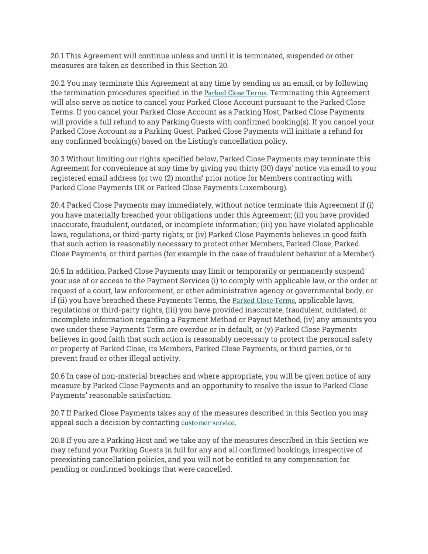20.1 This Agreement will continue unless and until it is terminated, suspended or other measures are taken as described in this Section 20.

20.2 You may terminate this Agreement at any time by sending us an email, or by following the termination procedures specified in the Parked Close Terms. Terminating this Agreement will also serve as notice to cancel your Parked Close Account pursuant to the Parked Close Terms. If you cancel your Parked Close Account as a Parking Host, Parked Close Payments will provide a full refund to any Parking Guests with confirmed booking(s). If you cancel your Parked Close Account as a Parking Guest, Parked Close Payments will initiate a refund for any confirmed booking(s) based on the Listing's cancellation policy.

20.3 Without limiting our rights specified below, Parked Close Payments may terminate this Agreement for convenience at any time by giving you thirty (30) days' notice via email to your registered email address (or two (2) months' prior notice for Members contracting with Parked Close Payments UK or Parked Close Payments Luxembourg).

20.4 Parked Close Payments may immediately, without notice terminate this Agreement if (i) you have materially breached your obligations under this Agreement; (ii) you have provided inaccurate, fraudulent, outdated, or incomplete information; (iii) you have violated applicable laws, regulations, or third-party rights; or (iv) Parked Close Payments believes in good faith that such action is reasonably necessary to protect other Members, Parked Close, Parked Close Payments, or third parties (for example in the case of fraudulent behavior of a Member).

20.5 In addition, Parked Close Payments may limit or temporarily or permanently suspend your use of or access to the Payment Services (i) to comply with applicable law, or the order or request of a court, law enforcement, or other administrative agency or governmental body, or if (ii) you have breached these Payments Terms, the Parked Close Terms, applicable laws, regulations or third-party rights, (iii) you have provided inaccurate, fraudulent, outdated, or incomplete information regarding a Payment Method or Payout Method, (iv) any amounts you owe under these Payments Term are overdue or in default, or (v) Parked Close Payments believes in good faith that such action is reasonably necessary to protect the personal safety or property of Parked Close, its Members, Parked Close Payments, or third parties, or to prevent fraud or other illegal activity.

20.6 In case of non-material breaches and where appropriate, you will be given notice of any measure by Parked Close Payments and an opportunity to resolve the issue to Parked Close Payments' reasonable satisfaction.

20.7 If Parked Close Payments takes any of the measures described in this Section you may appeal such a decision by contacting customer service.

20.8 If you are a Parking Host and we take any of the measures described in this Section we may refund your Parking Guests in full for any and all confirmed bookings, irrespective of preexisting cancellation policies, and you will not be entitled to any compensation for pending or confirmed bookings that were cancelled.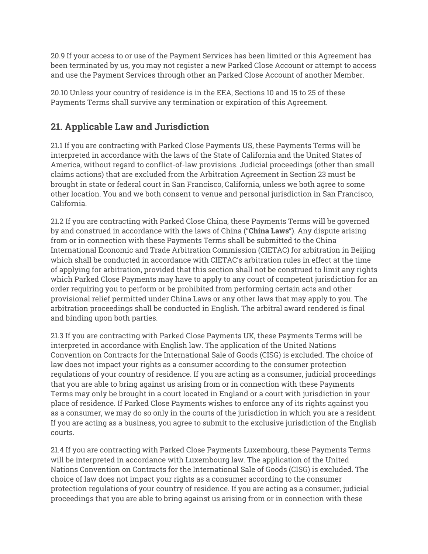20.9 If your access to or use of the Payment Services has been limited or this Agreement has been terminated by us, you may not register a new Parked Close Account or attempt to access and use the Payment Services through other an Parked Close Account of another Member.

20.10 Unless your country of residence is in the EEA, Sections 10 and 15 to 25 of these Payments Terms shall survive any termination or expiration of this Agreement.

## **21. Applicable Law and Jurisdiction**

21.1 If you are contracting with Parked Close Payments US, these Payments Terms will be interpreted in accordance with the laws of the State of California and the United States of America, without regard to conflict-of-law provisions. Judicial proceedings (other than small claims actions) that are excluded from the Arbitration Agreement in Section 23 must be brought in state or federal court in San Francisco, California, unless we both agree to some other location. You and we both consent to venue and personal jurisdiction in San Francisco, California.

21.2 If you are contracting with Parked Close China, these Payments Terms will be governed by and construed in accordance with the laws of China ("**China Laws**"). Any dispute arising from or in connection with these Payments Terms shall be submitted to the China International Economic and Trade Arbitration Commission (CIETAC) for arbitration in Beijing which shall be conducted in accordance with CIETAC's arbitration rules in effect at the time of applying for arbitration, provided that this section shall not be construed to limit any rights which Parked Close Payments may have to apply to any court of competent jurisdiction for an order requiring you to perform or be prohibited from performing certain acts and other provisional relief permitted under China Laws or any other laws that may apply to you. The arbitration proceedings shall be conducted in English. The arbitral award rendered is final and binding upon both parties.

21.3 If you are contracting with Parked Close Payments UK, these Payments Terms will be interpreted in accordance with English law. The application of the United Nations Convention on Contracts for the International Sale of Goods (CISG) is excluded. The choice of law does not impact your rights as a consumer according to the consumer protection regulations of your country of residence. If you are acting as a consumer, judicial proceedings that you are able to bring against us arising from or in connection with these Payments Terms may only be brought in a court located in England or a court with jurisdiction in your place of residence. If Parked Close Payments wishes to enforce any of its rights against you as a consumer, we may do so only in the courts of the jurisdiction in which you are a resident. If you are acting as a business, you agree to submit to the exclusive jurisdiction of the English courts.

21.4 If you are contracting with Parked Close Payments Luxembourg, these Payments Terms will be interpreted in accordance with Luxembourg law. The application of the United Nations Convention on Contracts for the International Sale of Goods (CISG) is excluded. The choice of law does not impact your rights as a consumer according to the consumer protection regulations of your country of residence. If you are acting as a consumer, judicial proceedings that you are able to bring against us arising from or in connection with these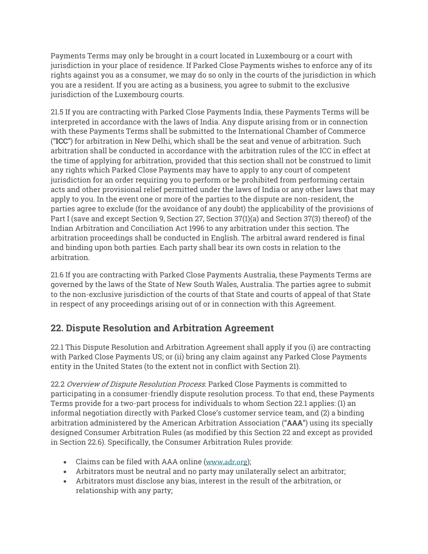Payments Terms may only be brought in a court located in Luxembourg or a court with jurisdiction in your place of residence. If Parked Close Payments wishes to enforce any of its rights against you as a consumer, we may do so only in the courts of the jurisdiction in which you are a resident. If you are acting as a business, you agree to submit to the exclusive jurisdiction of the Luxembourg courts.

21.5 If you are contracting with Parked Close Payments India, these Payments Terms will be interpreted in accordance with the laws of India. Any dispute arising from or in connection with these Payments Terms shall be submitted to the International Chamber of Commerce ("**ICC**") for arbitration in New Delhi, which shall be the seat and venue of arbitration. Such arbitration shall be conducted in accordance with the arbitration rules of the ICC in effect at the time of applying for arbitration, provided that this section shall not be construed to limit any rights which Parked Close Payments may have to apply to any court of competent jurisdiction for an order requiring you to perform or be prohibited from performing certain acts and other provisional relief permitted under the laws of India or any other laws that may apply to you. In the event one or more of the parties to the dispute are non-resident, the parties agree to exclude (for the avoidance of any doubt) the applicability of the provisions of Part I (save and except Section 9, Section 27, Section 37(1)(a) and Section 37(3) thereof) of the Indian Arbitration and Conciliation Act 1996 to any arbitration under this section. The arbitration proceedings shall be conducted in English. The arbitral award rendered is final and binding upon both parties. Each party shall bear its own costs in relation to the arbitration.

21.6 If you are contracting with Parked Close Payments Australia, these Payments Terms are governed by the laws of the State of New South Wales, Australia. The parties agree to submit to the non-exclusive jurisdiction of the courts of that State and courts of appeal of that State in respect of any proceedings arising out of or in connection with this Agreement.

## **22. Dispute Resolution and Arbitration Agreement**

22.1 This Dispute Resolution and Arbitration Agreement shall apply if you (i) are contracting with Parked Close Payments US; or (ii) bring any claim against any Parked Close Payments entity in the United States (to the extent not in conflict with Section 21).

22.2 Overview of Dispute Resolution Process. Parked Close Payments is committed to participating in a consumer-friendly dispute resolution process. To that end, these Payments Terms provide for a two-part process for individuals to whom Section 22.1 applies: (1) an informal negotiation directly with Parked Close's customer service team, and (2) a binding arbitration administered by the American Arbitration Association ("**AAA**") using its specially designed Consumer Arbitration Rules (as modified by this Section 22 and except as provided in Section 22.6). Specifically, the Consumer Arbitration Rules provide:

- Claims can be filed with AAA online (www.adr.org);
- Arbitrators must be neutral and no party may unilaterally select an arbitrator;
- Arbitrators must disclose any bias, interest in the result of the arbitration, or relationship with any party;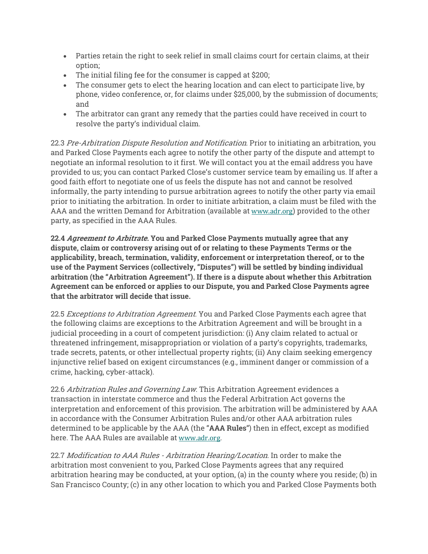- Parties retain the right to seek relief in small claims court for certain claims, at their option;
- The initial filing fee for the consumer is capped at \$200;
- The consumer gets to elect the hearing location and can elect to participate live, by phone, video conference, or, for claims under \$25,000, by the submission of documents; and
- The arbitrator can grant any remedy that the parties could have received in court to resolve the party's individual claim.

22.3 Pre-Arbitration Dispute Resolution and Notification. Prior to initiating an arbitration, you and Parked Close Payments each agree to notify the other party of the dispute and attempt to negotiate an informal resolution to it first. We will contact you at the email address you have provided to us; you can contact Parked Close's customer service team by emailing us. If after a good faith effort to negotiate one of us feels the dispute has not and cannot be resolved informally, the party intending to pursue arbitration agrees to notify the other party via email prior to initiating the arbitration. In order to initiate arbitration, a claim must be filed with the AAA and the written Demand for Arbitration (available at www.adr.org) provided to the other party, as specified in the AAA Rules.

**22.4 Agreement to Arbitrate. You and Parked Close Payments mutually agree that any dispute, claim or controversy arising out of or relating to these Payments Terms or the applicability, breach, termination, validity, enforcement or interpretation thereof, or to the use of the Payment Services (collectively, "Disputes") will be settled by binding individual arbitration (the "Arbitration Agreement"). If there is a dispute about whether this Arbitration Agreement can be enforced or applies to our Dispute, you and Parked Close Payments agree that the arbitrator will decide that issue.**

22.5 Exceptions to Arbitration Agreement. You and Parked Close Payments each agree that the following claims are exceptions to the Arbitration Agreement and will be brought in a judicial proceeding in a court of competent jurisdiction: (i) Any claim related to actual or threatened infringement, misappropriation or violation of a party's copyrights, trademarks, trade secrets, patents, or other intellectual property rights; (ii) Any claim seeking emergency injunctive relief based on exigent circumstances (e.g., imminent danger or commission of a crime, hacking, cyber-attack).

22.6 Arbitration Rules and Governing Law. This Arbitration Agreement evidences a transaction in interstate commerce and thus the Federal Arbitration Act governs the interpretation and enforcement of this provision. The arbitration will be administered by AAA in accordance with the Consumer Arbitration Rules and/or other AAA arbitration rules determined to be applicable by the AAA (the "**AAA Rules**") then in effect, except as modified here. The AAA Rules are available at www.adr.org.

22.7 Modification to AAA Rules - Arbitration Hearing/Location. In order to make the arbitration most convenient to you, Parked Close Payments agrees that any required arbitration hearing may be conducted, at your option, (a) in the county where you reside; (b) in San Francisco County; (c) in any other location to which you and Parked Close Payments both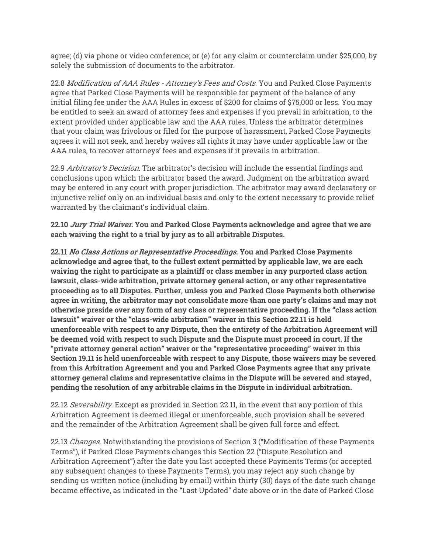agree; (d) via phone or video conference; or (e) for any claim or counterclaim under \$25,000, by solely the submission of documents to the arbitrator.

22.8 Modification of AAA Rules - Attorney's Fees and Costs. You and Parked Close Payments agree that Parked Close Payments will be responsible for payment of the balance of any initial filing fee under the AAA Rules in excess of \$200 for claims of \$75,000 or less. You may be entitled to seek an award of attorney fees and expenses if you prevail in arbitration, to the extent provided under applicable law and the AAA rules. Unless the arbitrator determines that your claim was frivolous or filed for the purpose of harassment, Parked Close Payments agrees it will not seek, and hereby waives all rights it may have under applicable law or the AAA rules, to recover attorneys' fees and expenses if it prevails in arbitration.

22.9 Arbitrator's Decision. The arbitrator's decision will include the essential findings and conclusions upon which the arbitrator based the award. Judgment on the arbitration award may be entered in any court with proper jurisdiction. The arbitrator may award declaratory or injunctive relief only on an individual basis and only to the extent necessary to provide relief warranted by the claimant's individual claim.

**22.10 Jury Trial Waiver. You and Parked Close Payments acknowledge and agree that we are each waiving the right to a trial by jury as to all arbitrable Disputes.**

**22.11 No Class Actions or Representative Proceedings. You and Parked Close Payments acknowledge and agree that, to the fullest extent permitted by applicable law, we are each waiving the right to participate as a plaintiff or class member in any purported class action lawsuit, class-wide arbitration, private attorney general action, or any other representative proceeding as to all Disputes. Further, unless you and Parked Close Payments both otherwise agree in writing, the arbitrator may not consolidate more than one party's claims and may not otherwise preside over any form of any class or representative proceeding. If the "class action lawsuit" waiver or the "class-wide arbitration" waiver in this Section 22.11 is held unenforceable with respect to any Dispute, then the entirety of the Arbitration Agreement will be deemed void with respect to such Dispute and the Dispute must proceed in court. If the "private attorney general action" waiver or the "representative proceeding" waiver in this Section 19.11 is held unenforceable with respect to any Dispute, those waivers may be severed from this Arbitration Agreement and you and Parked Close Payments agree that any private attorney general claims and representative claims in the Dispute will be severed and stayed, pending the resolution of any arbitrable claims in the Dispute in individual arbitration.**

22.12 Severability. Except as provided in Section 22.11, in the event that any portion of this Arbitration Agreement is deemed illegal or unenforceable, such provision shall be severed and the remainder of the Arbitration Agreement shall be given full force and effect.

22.13 *Changes*. Notwithstanding the provisions of Section 3 ("Modification of these Payments Terms"), if Parked Close Payments changes this Section 22 ("Dispute Resolution and Arbitration Agreement") after the date you last accepted these Payments Terms (or accepted any subsequent changes to these Payments Terms), you may reject any such change by sending us written notice (including by email) within thirty (30) days of the date such change became effective, as indicated in the "Last Updated" date above or in the date of Parked Close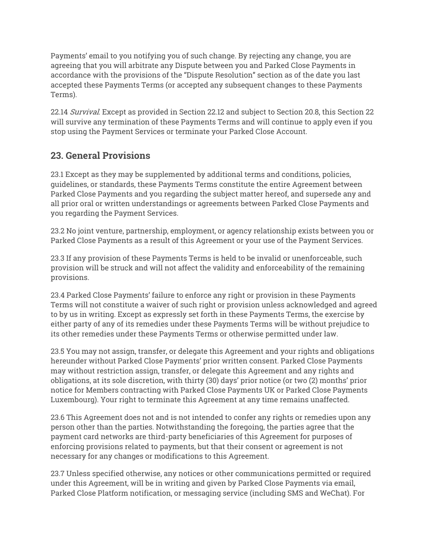Payments' email to you notifying you of such change. By rejecting any change, you are agreeing that you will arbitrate any Dispute between you and Parked Close Payments in accordance with the provisions of the "Dispute Resolution" section as of the date you last accepted these Payments Terms (or accepted any subsequent changes to these Payments Terms).

22.14 Survival. Except as provided in Section 22.12 and subject to Section 20.8, this Section 22 will survive any termination of these Payments Terms and will continue to apply even if you stop using the Payment Services or terminate your Parked Close Account.

## **23. General Provisions**

23.1 Except as they may be supplemented by additional terms and conditions, policies, guidelines, or standards, these Payments Terms constitute the entire Agreement between Parked Close Payments and you regarding the subject matter hereof, and supersede any and all prior oral or written understandings or agreements between Parked Close Payments and you regarding the Payment Services.

23.2 No joint venture, partnership, employment, or agency relationship exists between you or Parked Close Payments as a result of this Agreement or your use of the Payment Services.

23.3 If any provision of these Payments Terms is held to be invalid or unenforceable, such provision will be struck and will not affect the validity and enforceability of the remaining provisions.

23.4 Parked Close Payments' failure to enforce any right or provision in these Payments Terms will not constitute a waiver of such right or provision unless acknowledged and agreed to by us in writing. Except as expressly set forth in these Payments Terms, the exercise by either party of any of its remedies under these Payments Terms will be without prejudice to its other remedies under these Payments Terms or otherwise permitted under law.

23.5 You may not assign, transfer, or delegate this Agreement and your rights and obligations hereunder without Parked Close Payments' prior written consent. Parked Close Payments may without restriction assign, transfer, or delegate this Agreement and any rights and obligations, at its sole discretion, with thirty (30) days' prior notice (or two (2) months' prior notice for Members contracting with Parked Close Payments UK or Parked Close Payments Luxembourg). Your right to terminate this Agreement at any time remains unaffected.

23.6 This Agreement does not and is not intended to confer any rights or remedies upon any person other than the parties. Notwithstanding the foregoing, the parties agree that the payment card networks are third-party beneficiaries of this Agreement for purposes of enforcing provisions related to payments, but that their consent or agreement is not necessary for any changes or modifications to this Agreement.

23.7 Unless specified otherwise, any notices or other communications permitted or required under this Agreement, will be in writing and given by Parked Close Payments via email, Parked Close Platform notification, or messaging service (including SMS and WeChat). For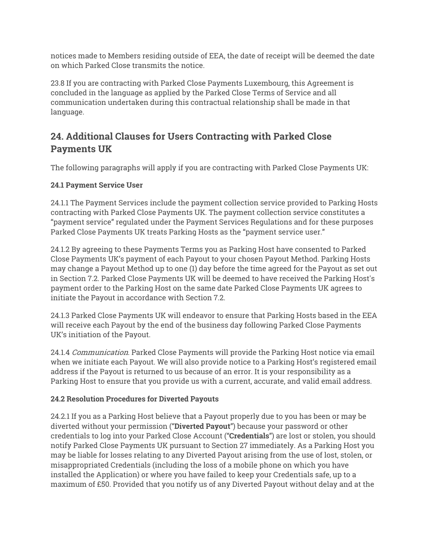notices made to Members residing outside of EEA, the date of receipt will be deemed the date on which Parked Close transmits the notice.

23.8 If you are contracting with Parked Close Payments Luxembourg, this Agreement is concluded in the language as applied by the Parked Close Terms of Service and all communication undertaken during this contractual relationship shall be made in that language.

## **24. Additional Clauses for Users Contracting with Parked Close Payments UK**

The following paragraphs will apply if you are contracting with Parked Close Payments UK:

#### **24.1 Payment Service User**

24.1.1 The Payment Services include the payment collection service provided to Parking Hosts contracting with Parked Close Payments UK. The payment collection service constitutes a "payment service" regulated under the Payment Services Regulations and for these purposes Parked Close Payments UK treats Parking Hosts as the "payment service user."

24.1.2 By agreeing to these Payments Terms you as Parking Host have consented to Parked Close Payments UK's payment of each Payout to your chosen Payout Method. Parking Hosts may change a Payout Method up to one (1) day before the time agreed for the Payout as set out in Section 7.2. Parked Close Payments UK will be deemed to have received the Parking Host's payment order to the Parking Host on the same date Parked Close Payments UK agrees to initiate the Payout in accordance with Section 7.2.

24.1.3 Parked Close Payments UK will endeavor to ensure that Parking Hosts based in the EEA will receive each Payout by the end of the business day following Parked Close Payments UK's initiation of the Payout.

24.1.4 *Communication*. Parked Close Payments will provide the Parking Host notice via email when we initiate each Payout. We will also provide notice to a Parking Host's registered email address if the Payout is returned to us because of an error. It is your responsibility as a Parking Host to ensure that you provide us with a current, accurate, and valid email address.

#### **24.2 Resolution Procedures for Diverted Payouts**

24.2.1 If you as a Parking Host believe that a Payout properly due to you has been or may be diverted without your permission ("**Diverted Payout**") because your password or other credentials to log into your Parked Close Account ("**Credentials**") are lost or stolen, you should notify Parked Close Payments UK pursuant to Section 27 immediately. As a Parking Host you may be liable for losses relating to any Diverted Payout arising from the use of lost, stolen, or misappropriated Credentials (including the loss of a mobile phone on which you have installed the Application) or where you have failed to keep your Credentials safe, up to a maximum of £50. Provided that you notify us of any Diverted Payout without delay and at the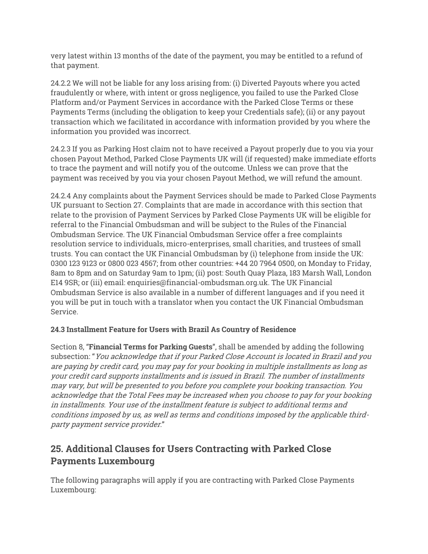very latest within 13 months of the date of the payment, you may be entitled to a refund of that payment.

24.2.2 We will not be liable for any loss arising from: (i) Diverted Payouts where you acted fraudulently or where, with intent or gross negligence, you failed to use the Parked Close Platform and/or Payment Services in accordance with the Parked Close Terms or these Payments Terms (including the obligation to keep your Credentials safe); (ii) or any payout transaction which we facilitated in accordance with information provided by you where the information you provided was incorrect.

24.2.3 If you as Parking Host claim not to have received a Payout properly due to you via your chosen Payout Method, Parked Close Payments UK will (if requested) make immediate efforts to trace the payment and will notify you of the outcome. Unless we can prove that the payment was received by you via your chosen Payout Method, we will refund the amount.

24.2.4 Any complaints about the Payment Services should be made to Parked Close Payments UK pursuant to Section 27. Complaints that are made in accordance with this section that relate to the provision of Payment Services by Parked Close Payments UK will be eligible for referral to the Financial Ombudsman and will be subject to the Rules of the Financial Ombudsman Service. The UK Financial Ombudsman Service offer a free complaints resolution service to individuals, micro-enterprises, small charities, and trustees of small trusts. You can contact the UK Financial Ombudsman by (i) telephone from inside the UK: 0300 123 9123 or 0800 023 4567; from other countries: +44 20 7964 0500, on Monday to Friday, 8am to 8pm and on Saturday 9am to 1pm; (ii) post: South Quay Plaza, 183 Marsh Wall, London E14 9SR; or (iii) email: enquiries@financial-ombudsman.org.uk. The UK Financial Ombudsman Service is also available in a number of different languages and if you need it you will be put in touch with a translator when you contact the UK Financial Ombudsman Service.

#### **24.3 Installment Feature for Users with Brazil As Country of Residence**

Section 8, "**Financial Terms for Parking Guests**", shall be amended by adding the following subsection: "You acknowledge that if your Parked Close Account is located in Brazil and you are paying by credit card, you may pay for your booking in multiple installments as long as your credit card supports installments and is issued in Brazil. The number of installments may vary, but will be presented to you before you complete your booking transaction. You acknowledge that the Total Fees may be increased when you choose to pay for your booking in installments. Your use of the installment feature is subject to additional terms and conditions imposed by us, as well as terms and conditions imposed by the applicable thirdparty payment service provider."

## **25. Additional Clauses for Users Contracting with Parked Close Payments Luxembourg**

The following paragraphs will apply if you are contracting with Parked Close Payments Luxembourg: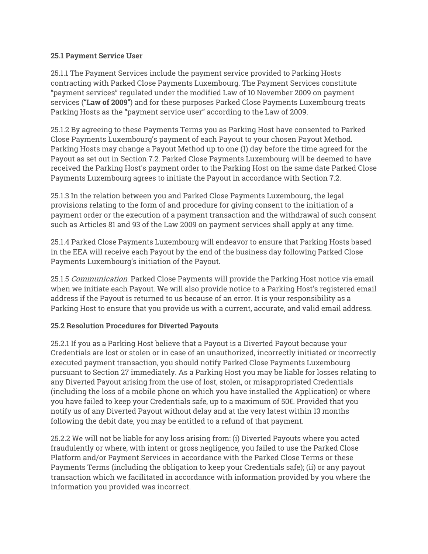#### **25.1 Payment Service User**

25.1.1 The Payment Services include the payment service provided to Parking Hosts contracting with Parked Close Payments Luxembourg. The Payment Services constitute "payment services" regulated under the modified Law of 10 November 2009 on payment services ("**Law of 2009**") and for these purposes Parked Close Payments Luxembourg treats Parking Hosts as the "payment service user" according to the Law of 2009.

25.1.2 By agreeing to these Payments Terms you as Parking Host have consented to Parked Close Payments Luxembourg's payment of each Payout to your chosen Payout Method. Parking Hosts may change a Payout Method up to one (1) day before the time agreed for the Payout as set out in Section 7.2. Parked Close Payments Luxembourg will be deemed to have received the Parking Host's payment order to the Parking Host on the same date Parked Close Payments Luxembourg agrees to initiate the Payout in accordance with Section 7.2.

25.1.3 In the relation between you and Parked Close Payments Luxembourg, the legal provisions relating to the form of and procedure for giving consent to the initiation of a payment order or the execution of a payment transaction and the withdrawal of such consent such as Articles 81 and 93 of the Law 2009 on payment services shall apply at any time.

25.1.4 Parked Close Payments Luxembourg will endeavor to ensure that Parking Hosts based in the EEA will receive each Payout by the end of the business day following Parked Close Payments Luxembourg's initiation of the Payout.

25.1.5 Communication. Parked Close Payments will provide the Parking Host notice via email when we initiate each Payout. We will also provide notice to a Parking Host's registered email address if the Payout is returned to us because of an error. It is your responsibility as a Parking Host to ensure that you provide us with a current, accurate, and valid email address.

#### **25.2 Resolution Procedures for Diverted Payouts**

25.2.1 If you as a Parking Host believe that a Payout is a Diverted Payout because your Credentials are lost or stolen or in case of an unauthorized, incorrectly initiated or incorrectly executed payment transaction, you should notify Parked Close Payments Luxembourg pursuant to Section 27 immediately. As a Parking Host you may be liable for losses relating to any Diverted Payout arising from the use of lost, stolen, or misappropriated Credentials (including the loss of a mobile phone on which you have installed the Application) or where you have failed to keep your Credentials safe, up to a maximum of 50€. Provided that you notify us of any Diverted Payout without delay and at the very latest within 13 months following the debit date, you may be entitled to a refund of that payment.

25.2.2 We will not be liable for any loss arising from: (i) Diverted Payouts where you acted fraudulently or where, with intent or gross negligence, you failed to use the Parked Close Platform and/or Payment Services in accordance with the Parked Close Terms or these Payments Terms (including the obligation to keep your Credentials safe); (ii) or any payout transaction which we facilitated in accordance with information provided by you where the information you provided was incorrect.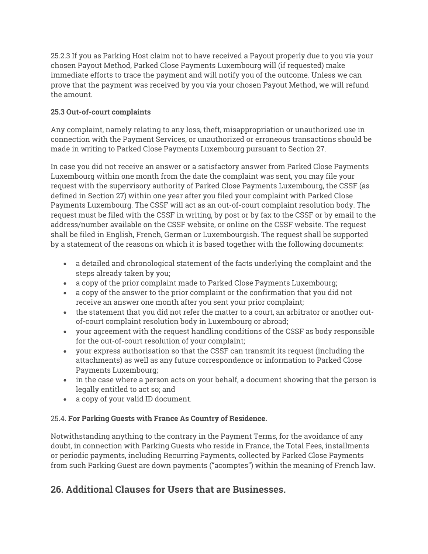25.2.3 If you as Parking Host claim not to have received a Payout properly due to you via your chosen Payout Method, Parked Close Payments Luxembourg will (if requested) make immediate efforts to trace the payment and will notify you of the outcome. Unless we can prove that the payment was received by you via your chosen Payout Method, we will refund the amount.

#### **25.3 Out-of-court complaints**

Any complaint, namely relating to any loss, theft, misappropriation or unauthorized use in connection with the Payment Services, or unauthorized or erroneous transactions should be made in writing to Parked Close Payments Luxembourg pursuant to Section 27.

In case you did not receive an answer or a satisfactory answer from Parked Close Payments Luxembourg within one month from the date the complaint was sent, you may file your request with the supervisory authority of Parked Close Payments Luxembourg, the CSSF (as defined in Section 27) within one year after you filed your complaint with Parked Close Payments Luxembourg. The CSSF will act as an out-of-court complaint resolution body. The request must be filed with the CSSF in writing, by post or by fax to the CSSF or by email to the address/number available on the CSSF website, or online on the CSSF website. The request shall be filed in English, French, German or Luxembourgish. The request shall be supported by a statement of the reasons on which it is based together with the following documents:

- a detailed and chronological statement of the facts underlying the complaint and the steps already taken by you;
- a copy of the prior complaint made to Parked Close Payments Luxembourg;
- a copy of the answer to the prior complaint or the confirmation that you did not receive an answer one month after you sent your prior complaint;
- the statement that you did not refer the matter to a court, an arbitrator or another outof-court complaint resolution body in Luxembourg or abroad;
- your agreement with the request handling conditions of the CSSF as body responsible for the out-of-court resolution of your complaint;
- your express authorisation so that the CSSF can transmit its request (including the attachments) as well as any future correspondence or information to Parked Close Payments Luxembourg;
- in the case where a person acts on your behalf, a document showing that the person is legally entitled to act so; and
- a copy of your valid ID document.

#### 25.4. **For Parking Guests with France As Country of Residence.**

Notwithstanding anything to the contrary in the Payment Terms, for the avoidance of any doubt, in connection with Parking Guests who reside in France, the Total Fees, installments or periodic payments, including Recurring Payments, collected by Parked Close Payments from such Parking Guest are down payments ("acomptes") within the meaning of French law.

## **26. Additional Clauses for Users that are Businesses.**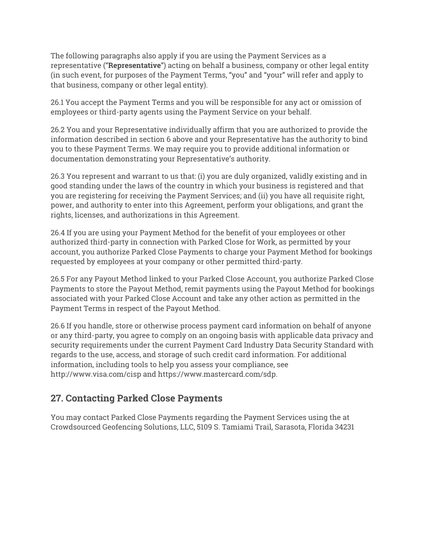The following paragraphs also apply if you are using the Payment Services as a representative ("**Representative**") acting on behalf a business, company or other legal entity (in such event, for purposes of the Payment Terms, "you" and "your" will refer and apply to that business, company or other legal entity).

26.1 You accept the Payment Terms and you will be responsible for any act or omission of employees or third-party agents using the Payment Service on your behalf.

26.2 You and your Representative individually affirm that you are authorized to provide the information described in section 6 above and your Representative has the authority to bind you to these Payment Terms. We may require you to provide additional information or documentation demonstrating your Representative's authority.

26.3 You represent and warrant to us that: (i) you are duly organized, validly existing and in good standing under the laws of the country in which your business is registered and that you are registering for receiving the Payment Services; and (ii) you have all requisite right, power, and authority to enter into this Agreement, perform your obligations, and grant the rights, licenses, and authorizations in this Agreement.

26.4 If you are using your Payment Method for the benefit of your employees or other authorized third-party in connection with Parked Close for Work, as permitted by your account, you authorize Parked Close Payments to charge your Payment Method for bookings requested by employees at your company or other permitted third-party.

26.5 For any Payout Method linked to your Parked Close Account, you authorize Parked Close Payments to store the Payout Method, remit payments using the Payout Method for bookings associated with your Parked Close Account and take any other action as permitted in the Payment Terms in respect of the Payout Method.

26.6 If you handle, store or otherwise process payment card information on behalf of anyone or any third-party, you agree to comply on an ongoing basis with applicable data privacy and security requirements under the current Payment Card Industry Data Security Standard with regards to the use, access, and storage of such credit card information. For additional information, including tools to help you assess your compliance, see http://www.visa.com/cisp and https://www.mastercard.com/sdp.

## **27. Contacting Parked Close Payments**

You may contact Parked Close Payments regarding the Payment Services using the at Crowdsourced Geofencing Solutions, LLC, 5109 S. Tamiami Trail, Sarasota, Florida 34231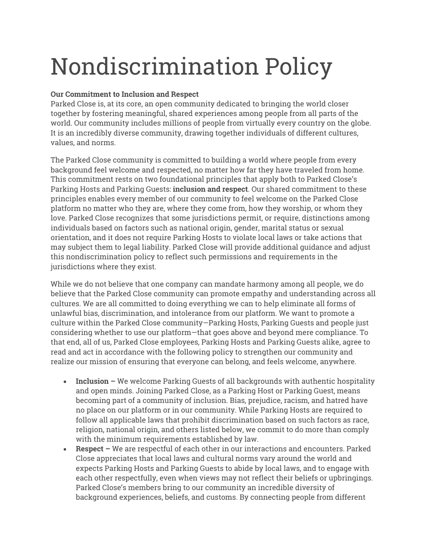# Nondiscrimination Policy

#### **Our Commitment to Inclusion and Respect**

Parked Close is, at its core, an open community dedicated to bringing the world closer together by fostering meaningful, shared experiences among people from all parts of the world. Our community includes millions of people from virtually every country on the globe. It is an incredibly diverse community, drawing together individuals of different cultures, values, and norms.

The Parked Close community is committed to building a world where people from every background feel welcome and respected, no matter how far they have traveled from home. This commitment rests on two foundational principles that apply both to Parked Close's Parking Hosts and Parking Guests: **inclusion and respect**. Our shared commitment to these principles enables every member of our community to feel welcome on the Parked Close platform no matter who they are, where they come from, how they worship, or whom they love. Parked Close recognizes that some jurisdictions permit, or require, distinctions among individuals based on factors such as national origin, gender, marital status or sexual orientation, and it does not require Parking Hosts to violate local laws or take actions that may subject them to legal liability. Parked Close will provide additional guidance and adjust this nondiscrimination policy to reflect such permissions and requirements in the jurisdictions where they exist.

While we do not believe that one company can mandate harmony among all people, we do believe that the Parked Close community can promote empathy and understanding across all cultures. We are all committed to doing everything we can to help eliminate all forms of unlawful bias, discrimination, and intolerance from our platform. We want to promote a culture within the Parked Close community—Parking Hosts, Parking Guests and people just considering whether to use our platform—that goes above and beyond mere compliance. To that end, all of us, Parked Close employees, Parking Hosts and Parking Guests alike, agree to read and act in accordance with the following policy to strengthen our community and realize our mission of ensuring that everyone can belong, and feels welcome, anywhere.

- **Inclusion –** We welcome Parking Guests of all backgrounds with authentic hospitality and open minds. Joining Parked Close, as a Parking Host or Parking Guest, means becoming part of a community of inclusion. Bias, prejudice, racism, and hatred have no place on our platform or in our community. While Parking Hosts are required to follow all applicable laws that prohibit discrimination based on such factors as race, religion, national origin, and others listed below, we commit to do more than comply with the minimum requirements established by law.
- **Respect –** We are respectful of each other in our interactions and encounters. Parked Close appreciates that local laws and cultural norms vary around the world and expects Parking Hosts and Parking Guests to abide by local laws, and to engage with each other respectfully, even when views may not reflect their beliefs or upbringings. Parked Close's members bring to our community an incredible diversity of background experiences, beliefs, and customs. By connecting people from different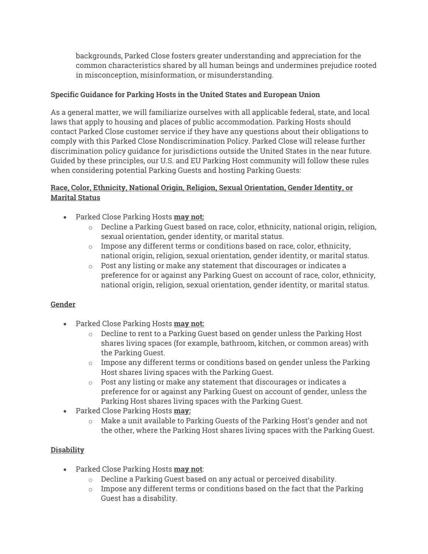backgrounds, Parked Close fosters greater understanding and appreciation for the common characteristics shared by all human beings and undermines prejudice rooted in misconception, misinformation, or misunderstanding.

#### **Specific Guidance for Parking Hosts in the United States and European Union**

As a general matter, we will familiarize ourselves with all applicable federal, state, and local laws that apply to housing and places of public accommodation. Parking Hosts should contact Parked Close customer service if they have any questions about their obligations to comply with this Parked Close Nondiscrimination Policy. Parked Close will release further discrimination policy guidance for jurisdictions outside the United States in the near future. Guided by these principles, our U.S. and EU Parking Host community will follow these rules when considering potential Parking Guests and hosting Parking Guests:

#### **Race, Color, Ethnicity, National Origin, Religion, Sexual Orientation, Gender Identity, or Marital Status**

- Parked Close Parking Hosts **may not:**
	- o Decline a Parking Guest based on race, color, ethnicity, national origin, religion, sexual orientation, gender identity, or marital status.
	- o Impose any different terms or conditions based on race, color, ethnicity, national origin, religion, sexual orientation, gender identity, or marital status.
	- o Post any listing or make any statement that discourages or indicates a preference for or against any Parking Guest on account of race, color, ethnicity, national origin, religion, sexual orientation, gender identity, or marital status.

#### **Gender**

- Parked Close Parking Hosts **may not:**
	- $\circ$  Decline to rent to a Parking Guest based on gender unless the Parking Host shares living spaces (for example, bathroom, kitchen, or common areas) with the Parking Guest.
	- $\circ$  Impose any different terms or conditions based on gender unless the Parking Host shares living spaces with the Parking Guest.
	- $\circ$  Post any listing or make any statement that discourages or indicates a preference for or against any Parking Guest on account of gender, unless the Parking Host shares living spaces with the Parking Guest.
- Parked Close Parking Hosts **may:**
	- o Make a unit available to Parking Guests of the Parking Host's gender and not the other, where the Parking Host shares living spaces with the Parking Guest.

#### **Disability**

- Parked Close Parking Hosts **may not**:
	- o Decline a Parking Guest based on any actual or perceived disability.
	- $\circ$  Impose any different terms or conditions based on the fact that the Parking Guest has a disability.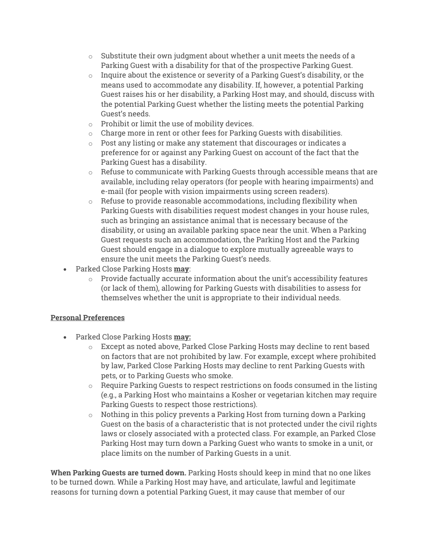- $\circ$  Substitute their own judgment about whether a unit meets the needs of a Parking Guest with a disability for that of the prospective Parking Guest.
- $\circ$  Inquire about the existence or severity of a Parking Guest's disability, or the means used to accommodate any disability. If, however, a potential Parking Guest raises his or her disability, a Parking Host may, and should, discuss with the potential Parking Guest whether the listing meets the potential Parking Guest's needs.
- o Prohibit or limit the use of mobility devices.
- o Charge more in rent or other fees for Parking Guests with disabilities.
- o Post any listing or make any statement that discourages or indicates a preference for or against any Parking Guest on account of the fact that the Parking Guest has a disability.
- $\circ$  Refuse to communicate with Parking Guests through accessible means that are available, including relay operators (for people with hearing impairments) and e-mail (for people with vision impairments using screen readers).
- $\circ$  Refuse to provide reasonable accommodations, including flexibility when Parking Guests with disabilities request modest changes in your house rules, such as bringing an assistance animal that is necessary because of the disability, or using an available parking space near the unit. When a Parking Guest requests such an accommodation, the Parking Host and the Parking Guest should engage in a dialogue to explore mutually agreeable ways to ensure the unit meets the Parking Guest's needs.
- Parked Close Parking Hosts **may**:
	- $\circ$  Provide factually accurate information about the unit's accessibility features (or lack of them), allowing for Parking Guests with disabilities to assess for themselves whether the unit is appropriate to their individual needs.

#### **Personal Preferences**

- Parked Close Parking Hosts **may:**
	- o Except as noted above, Parked Close Parking Hosts may decline to rent based on factors that are not prohibited by law. For example, except where prohibited by law, Parked Close Parking Hosts may decline to rent Parking Guests with pets, or to Parking Guests who smoke.
	- $\circ$  Require Parking Guests to respect restrictions on foods consumed in the listing (e.g., a Parking Host who maintains a Kosher or vegetarian kitchen may require Parking Guests to respect those restrictions).
	- $\circ$  Nothing in this policy prevents a Parking Host from turning down a Parking Guest on the basis of a characteristic that is not protected under the civil rights laws or closely associated with a protected class. For example, an Parked Close Parking Host may turn down a Parking Guest who wants to smoke in a unit, or place limits on the number of Parking Guests in a unit.

**When Parking Guests are turned down.** Parking Hosts should keep in mind that no one likes to be turned down. While a Parking Host may have, and articulate, lawful and legitimate reasons for turning down a potential Parking Guest, it may cause that member of our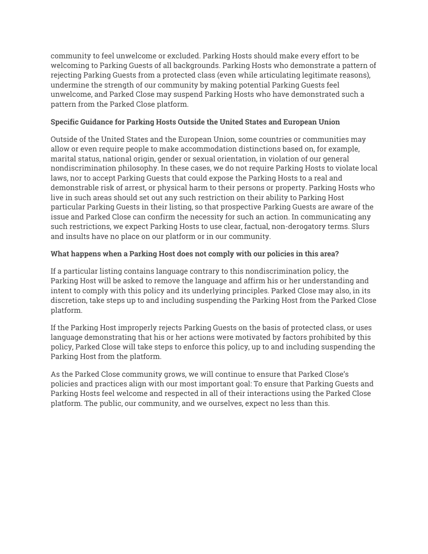community to feel unwelcome or excluded. Parking Hosts should make every effort to be welcoming to Parking Guests of all backgrounds. Parking Hosts who demonstrate a pattern of rejecting Parking Guests from a protected class (even while articulating legitimate reasons), undermine the strength of our community by making potential Parking Guests feel unwelcome, and Parked Close may suspend Parking Hosts who have demonstrated such a pattern from the Parked Close platform.

### **Specific Guidance for Parking Hosts Outside the United States and European Union**

Outside of the United States and the European Union, some countries or communities may allow or even require people to make accommodation distinctions based on, for example, marital status, national origin, gender or sexual orientation, in violation of our general nondiscrimination philosophy. In these cases, we do not require Parking Hosts to violate local laws, nor to accept Parking Guests that could expose the Parking Hosts to a real and demonstrable risk of arrest, or physical harm to their persons or property. Parking Hosts who live in such areas should set out any such restriction on their ability to Parking Host particular Parking Guests in their listing, so that prospective Parking Guests are aware of the issue and Parked Close can confirm the necessity for such an action. In communicating any such restrictions, we expect Parking Hosts to use clear, factual, non-derogatory terms. Slurs and insults have no place on our platform or in our community.

## **What happens when a Parking Host does not comply with our policies in this area?**

If a particular listing contains language contrary to this nondiscrimination policy, the Parking Host will be asked to remove the language and affirm his or her understanding and intent to comply with this policy and its underlying principles. Parked Close may also, in its discretion, take steps up to and including suspending the Parking Host from the Parked Close platform.

If the Parking Host improperly rejects Parking Guests on the basis of protected class, or uses language demonstrating that his or her actions were motivated by factors prohibited by this policy, Parked Close will take steps to enforce this policy, up to and including suspending the Parking Host from the platform.

As the Parked Close community grows, we will continue to ensure that Parked Close's policies and practices align with our most important goal: To ensure that Parking Guests and Parking Hosts feel welcome and respected in all of their interactions using the Parked Close platform. The public, our community, and we ourselves, expect no less than this.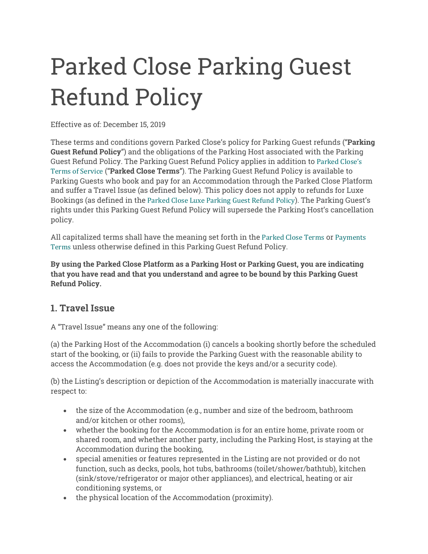# Parked Close Parking Guest Refund Policy

Effective as of: December 15, 2019

These terms and conditions govern Parked Close's policy for Parking Guest refunds ("**Parking Guest Refund Policy**") and the obligations of the Parking Host associated with the Parking Guest Refund Policy. The Parking Guest Refund Policy applies in addition to Parked Close's Terms of Service ("**Parked Close Terms**"). The Parking Guest Refund Policy is available to Parking Guests who book and pay for an Accommodation through the Parked Close Platform and suffer a Travel Issue (as defined below). This policy does not apply to refunds for Luxe Bookings (as defined in the Parked Close Luxe Parking Guest Refund Policy). The Parking Guest's rights under this Parking Guest Refund Policy will supersede the Parking Host's cancellation policy.

All capitalized terms shall have the meaning set forth in the Parked Close Terms or Payments Terms unless otherwise defined in this Parking Guest Refund Policy.

**By using the Parked Close Platform as a Parking Host or Parking Guest, you are indicating that you have read and that you understand and agree to be bound by this Parking Guest Refund Policy.**

## **1. Travel Issue**

A "Travel Issue" means any one of the following:

(a) the Parking Host of the Accommodation (i) cancels a booking shortly before the scheduled start of the booking, or (ii) fails to provide the Parking Guest with the reasonable ability to access the Accommodation (e.g. does not provide the keys and/or a security code).

(b) the Listing's description or depiction of the Accommodation is materially inaccurate with respect to:

- the size of the Accommodation (e.g., number and size of the bedroom, bathroom and/or kitchen or other rooms),
- whether the booking for the Accommodation is for an entire home, private room or shared room, and whether another party, including the Parking Host, is staying at the Accommodation during the booking,
- special amenities or features represented in the Listing are not provided or do not function, such as decks, pools, hot tubs, bathrooms (toilet/shower/bathtub), kitchen (sink/stove/refrigerator or major other appliances), and electrical, heating or air conditioning systems, or
- the physical location of the Accommodation (proximity).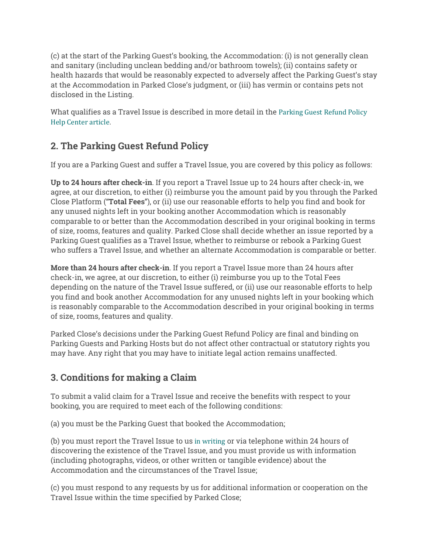(c) at the start of the Parking Guest's booking, the Accommodation: (i) is not generally clean and sanitary (including unclean bedding and/or bathroom towels); (ii) contains safety or health hazards that would be reasonably expected to adversely affect the Parking Guest's stay at the Accommodation in Parked Close's judgment, or (iii) has vermin or contains pets not disclosed in the Listing.

What qualifies as a Travel Issue is described in more detail in the Parking Guest Refund Policy Help Center article.

# **2. The Parking Guest Refund Policy**

If you are a Parking Guest and suffer a Travel Issue, you are covered by this policy as follows:

**Up to 24 hours after check-in**. If you report a Travel Issue up to 24 hours after check-in, we agree, at our discretion, to either (i) reimburse you the amount paid by you through the Parked Close Platform ("**Total Fees**"), or (ii) use our reasonable efforts to help you find and book for any unused nights left in your booking another Accommodation which is reasonably comparable to or better than the Accommodation described in your original booking in terms of size, rooms, features and quality. Parked Close shall decide whether an issue reported by a Parking Guest qualifies as a Travel Issue, whether to reimburse or rebook a Parking Guest who suffers a Travel Issue, and whether an alternate Accommodation is comparable or better.

**More than 24 hours after check-in**. If you report a Travel Issue more than 24 hours after check-in, we agree, at our discretion, to either (i) reimburse you up to the Total Fees depending on the nature of the Travel Issue suffered, or (ii) use our reasonable efforts to help you find and book another Accommodation for any unused nights left in your booking which is reasonably comparable to the Accommodation described in your original booking in terms of size, rooms, features and quality.

Parked Close's decisions under the Parking Guest Refund Policy are final and binding on Parking Guests and Parking Hosts but do not affect other contractual or statutory rights you may have. Any right that you may have to initiate legal action remains unaffected.

# **3. Conditions for making a Claim**

To submit a valid claim for a Travel Issue and receive the benefits with respect to your booking, you are required to meet each of the following conditions:

(a) you must be the Parking Guest that booked the Accommodation;

(b) you must report the Travel Issue to us in writing or via telephone within 24 hours of discovering the existence of the Travel Issue, and you must provide us with information (including photographs, videos, or other written or tangible evidence) about the Accommodation and the circumstances of the Travel Issue;

(c) you must respond to any requests by us for additional information or cooperation on the Travel Issue within the time specified by Parked Close;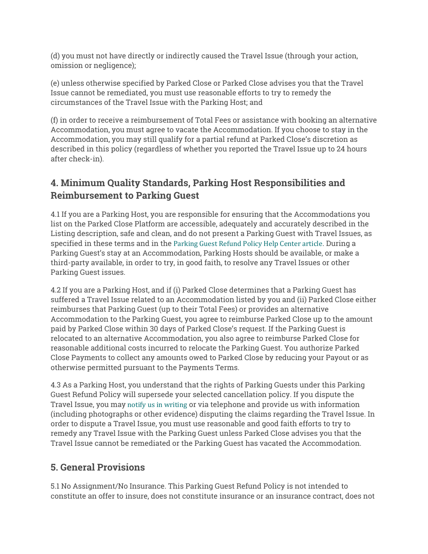(d) you must not have directly or indirectly caused the Travel Issue (through your action, omission or negligence);

(e) unless otherwise specified by Parked Close or Parked Close advises you that the Travel Issue cannot be remediated, you must use reasonable efforts to try to remedy the circumstances of the Travel Issue with the Parking Host; and

(f) in order to receive a reimbursement of Total Fees or assistance with booking an alternative Accommodation, you must agree to vacate the Accommodation. If you choose to stay in the Accommodation, you may still qualify for a partial refund at Parked Close's discretion as described in this policy (regardless of whether you reported the Travel Issue up to 24 hours after check-in).

# **4. Minimum Quality Standards, Parking Host Responsibilities and Reimbursement to Parking Guest**

4.1 If you are a Parking Host, you are responsible for ensuring that the Accommodations you list on the Parked Close Platform are accessible, adequately and accurately described in the Listing description, safe and clean, and do not present a Parking Guest with Travel Issues, as specified in these terms and in the Parking Guest Refund Policy Help Center article. During a Parking Guest's stay at an Accommodation, Parking Hosts should be available, or make a third-party available, in order to try, in good faith, to resolve any Travel Issues or other Parking Guest issues.

4.2 If you are a Parking Host, and if (i) Parked Close determines that a Parking Guest has suffered a Travel Issue related to an Accommodation listed by you and (ii) Parked Close either reimburses that Parking Guest (up to their Total Fees) or provides an alternative Accommodation to the Parking Guest, you agree to reimburse Parked Close up to the amount paid by Parked Close within 30 days of Parked Close's request. If the Parking Guest is relocated to an alternative Accommodation, you also agree to reimburse Parked Close for reasonable additional costs incurred to relocate the Parking Guest. You authorize Parked Close Payments to collect any amounts owed to Parked Close by reducing your Payout or as otherwise permitted pursuant to the Payments Terms.

4.3 As a Parking Host, you understand that the rights of Parking Guests under this Parking Guest Refund Policy will supersede your selected cancellation policy. If you dispute the Travel Issue, you may notify us in writing or via telephone and provide us with information (including photographs or other evidence) disputing the claims regarding the Travel Issue. In order to dispute a Travel Issue, you must use reasonable and good faith efforts to try to remedy any Travel Issue with the Parking Guest unless Parked Close advises you that the Travel Issue cannot be remediated or the Parking Guest has vacated the Accommodation.

# **5. General Provisions**

5.1 No Assignment/No Insurance. This Parking Guest Refund Policy is not intended to constitute an offer to insure, does not constitute insurance or an insurance contract, does not